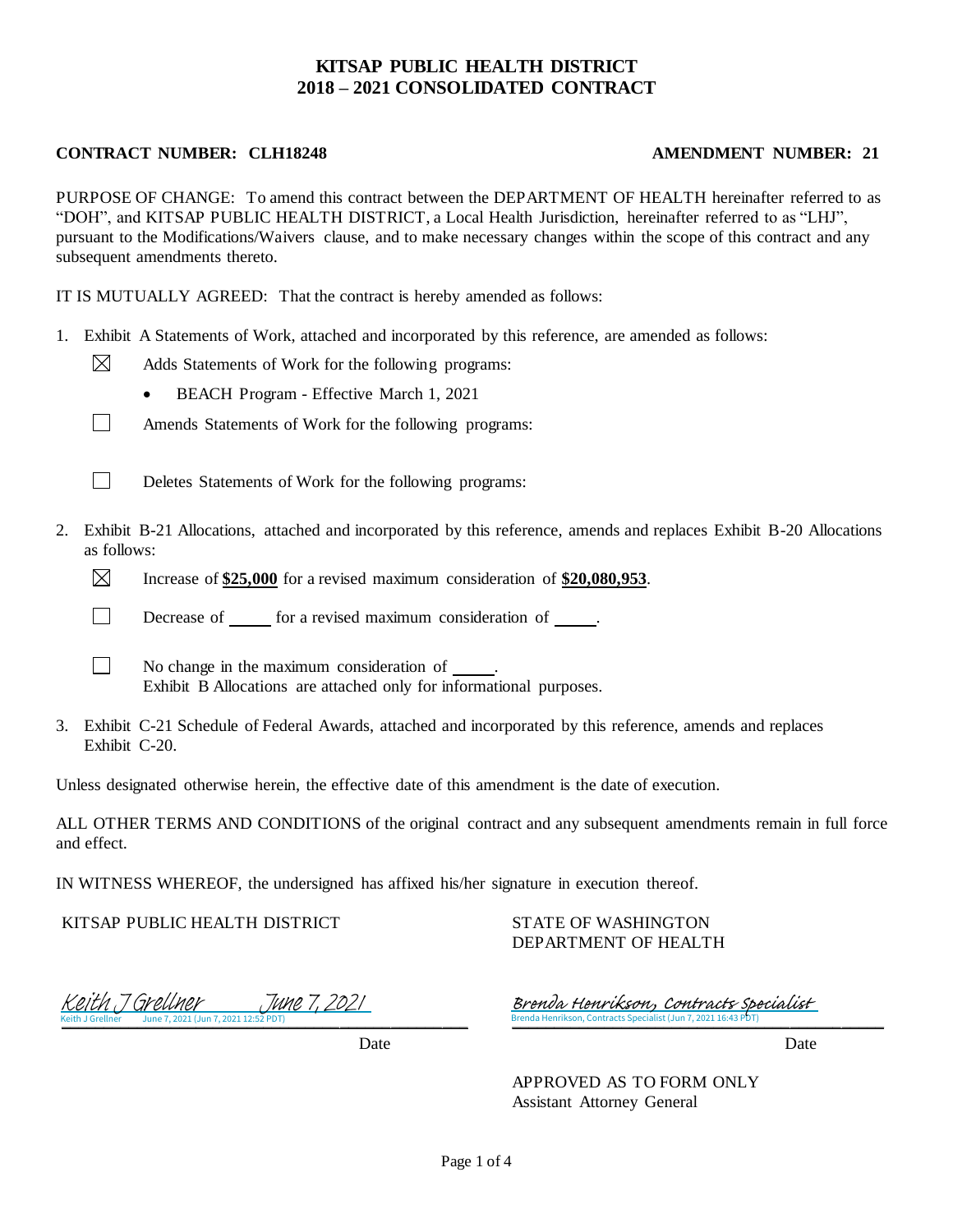## **KITSAP PUBLIC HEALTH DISTRICT 2018 – 2021 CONSOLIDATED CONTRACT**

### **CONTRACT NUMBER: CLH18248 AMENDMENT NUMBER: 21**

PURPOSE OF CHANGE: To amend this contract between the DEPARTMENT OF HEALTH hereinafter referred to as "DOH", and KITSAP PUBLIC HEALTH DISTRICT, a Local Health Jurisdiction, hereinafter referred to as "LHJ", pursuant to the Modifications/Waivers clause, and to make necessary changes within the scope of this contract and any subsequent amendments thereto.

IT IS MUTUALLY AGREED: That the contract is hereby amended as follows:

- 1. Exhibit A Statements of Work, attached and incorporated by this reference, are amended as follows:
	- ⊠ Adds Statements of Work for the following programs:
		- BEACH Program Effective March 1, 2021
	- $\Box$ Amends Statements of Work for the following programs:



Deletes Statements of Work for the following programs:

- 2. Exhibit B-21 Allocations, attached and incorporated by this reference, amends and replaces Exhibit B-20 Allocations as follows:
	- $\boxtimes$ Increase of **\$25,000** for a revised maximum consideration of **\$20,080,953**.
	- $\Box$ Decrease of \_\_\_\_\_\_ for a revised maximum consideration of \_\_\_\_\_\_\_.
	- $\Box$ No change in the maximum consideration of . Exhibit B Allocations are attached only for informational purposes.
- 3. Exhibit C-21 Schedule of Federal Awards, attached and incorporated by this reference, amends and replaces Exhibit C-20.

Unless designated otherwise herein, the effective date of this amendment is the date of execution.

ALL OTHER TERMS AND CONDITIONS of the original contract and any subsequent amendments remain in full force and effect.

IN WITNESS WHEREOF, the undersigned has affixed his/her signature in execution thereof.

KITSAP PUBLIC HEALTH DISTRICT

STATE OF WASHINGTON DEPARTMENT OF HEALTH

Keith J Grellner June 7, 2021 (Jun 7, 2021 12:52 PDT)  $\frac{1}{2}$  Green 7, 2021 12: [Keith J Grellner June 7, 2021](https://washingtondoh.na2.echosign.com/verifier?tx=CBJCHBCAABAApOKfvgXMiwHwTHh5HhASpGJ-dpMX3N4W)

Date Date Date

\_\_\_\_\_\_\_\_\_\_\_\_\_\_\_\_\_\_\_\_\_\_\_\_\_\_\_\_\_\_\_\_\_\_\_\_\_\_\_\_\_\_\_\_ Brenda Henrikson, Contracts Specialist (Jun 7, 2021 16:43 PDT) [Brenda Henrikson, Contracts Specialist](https://washingtondoh.na2.echosign.com/verifier?tx=CBJCHBCAABAApOKfvgXMiwHwTHh5HhASpGJ-dpMX3N4W)

APPROVED AS TO FORM ONLY Assistant Attorney General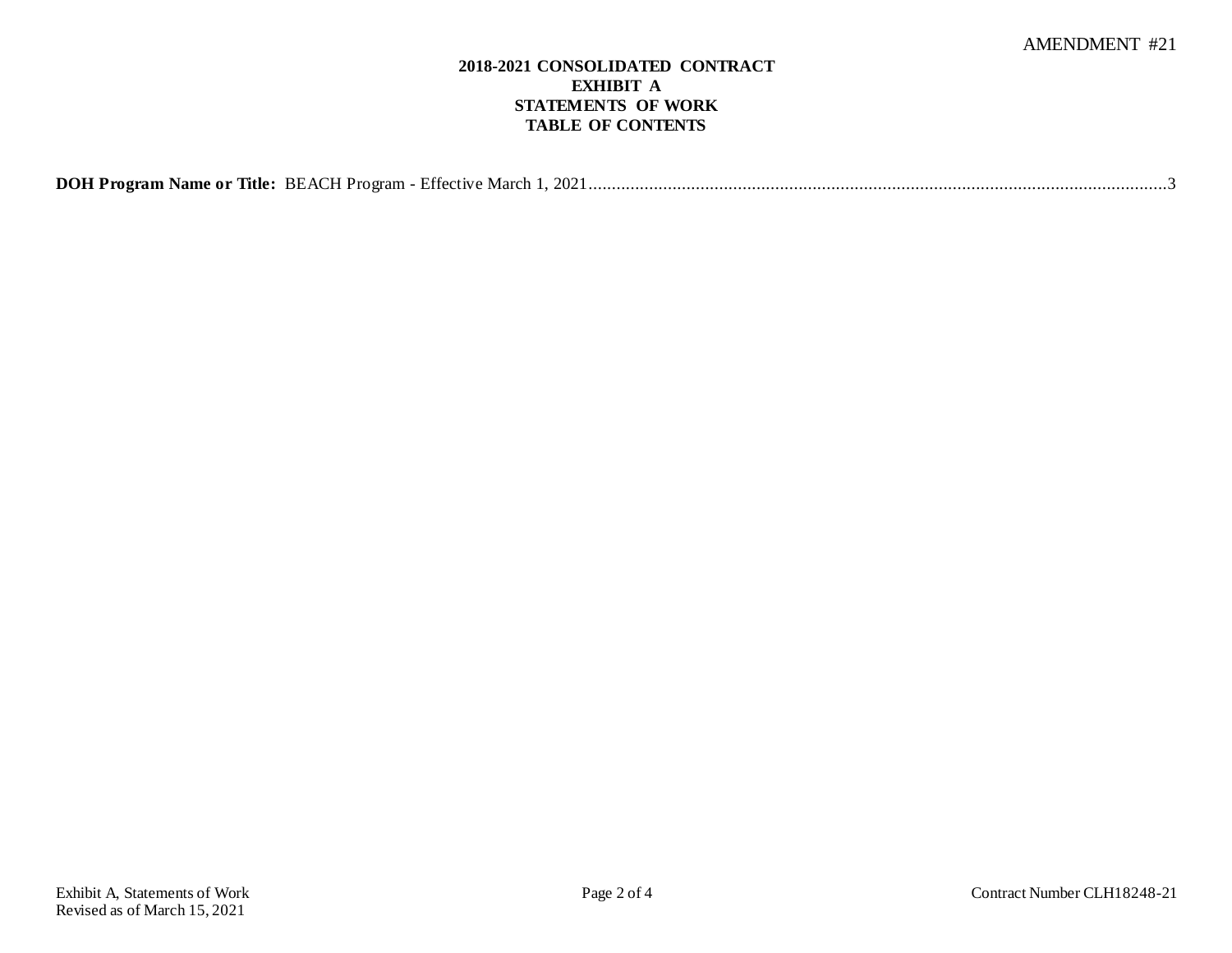### **2018-2021 CONSOLIDATED CONTRACT EXHIBIT A STATEMENTS OF WORK TABLE OF CONTENTS**

| DOH Program Name or Title: BEACH Program - Effective March 1, 2021. |
|---------------------------------------------------------------------|
|---------------------------------------------------------------------|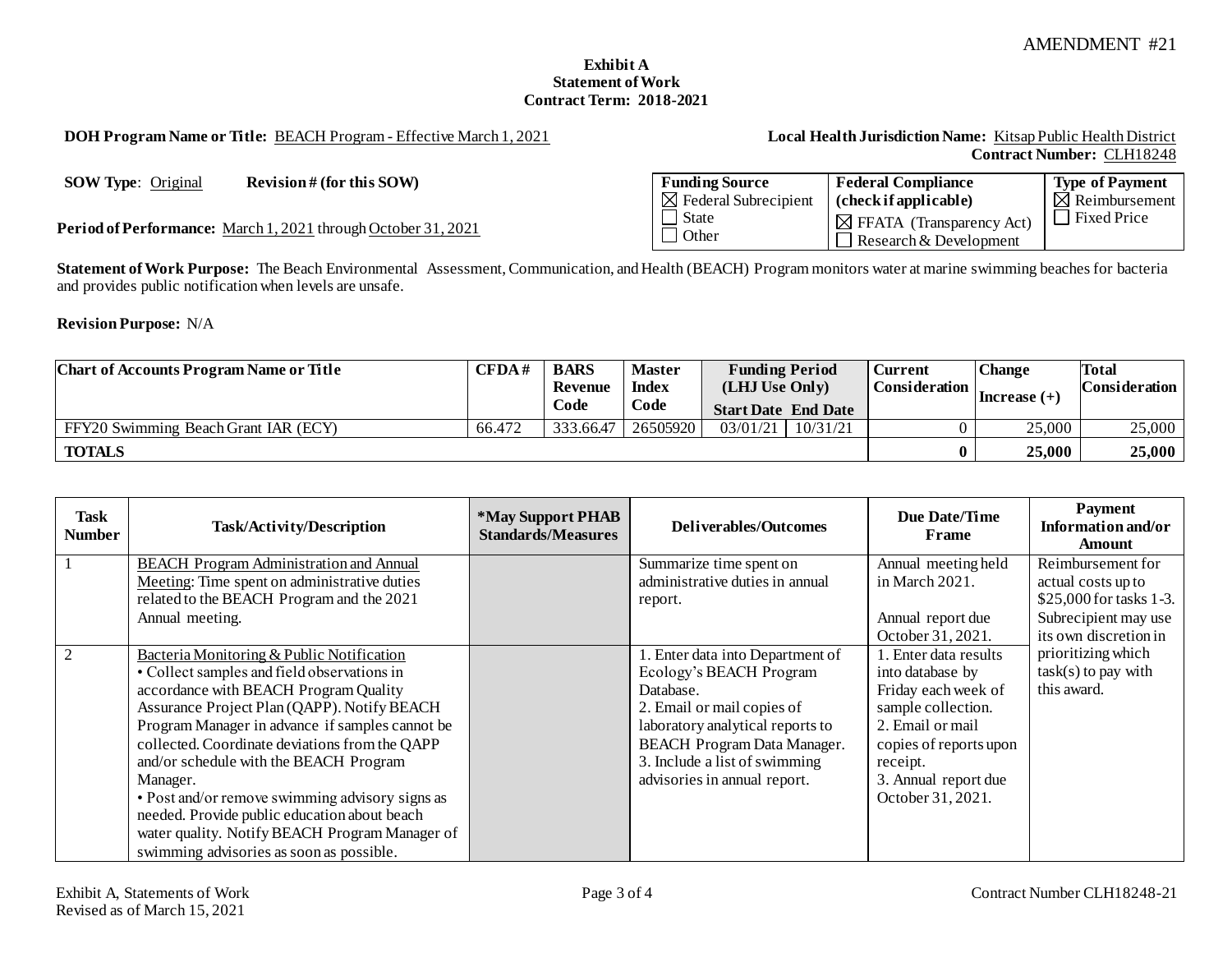### **Exhibit A Statement of Work Contract Term: 2018-2021**

<span id="page-2-0"></span>**DOH Program Name or Title:** BEACH Program - Effective March 1, 2021 **Local Health Jurisdiction Name:** Kitsap Public Health District

# **Contract Number:** CLH18248

**SOW Type:** Original **Revision** # (for this SOW)

Period of Performance: March 1, 2021 through October 31, 2021

| <b>Funding Source</b>            | <b>Federal Compliance</b>                                      | <b>Type of Payment</b>    |
|----------------------------------|----------------------------------------------------------------|---------------------------|
| $\boxtimes$ Federal Subrecipient | $\int$ (check if applicable)                                   | $\boxtimes$ Reimbursement |
| State<br>$\mid$ Other            | $\boxtimes$ FFATA (Transparency Act)<br>Research & Development | Fixed Price               |

**Statement of Work Purpose:** The Beach Environmental Assessment, Communication, and Health (BEACH) Program monitors water at marine swimming beaches for bacteria and provides public notification when levels are unsafe.

**Revision Purpose:** N/A

| <b>Chart of Accounts Program Name or Title</b> | CFDA#  | <b>BARS</b>    | <b>Master</b>                      | <b>Funding Period</b><br>(LHJ Use Only) |          | <b>Change</b><br><b>Current</b><br>Consideration |              | Total         |
|------------------------------------------------|--------|----------------|------------------------------------|-----------------------------------------|----------|--------------------------------------------------|--------------|---------------|
|                                                |        | <b>Revenue</b> | <b>Index</b>                       |                                         |          |                                                  |              | Consideration |
|                                                |        | Code           | Code<br><b>Start Date End Date</b> |                                         |          |                                                  | Increase (+) |               |
| FFY20 Swimming Beach Grant IAR (ECY)           | 66.472 | 333.66.47      | 26505920                           | 03/01/21                                | 10/31/21 |                                                  | 25,000       | 25,000        |
| <b>TOTALS</b>                                  |        |                |                                    |                                         |          |                                                  | 25,000       | 25,000        |

| Task<br>Number | Task/Activity/Description                                                                                                                                                                                                                                                                                                                                                                                                                                                                                                                    | <i><b>*May Support PHAB</b></i><br><b>Standards/Measures</b> | <b>Deliverables/Outcomes</b>                                                                                                                                                                                                                      | Due Date/Time<br>Frame                                                                                                                                                                        | <b>Payment</b><br>Information and/or<br><b>Amount</b>      |
|----------------|----------------------------------------------------------------------------------------------------------------------------------------------------------------------------------------------------------------------------------------------------------------------------------------------------------------------------------------------------------------------------------------------------------------------------------------------------------------------------------------------------------------------------------------------|--------------------------------------------------------------|---------------------------------------------------------------------------------------------------------------------------------------------------------------------------------------------------------------------------------------------------|-----------------------------------------------------------------------------------------------------------------------------------------------------------------------------------------------|------------------------------------------------------------|
|                | <b>BEACH Program Administration and Annual</b><br>Meeting: Time spent on administrative duties                                                                                                                                                                                                                                                                                                                                                                                                                                               |                                                              | Summarize time spent on<br>administrative duties in annual                                                                                                                                                                                        | Annual meeting held<br>in March 2021.                                                                                                                                                         | Reimbursement for<br>actual costs up to                    |
|                | related to the BEACH Program and the 2021                                                                                                                                                                                                                                                                                                                                                                                                                                                                                                    |                                                              | report.                                                                                                                                                                                                                                           |                                                                                                                                                                                               | \$25,000 for tasks 1-3.                                    |
|                | Annual meeting.                                                                                                                                                                                                                                                                                                                                                                                                                                                                                                                              |                                                              |                                                                                                                                                                                                                                                   | Annual report due<br>October 31, 2021.                                                                                                                                                        | Subrecipient may use<br>its own discretion in              |
| 2              | Bacteria Monitoring & Public Notification<br>• Collect samples and field observations in<br>accordance with BEACH Program Quality<br>Assurance Project Plan (QAPP). Notify BEACH<br>Program Manager in advance if samples cannot be<br>collected. Coordinate deviations from the QAPP<br>and/or schedule with the BEACH Program<br>Manager.<br>• Post and/or remove swimming advisory signs as<br>needed. Provide public education about beach<br>water quality. Notify BEACH Program Manager of<br>swimming advisories as soon as possible. |                                                              | 1. Enter data into Department of<br>Ecology's BEACH Program<br>Database.<br>2. Email or mail copies of<br>laboratory analytical reports to<br><b>BEACH Program Data Manager.</b><br>3. Include a list of swimming<br>advisories in annual report. | 1. Enter data results<br>into database by<br>Friday each week of<br>sample collection.<br>2. Email or mail<br>copies of reports upon<br>receipt.<br>3. Annual report due<br>October 31, 2021. | prioritizing which<br>$task(s)$ to pay with<br>this award. |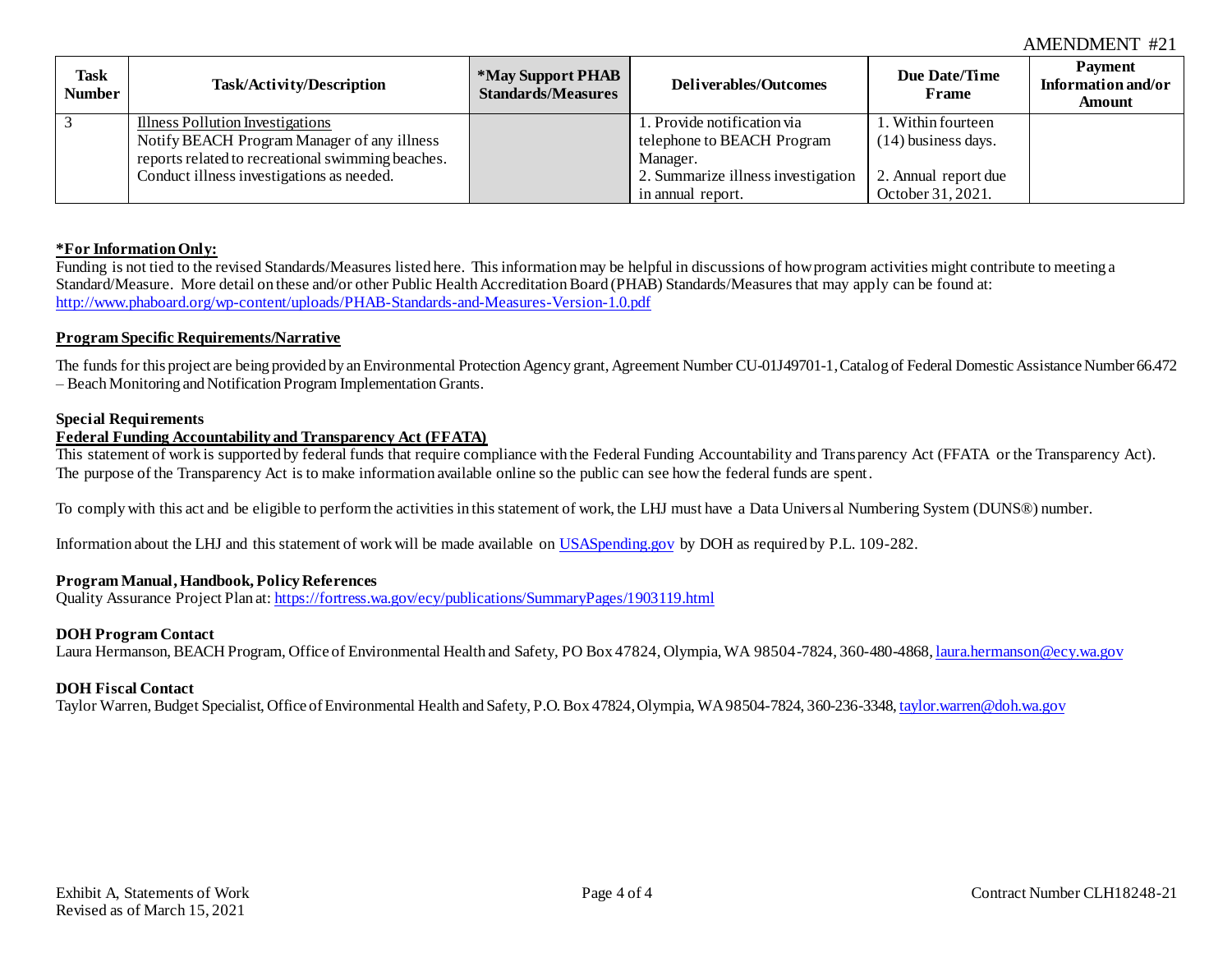### AMENDMENT #21

| <b>Task</b><br><b>Number</b> | Task/Activity/Description                         | *May Support PHAB<br><b>Standards/Measures</b> | Deliverables/Outcomes              | Due Date/Time<br>Frame | <b>Payment</b><br>Information and/or<br>Amount |
|------------------------------|---------------------------------------------------|------------------------------------------------|------------------------------------|------------------------|------------------------------------------------|
| $\overline{3}$               | Illness Pollution Investigations                  |                                                | 1. Provide notification via        | . Within fourteen      |                                                |
|                              | Notify BEACH Program Manager of any illness       |                                                | telephone to BEACH Program         | $(14)$ business days.  |                                                |
|                              | reports related to recreational swimming beaches. |                                                | Manager.                           |                        |                                                |
|                              | Conduct illness investigations as needed.         |                                                | 2. Summarize illness investigation | 2. Annual report due   |                                                |
|                              |                                                   |                                                | in annual report.                  | October 31, 2021.      |                                                |

### **\*For Information Only:**

Funding is not tied to the revised Standards/Measures listed here. This information may be helpful in discussions of how program activities might contribute to meeting a Standard/Measure. More detail on these and/or other Public Health Accreditation Board (PHAB) Standards/Measures that may apply can be found at: <http://www.phaboard.org/wp-content/uploads/PHAB-Standards-and-Measures-Version-1.0.pdf>

### **Program Specific Requirements/Narrative**

The funds for this project are being provided by an Environmental Protection Agency grant, Agreement Number CU-01J49701-1, Catalog of Federal Domestic Assistance Number 66.472 – Beach Monitoring and Notification Program Implementation Grants.

#### **Special Requirements**

### **Federal Funding Accountability and Transparency Act (FFATA)**

This statement of work is supported by federal funds that require compliance with the Federal Funding Accountability and Transparency Act (FFATA or the Transparency Act). The purpose of the Transparency Act is to make information available online so the public can see how the federal funds are spent.

To comply with this act and be eligible to perform the activities in this statement of work, the LHJ must have a Data Univers al Numbering System (DUNS®) number.

Information about the LHJ and this statement of work will be made available on [USASpending.gov](https://www.usaspending.gov/#/) by DOH as required by P.L. 109-282.

### **Program Manual, Handbook, Policy References**

Quality Assurance Project Plan at: <https://fortress.wa.gov/ecy/publications/SummaryPages/1903119.html>

#### **DOH Program Contact**

Laura Hermanson, BEACH Program, Office of Environmental Health and Safety, PO Box 47824, Olympia, WA 98504-7824, 360-480-4868[, laura.hermanson@ecy.wa.gov](mailto:laura.hermanson@ecy.wa.gov)

#### **DOH Fiscal Contact**

Taylor Warren, Budget Specialist, Office of Environmental Health and Safety, P.O. Box 47824, Olympia, WA 98504-7824, 360-236-3348[, taylor.warren@doh.wa.gov](mailto:taylor.warren@doh.wa.gov)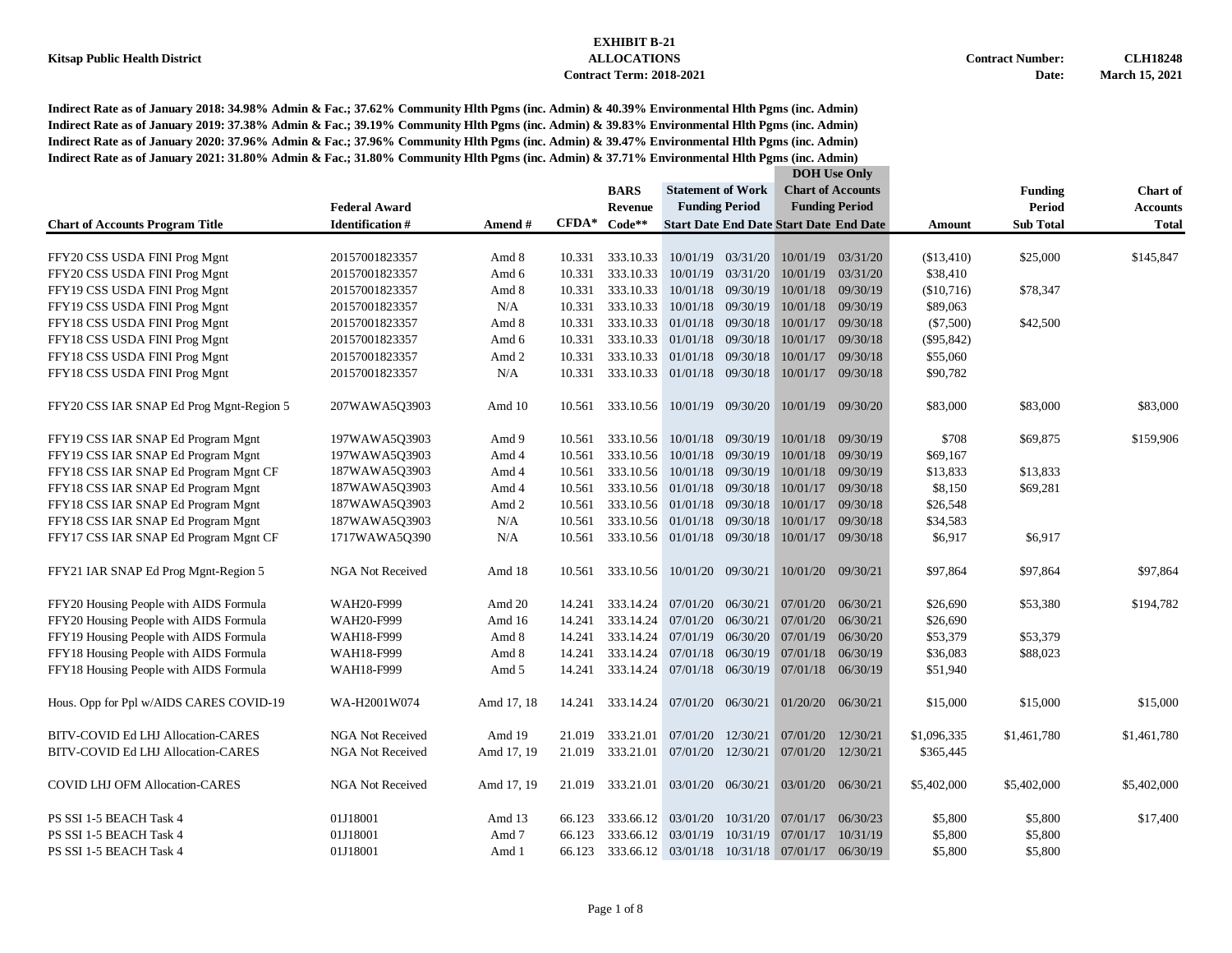| <b>Statement of Work</b><br><b>Chart of Accounts</b><br><b>BARS</b><br><b>Funding</b><br><b>Chart</b> of<br><b>Funding Period</b><br><b>Funding Period</b><br><b>Period</b><br><b>Federal Award</b><br><b>Revenue</b><br><b>Accounts</b><br>$CFDA*$<br>$Code**$<br><b>Identification#</b><br><b>Start Date End Date Start Date End Date</b><br><b>Sub Total</b><br><b>Total</b><br><b>Chart of Accounts Program Title</b><br>Amend #<br>Amount<br>FFY20 CSS USDA FINI Prog Mgnt<br>20157001823357<br>333.10.33<br>10/01/19 03/31/20<br>10/01/19 03/31/20<br>(\$13,410)<br>\$25,000<br>\$145,847<br>Amd 8<br>10.331<br>10/01/19 03/31/20<br>10/01/19<br>03/31/20<br>\$38,410<br>FFY20 CSS USDA FINI Prog Mgnt<br>20157001823357<br>Amd 6<br>10.331<br>333.10.33<br>10.331<br>333.10.33<br>10/01/18 09/30/19<br>10/01/18 09/30/19<br>(\$10,716)<br>FFY19 CSS USDA FINI Prog Mgnt<br>20157001823357<br>Amd 8<br>\$78,347<br>333.10.33<br>10/01/18 09/30/19<br>N/A<br>10.331<br>10/01/18 09/30/19<br>\$89,063<br>FFY19 CSS USDA FINI Prog Mgnt<br>20157001823357<br>01/01/18 09/30/18<br>FFY18 CSS USDA FINI Prog Mgnt<br>20157001823357<br>Amd 8<br>10.331<br>333.10.33<br>10/01/17 09/30/18<br>$(\$7,500)$<br>\$42,500<br>20157001823357<br>10.331<br>333.10.33 01/01/18 09/30/18<br>10/01/17<br>09/30/18<br>$(\$95,842)$<br>FFY18 CSS USDA FINI Prog Mgnt<br>Amd 6<br>10.331<br>333.10.33 01/01/18 09/30/18<br>10/01/17 09/30/18<br>\$55,060<br>FFY18 CSS USDA FINI Prog Mgnt<br>20157001823357<br>Amd 2<br>10.331<br>333.10.33 01/01/18 09/30/18<br>10/01/17 09/30/18<br>FFY18 CSS USDA FINI Prog Mgnt<br>20157001823357<br>N/A<br>\$90,782<br>333.10.56 10/01/19 09/30/20<br>10/01/19 09/30/20<br>\$83,000<br>\$83,000<br>\$83,000<br>FFY20 CSS IAR SNAP Ed Prog Mgnt-Region 5<br>207WAWA5Q3903<br>Amd 10<br>10.561<br>\$159,906<br>10.561<br>333.10.56 10/01/18 09/30/19<br>10/01/18 09/30/19<br>\$708<br>\$69,875<br>FFY19 CSS IAR SNAP Ed Program Mgnt<br>197WAWA5Q3903<br>Amd 9<br>333.10.56<br>10/01/18 09/30/19<br>10/01/18 09/30/19<br>\$69,167<br>FFY19 CSS IAR SNAP Ed Program Mgnt<br>197WAWA5Q3903<br>Amd 4<br>10.561<br>333.10.56<br>10/01/18 09/30/19<br>10/01/18<br>09/30/19<br>FFY18 CSS IAR SNAP Ed Program Mgnt CF<br>187WAWA5Q3903<br>Amd 4<br>10.561<br>\$13,833<br>\$13,833<br>333.10.56 01/01/18 09/30/18<br>FFY18 CSS IAR SNAP Ed Program Mgnt<br>187WAWA5Q3903<br>10.561<br>10/01/17<br>09/30/18<br>\$8,150<br>\$69,281<br>Amd 4<br>187WAWA5Q3903<br>333.10.56 01/01/18 09/30/18<br>10/01/17 09/30/18<br>\$26,548<br>FFY18 CSS IAR SNAP Ed Program Mgnt<br>Amd 2<br>10.561<br>01/01/18 09/30/18<br>09/30/18<br>FFY18 CSS IAR SNAP Ed Program Mgnt<br>187WAWA5Q3903<br>N/A<br>10.561<br>333.10.56<br>10/01/17<br>\$34,583<br>333.10.56 01/01/18 09/30/18<br>FFY17 CSS IAR SNAP Ed Program Mgnt CF<br>1717WAWA5Q390<br>N/A<br>10.561<br>10/01/17 09/30/18<br>\$6,917<br>\$6,917<br><b>NGA Not Received</b><br>333.10.56 10/01/20 09/30/21<br>10/01/20 09/30/21<br>FFY21 IAR SNAP Ed Prog Mgnt-Region 5<br>Amd 18<br>\$97,864<br>\$97,864<br>\$97,864<br>10.561<br>WAH20-F999<br>333.14.24<br>07/01/20 06/30/21<br>07/01/20<br>06/30/21<br>\$26,690<br>\$53,380<br>FFY20 Housing People with AIDS Formula<br>Amd 20<br>14.241<br>\$194,782<br>FFY20 Housing People with AIDS Formula<br>WAH20-F999<br>333.14.24<br>07/01/20<br>06/30/21<br>07/01/20<br>06/30/21<br>\$26,690<br>Amd 16<br>14.241<br>07/01/19 06/30/20 07/01/19<br>FFY19 Housing People with AIDS Formula<br>WAH18-F999<br>Amd 8<br>14.241<br>333.14.24<br>06/30/20<br>\$53,379<br>\$53,379<br>07/01/18 06/30/19<br>FFY18 Housing People with AIDS Formula<br>333.14.24<br>07/01/18 06/30/19<br>\$36,083<br>\$88,023<br>WAH18-F999<br>Amd 8<br>14.241<br>333.14.24<br>07/01/18 06/30/19<br>07/01/18<br>06/30/19<br>FFY18 Housing People with AIDS Formula<br>WAH18-F999<br>Amd 5<br>14.241<br>\$51,940<br>Hous. Opp for Ppl w/AIDS CARES COVID-19<br>WA-H2001W074<br>Amd 17, 18<br>14.241<br>333.14.24<br>07/01/20 06/30/21<br>01/20/20<br>06/30/21<br>\$15,000<br>\$15,000<br>\$15,000<br><b>NGA Not Received</b><br>Amd 19<br>333.21.01<br>07/01/20<br>12/30/21<br>07/01/20<br>12/30/21<br>\$1,096,335<br>BITV-COVID Ed LHJ Allocation-CARES<br>21.019<br>\$1,461,780<br>\$1,461,780<br>Amd 17, 19<br>333.21.01<br>07/01/20 12/30/21<br>07/01/20 12/30/21<br>BITV-COVID Ed LHJ Allocation-CARES<br><b>NGA Not Received</b><br>21.019<br>\$365,445<br><b>COVID LHJ OFM Allocation-CARES</b><br><b>NGA Not Received</b><br>Amd 17, 19<br>21.019<br>333.21.01<br>03/01/20 06/30/21<br>03/01/20 06/30/21<br>\$5,402,000<br>\$5,402,000<br>\$5,402,000<br>PS SSI 1-5 BEACH Task 4<br>01J18001<br>Amd 13<br>66.123<br>333.66.12 03/01/20<br>10/31/20<br>06/30/23<br>\$5,800<br>\$5,800<br>\$17,400<br>07/01/17<br>PS SSI 1-5 BEACH Task 4<br>01J18001<br>66.123<br>333.66.12 03/01/19<br>10/31/19<br>10/31/19<br>\$5,800<br>\$5,800<br>Amd 7<br>07/01/17<br>66.123<br>333.66.12 03/01/18 10/31/18 07/01/17 06/30/19<br>\$5,800<br>PS SSI 1-5 BEACH Task 4<br>01J18001<br>Amd 1<br>\$5,800 | <b>DOH</b> Use Only |  |  |  |  |  |  |
|--------------------------------------------------------------------------------------------------------------------------------------------------------------------------------------------------------------------------------------------------------------------------------------------------------------------------------------------------------------------------------------------------------------------------------------------------------------------------------------------------------------------------------------------------------------------------------------------------------------------------------------------------------------------------------------------------------------------------------------------------------------------------------------------------------------------------------------------------------------------------------------------------------------------------------------------------------------------------------------------------------------------------------------------------------------------------------------------------------------------------------------------------------------------------------------------------------------------------------------------------------------------------------------------------------------------------------------------------------------------------------------------------------------------------------------------------------------------------------------------------------------------------------------------------------------------------------------------------------------------------------------------------------------------------------------------------------------------------------------------------------------------------------------------------------------------------------------------------------------------------------------------------------------------------------------------------------------------------------------------------------------------------------------------------------------------------------------------------------------------------------------------------------------------------------------------------------------------------------------------------------------------------------------------------------------------------------------------------------------------------------------------------------------------------------------------------------------------------------------------------------------------------------------------------------------------------------------------------------------------------------------------------------------------------------------------------------------------------------------------------------------------------------------------------------------------------------------------------------------------------------------------------------------------------------------------------------------------------------------------------------------------------------------------------------------------------------------------------------------------------------------------------------------------------------------------------------------------------------------------------------------------------------------------------------------------------------------------------------------------------------------------------------------------------------------------------------------------------------------------------------------------------------------------------------------------------------------------------------------------------------------------------------------------------------------------------------------------------------------------------------------------------------------------------------------------------------------------------------------------------------------------------------------------------------------------------------------------------------------------------------------------------------------------------------------------------------------------------------------------------------------------------------------------------------------------------------------------------------------------------------------------------------------------------------------------------------------------------------------------------------------------------------------------------------------------------------------------------------------------------------------------------------------------------------------------------------------------------------------------------------------------------------------------------------------------------------------------------------------------------------------------------------------------------------------------------------------------------------------------------------------------------------------------------------------------------------------------------------------------------------------------------------------------------------------------------|---------------------|--|--|--|--|--|--|
|                                                                                                                                                                                                                                                                                                                                                                                                                                                                                                                                                                                                                                                                                                                                                                                                                                                                                                                                                                                                                                                                                                                                                                                                                                                                                                                                                                                                                                                                                                                                                                                                                                                                                                                                                                                                                                                                                                                                                                                                                                                                                                                                                                                                                                                                                                                                                                                                                                                                                                                                                                                                                                                                                                                                                                                                                                                                                                                                                                                                                                                                                                                                                                                                                                                                                                                                                                                                                                                                                                                                                                                                                                                                                                                                                                                                                                                                                                                                                                                                                                                                                                                                                                                                                                                                                                                                                                                                                                                                                                                                                                                                                                                                                                                                                                                                                                                                                                                                                                                                                                                                          |                     |  |  |  |  |  |  |
|                                                                                                                                                                                                                                                                                                                                                                                                                                                                                                                                                                                                                                                                                                                                                                                                                                                                                                                                                                                                                                                                                                                                                                                                                                                                                                                                                                                                                                                                                                                                                                                                                                                                                                                                                                                                                                                                                                                                                                                                                                                                                                                                                                                                                                                                                                                                                                                                                                                                                                                                                                                                                                                                                                                                                                                                                                                                                                                                                                                                                                                                                                                                                                                                                                                                                                                                                                                                                                                                                                                                                                                                                                                                                                                                                                                                                                                                                                                                                                                                                                                                                                                                                                                                                                                                                                                                                                                                                                                                                                                                                                                                                                                                                                                                                                                                                                                                                                                                                                                                                                                                          |                     |  |  |  |  |  |  |
|                                                                                                                                                                                                                                                                                                                                                                                                                                                                                                                                                                                                                                                                                                                                                                                                                                                                                                                                                                                                                                                                                                                                                                                                                                                                                                                                                                                                                                                                                                                                                                                                                                                                                                                                                                                                                                                                                                                                                                                                                                                                                                                                                                                                                                                                                                                                                                                                                                                                                                                                                                                                                                                                                                                                                                                                                                                                                                                                                                                                                                                                                                                                                                                                                                                                                                                                                                                                                                                                                                                                                                                                                                                                                                                                                                                                                                                                                                                                                                                                                                                                                                                                                                                                                                                                                                                                                                                                                                                                                                                                                                                                                                                                                                                                                                                                                                                                                                                                                                                                                                                                          |                     |  |  |  |  |  |  |
|                                                                                                                                                                                                                                                                                                                                                                                                                                                                                                                                                                                                                                                                                                                                                                                                                                                                                                                                                                                                                                                                                                                                                                                                                                                                                                                                                                                                                                                                                                                                                                                                                                                                                                                                                                                                                                                                                                                                                                                                                                                                                                                                                                                                                                                                                                                                                                                                                                                                                                                                                                                                                                                                                                                                                                                                                                                                                                                                                                                                                                                                                                                                                                                                                                                                                                                                                                                                                                                                                                                                                                                                                                                                                                                                                                                                                                                                                                                                                                                                                                                                                                                                                                                                                                                                                                                                                                                                                                                                                                                                                                                                                                                                                                                                                                                                                                                                                                                                                                                                                                                                          |                     |  |  |  |  |  |  |
|                                                                                                                                                                                                                                                                                                                                                                                                                                                                                                                                                                                                                                                                                                                                                                                                                                                                                                                                                                                                                                                                                                                                                                                                                                                                                                                                                                                                                                                                                                                                                                                                                                                                                                                                                                                                                                                                                                                                                                                                                                                                                                                                                                                                                                                                                                                                                                                                                                                                                                                                                                                                                                                                                                                                                                                                                                                                                                                                                                                                                                                                                                                                                                                                                                                                                                                                                                                                                                                                                                                                                                                                                                                                                                                                                                                                                                                                                                                                                                                                                                                                                                                                                                                                                                                                                                                                                                                                                                                                                                                                                                                                                                                                                                                                                                                                                                                                                                                                                                                                                                                                          |                     |  |  |  |  |  |  |
|                                                                                                                                                                                                                                                                                                                                                                                                                                                                                                                                                                                                                                                                                                                                                                                                                                                                                                                                                                                                                                                                                                                                                                                                                                                                                                                                                                                                                                                                                                                                                                                                                                                                                                                                                                                                                                                                                                                                                                                                                                                                                                                                                                                                                                                                                                                                                                                                                                                                                                                                                                                                                                                                                                                                                                                                                                                                                                                                                                                                                                                                                                                                                                                                                                                                                                                                                                                                                                                                                                                                                                                                                                                                                                                                                                                                                                                                                                                                                                                                                                                                                                                                                                                                                                                                                                                                                                                                                                                                                                                                                                                                                                                                                                                                                                                                                                                                                                                                                                                                                                                                          |                     |  |  |  |  |  |  |
|                                                                                                                                                                                                                                                                                                                                                                                                                                                                                                                                                                                                                                                                                                                                                                                                                                                                                                                                                                                                                                                                                                                                                                                                                                                                                                                                                                                                                                                                                                                                                                                                                                                                                                                                                                                                                                                                                                                                                                                                                                                                                                                                                                                                                                                                                                                                                                                                                                                                                                                                                                                                                                                                                                                                                                                                                                                                                                                                                                                                                                                                                                                                                                                                                                                                                                                                                                                                                                                                                                                                                                                                                                                                                                                                                                                                                                                                                                                                                                                                                                                                                                                                                                                                                                                                                                                                                                                                                                                                                                                                                                                                                                                                                                                                                                                                                                                                                                                                                                                                                                                                          |                     |  |  |  |  |  |  |
|                                                                                                                                                                                                                                                                                                                                                                                                                                                                                                                                                                                                                                                                                                                                                                                                                                                                                                                                                                                                                                                                                                                                                                                                                                                                                                                                                                                                                                                                                                                                                                                                                                                                                                                                                                                                                                                                                                                                                                                                                                                                                                                                                                                                                                                                                                                                                                                                                                                                                                                                                                                                                                                                                                                                                                                                                                                                                                                                                                                                                                                                                                                                                                                                                                                                                                                                                                                                                                                                                                                                                                                                                                                                                                                                                                                                                                                                                                                                                                                                                                                                                                                                                                                                                                                                                                                                                                                                                                                                                                                                                                                                                                                                                                                                                                                                                                                                                                                                                                                                                                                                          |                     |  |  |  |  |  |  |
|                                                                                                                                                                                                                                                                                                                                                                                                                                                                                                                                                                                                                                                                                                                                                                                                                                                                                                                                                                                                                                                                                                                                                                                                                                                                                                                                                                                                                                                                                                                                                                                                                                                                                                                                                                                                                                                                                                                                                                                                                                                                                                                                                                                                                                                                                                                                                                                                                                                                                                                                                                                                                                                                                                                                                                                                                                                                                                                                                                                                                                                                                                                                                                                                                                                                                                                                                                                                                                                                                                                                                                                                                                                                                                                                                                                                                                                                                                                                                                                                                                                                                                                                                                                                                                                                                                                                                                                                                                                                                                                                                                                                                                                                                                                                                                                                                                                                                                                                                                                                                                                                          |                     |  |  |  |  |  |  |
|                                                                                                                                                                                                                                                                                                                                                                                                                                                                                                                                                                                                                                                                                                                                                                                                                                                                                                                                                                                                                                                                                                                                                                                                                                                                                                                                                                                                                                                                                                                                                                                                                                                                                                                                                                                                                                                                                                                                                                                                                                                                                                                                                                                                                                                                                                                                                                                                                                                                                                                                                                                                                                                                                                                                                                                                                                                                                                                                                                                                                                                                                                                                                                                                                                                                                                                                                                                                                                                                                                                                                                                                                                                                                                                                                                                                                                                                                                                                                                                                                                                                                                                                                                                                                                                                                                                                                                                                                                                                                                                                                                                                                                                                                                                                                                                                                                                                                                                                                                                                                                                                          |                     |  |  |  |  |  |  |
|                                                                                                                                                                                                                                                                                                                                                                                                                                                                                                                                                                                                                                                                                                                                                                                                                                                                                                                                                                                                                                                                                                                                                                                                                                                                                                                                                                                                                                                                                                                                                                                                                                                                                                                                                                                                                                                                                                                                                                                                                                                                                                                                                                                                                                                                                                                                                                                                                                                                                                                                                                                                                                                                                                                                                                                                                                                                                                                                                                                                                                                                                                                                                                                                                                                                                                                                                                                                                                                                                                                                                                                                                                                                                                                                                                                                                                                                                                                                                                                                                                                                                                                                                                                                                                                                                                                                                                                                                                                                                                                                                                                                                                                                                                                                                                                                                                                                                                                                                                                                                                                                          |                     |  |  |  |  |  |  |
|                                                                                                                                                                                                                                                                                                                                                                                                                                                                                                                                                                                                                                                                                                                                                                                                                                                                                                                                                                                                                                                                                                                                                                                                                                                                                                                                                                                                                                                                                                                                                                                                                                                                                                                                                                                                                                                                                                                                                                                                                                                                                                                                                                                                                                                                                                                                                                                                                                                                                                                                                                                                                                                                                                                                                                                                                                                                                                                                                                                                                                                                                                                                                                                                                                                                                                                                                                                                                                                                                                                                                                                                                                                                                                                                                                                                                                                                                                                                                                                                                                                                                                                                                                                                                                                                                                                                                                                                                                                                                                                                                                                                                                                                                                                                                                                                                                                                                                                                                                                                                                                                          |                     |  |  |  |  |  |  |
|                                                                                                                                                                                                                                                                                                                                                                                                                                                                                                                                                                                                                                                                                                                                                                                                                                                                                                                                                                                                                                                                                                                                                                                                                                                                                                                                                                                                                                                                                                                                                                                                                                                                                                                                                                                                                                                                                                                                                                                                                                                                                                                                                                                                                                                                                                                                                                                                                                                                                                                                                                                                                                                                                                                                                                                                                                                                                                                                                                                                                                                                                                                                                                                                                                                                                                                                                                                                                                                                                                                                                                                                                                                                                                                                                                                                                                                                                                                                                                                                                                                                                                                                                                                                                                                                                                                                                                                                                                                                                                                                                                                                                                                                                                                                                                                                                                                                                                                                                                                                                                                                          |                     |  |  |  |  |  |  |
|                                                                                                                                                                                                                                                                                                                                                                                                                                                                                                                                                                                                                                                                                                                                                                                                                                                                                                                                                                                                                                                                                                                                                                                                                                                                                                                                                                                                                                                                                                                                                                                                                                                                                                                                                                                                                                                                                                                                                                                                                                                                                                                                                                                                                                                                                                                                                                                                                                                                                                                                                                                                                                                                                                                                                                                                                                                                                                                                                                                                                                                                                                                                                                                                                                                                                                                                                                                                                                                                                                                                                                                                                                                                                                                                                                                                                                                                                                                                                                                                                                                                                                                                                                                                                                                                                                                                                                                                                                                                                                                                                                                                                                                                                                                                                                                                                                                                                                                                                                                                                                                                          |                     |  |  |  |  |  |  |
|                                                                                                                                                                                                                                                                                                                                                                                                                                                                                                                                                                                                                                                                                                                                                                                                                                                                                                                                                                                                                                                                                                                                                                                                                                                                                                                                                                                                                                                                                                                                                                                                                                                                                                                                                                                                                                                                                                                                                                                                                                                                                                                                                                                                                                                                                                                                                                                                                                                                                                                                                                                                                                                                                                                                                                                                                                                                                                                                                                                                                                                                                                                                                                                                                                                                                                                                                                                                                                                                                                                                                                                                                                                                                                                                                                                                                                                                                                                                                                                                                                                                                                                                                                                                                                                                                                                                                                                                                                                                                                                                                                                                                                                                                                                                                                                                                                                                                                                                                                                                                                                                          |                     |  |  |  |  |  |  |
|                                                                                                                                                                                                                                                                                                                                                                                                                                                                                                                                                                                                                                                                                                                                                                                                                                                                                                                                                                                                                                                                                                                                                                                                                                                                                                                                                                                                                                                                                                                                                                                                                                                                                                                                                                                                                                                                                                                                                                                                                                                                                                                                                                                                                                                                                                                                                                                                                                                                                                                                                                                                                                                                                                                                                                                                                                                                                                                                                                                                                                                                                                                                                                                                                                                                                                                                                                                                                                                                                                                                                                                                                                                                                                                                                                                                                                                                                                                                                                                                                                                                                                                                                                                                                                                                                                                                                                                                                                                                                                                                                                                                                                                                                                                                                                                                                                                                                                                                                                                                                                                                          |                     |  |  |  |  |  |  |
|                                                                                                                                                                                                                                                                                                                                                                                                                                                                                                                                                                                                                                                                                                                                                                                                                                                                                                                                                                                                                                                                                                                                                                                                                                                                                                                                                                                                                                                                                                                                                                                                                                                                                                                                                                                                                                                                                                                                                                                                                                                                                                                                                                                                                                                                                                                                                                                                                                                                                                                                                                                                                                                                                                                                                                                                                                                                                                                                                                                                                                                                                                                                                                                                                                                                                                                                                                                                                                                                                                                                                                                                                                                                                                                                                                                                                                                                                                                                                                                                                                                                                                                                                                                                                                                                                                                                                                                                                                                                                                                                                                                                                                                                                                                                                                                                                                                                                                                                                                                                                                                                          |                     |  |  |  |  |  |  |
|                                                                                                                                                                                                                                                                                                                                                                                                                                                                                                                                                                                                                                                                                                                                                                                                                                                                                                                                                                                                                                                                                                                                                                                                                                                                                                                                                                                                                                                                                                                                                                                                                                                                                                                                                                                                                                                                                                                                                                                                                                                                                                                                                                                                                                                                                                                                                                                                                                                                                                                                                                                                                                                                                                                                                                                                                                                                                                                                                                                                                                                                                                                                                                                                                                                                                                                                                                                                                                                                                                                                                                                                                                                                                                                                                                                                                                                                                                                                                                                                                                                                                                                                                                                                                                                                                                                                                                                                                                                                                                                                                                                                                                                                                                                                                                                                                                                                                                                                                                                                                                                                          |                     |  |  |  |  |  |  |
|                                                                                                                                                                                                                                                                                                                                                                                                                                                                                                                                                                                                                                                                                                                                                                                                                                                                                                                                                                                                                                                                                                                                                                                                                                                                                                                                                                                                                                                                                                                                                                                                                                                                                                                                                                                                                                                                                                                                                                                                                                                                                                                                                                                                                                                                                                                                                                                                                                                                                                                                                                                                                                                                                                                                                                                                                                                                                                                                                                                                                                                                                                                                                                                                                                                                                                                                                                                                                                                                                                                                                                                                                                                                                                                                                                                                                                                                                                                                                                                                                                                                                                                                                                                                                                                                                                                                                                                                                                                                                                                                                                                                                                                                                                                                                                                                                                                                                                                                                                                                                                                                          |                     |  |  |  |  |  |  |
|                                                                                                                                                                                                                                                                                                                                                                                                                                                                                                                                                                                                                                                                                                                                                                                                                                                                                                                                                                                                                                                                                                                                                                                                                                                                                                                                                                                                                                                                                                                                                                                                                                                                                                                                                                                                                                                                                                                                                                                                                                                                                                                                                                                                                                                                                                                                                                                                                                                                                                                                                                                                                                                                                                                                                                                                                                                                                                                                                                                                                                                                                                                                                                                                                                                                                                                                                                                                                                                                                                                                                                                                                                                                                                                                                                                                                                                                                                                                                                                                                                                                                                                                                                                                                                                                                                                                                                                                                                                                                                                                                                                                                                                                                                                                                                                                                                                                                                                                                                                                                                                                          |                     |  |  |  |  |  |  |
|                                                                                                                                                                                                                                                                                                                                                                                                                                                                                                                                                                                                                                                                                                                                                                                                                                                                                                                                                                                                                                                                                                                                                                                                                                                                                                                                                                                                                                                                                                                                                                                                                                                                                                                                                                                                                                                                                                                                                                                                                                                                                                                                                                                                                                                                                                                                                                                                                                                                                                                                                                                                                                                                                                                                                                                                                                                                                                                                                                                                                                                                                                                                                                                                                                                                                                                                                                                                                                                                                                                                                                                                                                                                                                                                                                                                                                                                                                                                                                                                                                                                                                                                                                                                                                                                                                                                                                                                                                                                                                                                                                                                                                                                                                                                                                                                                                                                                                                                                                                                                                                                          |                     |  |  |  |  |  |  |
|                                                                                                                                                                                                                                                                                                                                                                                                                                                                                                                                                                                                                                                                                                                                                                                                                                                                                                                                                                                                                                                                                                                                                                                                                                                                                                                                                                                                                                                                                                                                                                                                                                                                                                                                                                                                                                                                                                                                                                                                                                                                                                                                                                                                                                                                                                                                                                                                                                                                                                                                                                                                                                                                                                                                                                                                                                                                                                                                                                                                                                                                                                                                                                                                                                                                                                                                                                                                                                                                                                                                                                                                                                                                                                                                                                                                                                                                                                                                                                                                                                                                                                                                                                                                                                                                                                                                                                                                                                                                                                                                                                                                                                                                                                                                                                                                                                                                                                                                                                                                                                                                          |                     |  |  |  |  |  |  |
|                                                                                                                                                                                                                                                                                                                                                                                                                                                                                                                                                                                                                                                                                                                                                                                                                                                                                                                                                                                                                                                                                                                                                                                                                                                                                                                                                                                                                                                                                                                                                                                                                                                                                                                                                                                                                                                                                                                                                                                                                                                                                                                                                                                                                                                                                                                                                                                                                                                                                                                                                                                                                                                                                                                                                                                                                                                                                                                                                                                                                                                                                                                                                                                                                                                                                                                                                                                                                                                                                                                                                                                                                                                                                                                                                                                                                                                                                                                                                                                                                                                                                                                                                                                                                                                                                                                                                                                                                                                                                                                                                                                                                                                                                                                                                                                                                                                                                                                                                                                                                                                                          |                     |  |  |  |  |  |  |
|                                                                                                                                                                                                                                                                                                                                                                                                                                                                                                                                                                                                                                                                                                                                                                                                                                                                                                                                                                                                                                                                                                                                                                                                                                                                                                                                                                                                                                                                                                                                                                                                                                                                                                                                                                                                                                                                                                                                                                                                                                                                                                                                                                                                                                                                                                                                                                                                                                                                                                                                                                                                                                                                                                                                                                                                                                                                                                                                                                                                                                                                                                                                                                                                                                                                                                                                                                                                                                                                                                                                                                                                                                                                                                                                                                                                                                                                                                                                                                                                                                                                                                                                                                                                                                                                                                                                                                                                                                                                                                                                                                                                                                                                                                                                                                                                                                                                                                                                                                                                                                                                          |                     |  |  |  |  |  |  |
|                                                                                                                                                                                                                                                                                                                                                                                                                                                                                                                                                                                                                                                                                                                                                                                                                                                                                                                                                                                                                                                                                                                                                                                                                                                                                                                                                                                                                                                                                                                                                                                                                                                                                                                                                                                                                                                                                                                                                                                                                                                                                                                                                                                                                                                                                                                                                                                                                                                                                                                                                                                                                                                                                                                                                                                                                                                                                                                                                                                                                                                                                                                                                                                                                                                                                                                                                                                                                                                                                                                                                                                                                                                                                                                                                                                                                                                                                                                                                                                                                                                                                                                                                                                                                                                                                                                                                                                                                                                                                                                                                                                                                                                                                                                                                                                                                                                                                                                                                                                                                                                                          |                     |  |  |  |  |  |  |
|                                                                                                                                                                                                                                                                                                                                                                                                                                                                                                                                                                                                                                                                                                                                                                                                                                                                                                                                                                                                                                                                                                                                                                                                                                                                                                                                                                                                                                                                                                                                                                                                                                                                                                                                                                                                                                                                                                                                                                                                                                                                                                                                                                                                                                                                                                                                                                                                                                                                                                                                                                                                                                                                                                                                                                                                                                                                                                                                                                                                                                                                                                                                                                                                                                                                                                                                                                                                                                                                                                                                                                                                                                                                                                                                                                                                                                                                                                                                                                                                                                                                                                                                                                                                                                                                                                                                                                                                                                                                                                                                                                                                                                                                                                                                                                                                                                                                                                                                                                                                                                                                          |                     |  |  |  |  |  |  |
|                                                                                                                                                                                                                                                                                                                                                                                                                                                                                                                                                                                                                                                                                                                                                                                                                                                                                                                                                                                                                                                                                                                                                                                                                                                                                                                                                                                                                                                                                                                                                                                                                                                                                                                                                                                                                                                                                                                                                                                                                                                                                                                                                                                                                                                                                                                                                                                                                                                                                                                                                                                                                                                                                                                                                                                                                                                                                                                                                                                                                                                                                                                                                                                                                                                                                                                                                                                                                                                                                                                                                                                                                                                                                                                                                                                                                                                                                                                                                                                                                                                                                                                                                                                                                                                                                                                                                                                                                                                                                                                                                                                                                                                                                                                                                                                                                                                                                                                                                                                                                                                                          |                     |  |  |  |  |  |  |
|                                                                                                                                                                                                                                                                                                                                                                                                                                                                                                                                                                                                                                                                                                                                                                                                                                                                                                                                                                                                                                                                                                                                                                                                                                                                                                                                                                                                                                                                                                                                                                                                                                                                                                                                                                                                                                                                                                                                                                                                                                                                                                                                                                                                                                                                                                                                                                                                                                                                                                                                                                                                                                                                                                                                                                                                                                                                                                                                                                                                                                                                                                                                                                                                                                                                                                                                                                                                                                                                                                                                                                                                                                                                                                                                                                                                                                                                                                                                                                                                                                                                                                                                                                                                                                                                                                                                                                                                                                                                                                                                                                                                                                                                                                                                                                                                                                                                                                                                                                                                                                                                          |                     |  |  |  |  |  |  |
|                                                                                                                                                                                                                                                                                                                                                                                                                                                                                                                                                                                                                                                                                                                                                                                                                                                                                                                                                                                                                                                                                                                                                                                                                                                                                                                                                                                                                                                                                                                                                                                                                                                                                                                                                                                                                                                                                                                                                                                                                                                                                                                                                                                                                                                                                                                                                                                                                                                                                                                                                                                                                                                                                                                                                                                                                                                                                                                                                                                                                                                                                                                                                                                                                                                                                                                                                                                                                                                                                                                                                                                                                                                                                                                                                                                                                                                                                                                                                                                                                                                                                                                                                                                                                                                                                                                                                                                                                                                                                                                                                                                                                                                                                                                                                                                                                                                                                                                                                                                                                                                                          |                     |  |  |  |  |  |  |
|                                                                                                                                                                                                                                                                                                                                                                                                                                                                                                                                                                                                                                                                                                                                                                                                                                                                                                                                                                                                                                                                                                                                                                                                                                                                                                                                                                                                                                                                                                                                                                                                                                                                                                                                                                                                                                                                                                                                                                                                                                                                                                                                                                                                                                                                                                                                                                                                                                                                                                                                                                                                                                                                                                                                                                                                                                                                                                                                                                                                                                                                                                                                                                                                                                                                                                                                                                                                                                                                                                                                                                                                                                                                                                                                                                                                                                                                                                                                                                                                                                                                                                                                                                                                                                                                                                                                                                                                                                                                                                                                                                                                                                                                                                                                                                                                                                                                                                                                                                                                                                                                          |                     |  |  |  |  |  |  |
|                                                                                                                                                                                                                                                                                                                                                                                                                                                                                                                                                                                                                                                                                                                                                                                                                                                                                                                                                                                                                                                                                                                                                                                                                                                                                                                                                                                                                                                                                                                                                                                                                                                                                                                                                                                                                                                                                                                                                                                                                                                                                                                                                                                                                                                                                                                                                                                                                                                                                                                                                                                                                                                                                                                                                                                                                                                                                                                                                                                                                                                                                                                                                                                                                                                                                                                                                                                                                                                                                                                                                                                                                                                                                                                                                                                                                                                                                                                                                                                                                                                                                                                                                                                                                                                                                                                                                                                                                                                                                                                                                                                                                                                                                                                                                                                                                                                                                                                                                                                                                                                                          |                     |  |  |  |  |  |  |
|                                                                                                                                                                                                                                                                                                                                                                                                                                                                                                                                                                                                                                                                                                                                                                                                                                                                                                                                                                                                                                                                                                                                                                                                                                                                                                                                                                                                                                                                                                                                                                                                                                                                                                                                                                                                                                                                                                                                                                                                                                                                                                                                                                                                                                                                                                                                                                                                                                                                                                                                                                                                                                                                                                                                                                                                                                                                                                                                                                                                                                                                                                                                                                                                                                                                                                                                                                                                                                                                                                                                                                                                                                                                                                                                                                                                                                                                                                                                                                                                                                                                                                                                                                                                                                                                                                                                                                                                                                                                                                                                                                                                                                                                                                                                                                                                                                                                                                                                                                                                                                                                          |                     |  |  |  |  |  |  |
|                                                                                                                                                                                                                                                                                                                                                                                                                                                                                                                                                                                                                                                                                                                                                                                                                                                                                                                                                                                                                                                                                                                                                                                                                                                                                                                                                                                                                                                                                                                                                                                                                                                                                                                                                                                                                                                                                                                                                                                                                                                                                                                                                                                                                                                                                                                                                                                                                                                                                                                                                                                                                                                                                                                                                                                                                                                                                                                                                                                                                                                                                                                                                                                                                                                                                                                                                                                                                                                                                                                                                                                                                                                                                                                                                                                                                                                                                                                                                                                                                                                                                                                                                                                                                                                                                                                                                                                                                                                                                                                                                                                                                                                                                                                                                                                                                                                                                                                                                                                                                                                                          |                     |  |  |  |  |  |  |
|                                                                                                                                                                                                                                                                                                                                                                                                                                                                                                                                                                                                                                                                                                                                                                                                                                                                                                                                                                                                                                                                                                                                                                                                                                                                                                                                                                                                                                                                                                                                                                                                                                                                                                                                                                                                                                                                                                                                                                                                                                                                                                                                                                                                                                                                                                                                                                                                                                                                                                                                                                                                                                                                                                                                                                                                                                                                                                                                                                                                                                                                                                                                                                                                                                                                                                                                                                                                                                                                                                                                                                                                                                                                                                                                                                                                                                                                                                                                                                                                                                                                                                                                                                                                                                                                                                                                                                                                                                                                                                                                                                                                                                                                                                                                                                                                                                                                                                                                                                                                                                                                          |                     |  |  |  |  |  |  |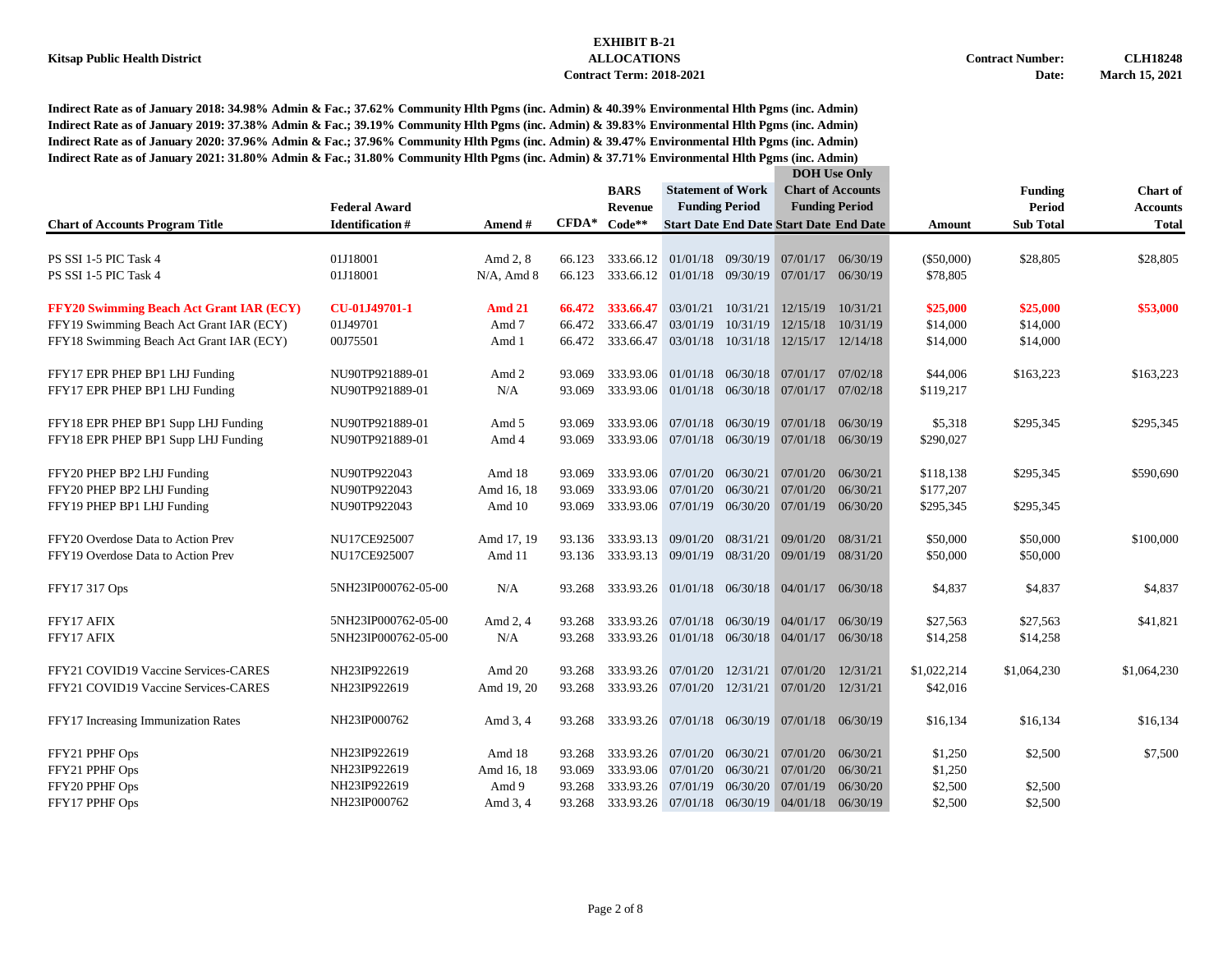|                                                 |                        |               |         |                                    |                             |                       |                                               | <b>DOH</b> Use Only                            |              |                  |                 |
|-------------------------------------------------|------------------------|---------------|---------|------------------------------------|-----------------------------|-----------------------|-----------------------------------------------|------------------------------------------------|--------------|------------------|-----------------|
|                                                 |                        |               |         | <b>BARS</b>                        | <b>Statement of Work</b>    |                       |                                               | <b>Chart of Accounts</b>                       |              | <b>Funding</b>   | <b>Chart</b> of |
|                                                 | <b>Federal Award</b>   |               |         | Revenue                            |                             | <b>Funding Period</b> |                                               | <b>Funding Period</b>                          |              | Period           | <b>Accounts</b> |
| <b>Chart of Accounts Program Title</b>          | <b>Identification#</b> | Amend #       | $CFDA*$ | $Code**$                           |                             |                       |                                               | <b>Start Date End Date Start Date End Date</b> | Amount       | <b>Sub Total</b> | <b>Total</b>    |
| PS SSI 1-5 PIC Task 4                           | 01J18001               | Amd 2, 8      | 66.123  | 333.66.12                          | 01/01/18 09/30/19           |                       |                                               | 07/01/17 06/30/19                              | $(\$50,000)$ | \$28,805         | \$28,805        |
| PS SSI 1-5 PIC Task 4                           | 01J18001               | $N/A$ , Amd 8 | 66.123  | 333.66.12                          | 01/01/18 09/30/19           |                       | 07/01/17 06/30/19                             |                                                | \$78,805     |                  |                 |
| <b>FFY20 Swimming Beach Act Grant IAR (ECY)</b> | CU-01J49701-1          | <b>Amd 21</b> | 66.472  | 333.66.47                          | 03/01/21                    | 10/31/21              | 12/15/19                                      | 10/31/21                                       | \$25,000     | \$25,000         | \$53,000        |
| FFY19 Swimming Beach Act Grant IAR (ECY)        | 01J49701               | Amd 7         | 66.472  | 333.66.47                          | 03/01/19                    | 10/31/19              |                                               | 12/15/18 10/31/19                              | \$14,000     | \$14,000         |                 |
| FFY18 Swimming Beach Act Grant IAR (ECY)        | 00J75501               | Amd 1         | 66.472  | 333.66.47                          | 03/01/18 10/31/18           |                       |                                               | 12/15/17 12/14/18                              | \$14,000     | \$14,000         |                 |
| FFY17 EPR PHEP BP1 LHJ Funding                  | NU90TP921889-01        | Amd 2         | 93.069  |                                    | 333.93.06 01/01/18 06/30/18 |                       | 07/01/17 07/02/18                             |                                                | \$44,006     | \$163,223        | \$163,223       |
| FFY17 EPR PHEP BP1 LHJ Funding                  | NU90TP921889-01        | N/A           | 93.069  |                                    | 333.93.06 01/01/18 06/30/18 |                       |                                               | 07/01/17 07/02/18                              | \$119,217    |                  |                 |
| FFY18 EPR PHEP BP1 Supp LHJ Funding             | NU90TP921889-01        | Amd 5         | 93.069  | 333.93.06                          |                             | 07/01/18 06/30/19     | 07/01/18 06/30/19                             |                                                | \$5,318      | \$295,345        | \$295,345       |
| FFY18 EPR PHEP BP1 Supp LHJ Funding             | NU90TP921889-01        | Amd 4         | 93.069  | 333.93.06                          |                             | 07/01/18 06/30/19     | 07/01/18                                      | 06/30/19                                       | \$290,027    |                  |                 |
| FFY20 PHEP BP2 LHJ Funding                      | NU90TP922043           | Amd 18        | 93.069  |                                    | 333.93.06 07/01/20 06/30/21 |                       | 07/01/20 06/30/21                             |                                                | \$118,138    | \$295,345        | \$590,690       |
| FFY20 PHEP BP2 LHJ Funding                      | NU90TP922043           | Amd 16, 18    | 93.069  | 333.93.06                          | 07/01/20                    | 06/30/21              | 07/01/20 06/30/21                             |                                                | \$177,207    |                  |                 |
| FFY19 PHEP BP1 LHJ Funding                      | NU90TP922043           | Amd 10        | 93.069  |                                    |                             |                       | 333.93.06 07/01/19 06/30/20 07/01/19 06/30/20 |                                                | \$295,345    | \$295,345        |                 |
| FFY20 Overdose Data to Action Prev              | NU17CE925007           | Amd 17, 19    | 93.136  |                                    | 333.93.13 09/01/20          | 08/31/21              | 09/01/20                                      | 08/31/21                                       | \$50,000     | \$50,000         | \$100,000       |
| FFY19 Overdose Data to Action Prev              | NU17CE925007           | Amd 11        |         | 93.136 333.93.13 09/01/19 08/31/20 |                             |                       | 09/01/19 08/31/20                             |                                                | \$50,000     | \$50,000         |                 |
| FFY17 317 Ops                                   | 5NH23IP000762-05-00    | N/A           | 93.268  |                                    | 333.93.26 01/01/18 06/30/18 |                       | 04/01/17 06/30/18                             |                                                | \$4,837      | \$4,837          | \$4,837         |
| FFY17 AFIX                                      | 5NH23IP000762-05-00    | Amd 2, 4      | 93.268  |                                    | 333.93.26 07/01/18 06/30/19 |                       | 04/01/17                                      | 06/30/19                                       | \$27,563     | \$27,563         | \$41,821        |
| FFY17 AFIX                                      | 5NH23IP000762-05-00    | N/A           | 93.268  |                                    |                             |                       | 333.93.26 01/01/18 06/30/18 04/01/17 06/30/18 |                                                | \$14,258     | \$14,258         |                 |
| FFY21 COVID19 Vaccine Services-CARES            | NH23IP922619           | Amd 20        | 93.268  |                                    | 333.93.26 07/01/20          | 12/31/21              | 07/01/20                                      | 12/31/21                                       | \$1,022,214  | \$1,064,230      | \$1,064,230     |
| FFY21 COVID19 Vaccine Services-CARES            | NH23IP922619           | Amd 19, 20    | 93.268  |                                    |                             |                       | 333.93.26 07/01/20 12/31/21 07/01/20 12/31/21 |                                                | \$42,016     |                  |                 |
| FFY17 Increasing Immunization Rates             | NH23IP000762           | Amd 3, 4      | 93.268  |                                    | 333.93.26 07/01/18 06/30/19 |                       |                                               | $07/01/18$ 06/30/19                            | \$16,134     | \$16,134         | \$16,134        |
| FFY21 PPHF Ops                                  | NH23IP922619           | Amd 18        | 93.268  |                                    | 333.93.26 07/01/20          | 06/30/21              | 07/01/20                                      | 06/30/21                                       | \$1,250      | \$2,500          | \$7,500         |
| FFY21 PPHF Ops                                  | NH23IP922619           | Amd 16, 18    | 93.069  | 333.93.06                          | 07/01/20                    | 06/30/21              | 07/01/20                                      | 06/30/21                                       | \$1,250      |                  |                 |
| FFY20 PPHF Ops                                  | NH23IP922619           | Amd 9         | 93.268  | 333.93.26                          | 07/01/19                    | 06/30/20              | 07/01/19                                      | 06/30/20                                       | \$2,500      | \$2,500          |                 |
| FFY17 PPHF Ops                                  | NH23IP000762           | Amd 3, 4      | 93.268  |                                    |                             |                       | 333.93.26 07/01/18 06/30/19 04/01/18 06/30/19 |                                                | \$2,500      | \$2,500          |                 |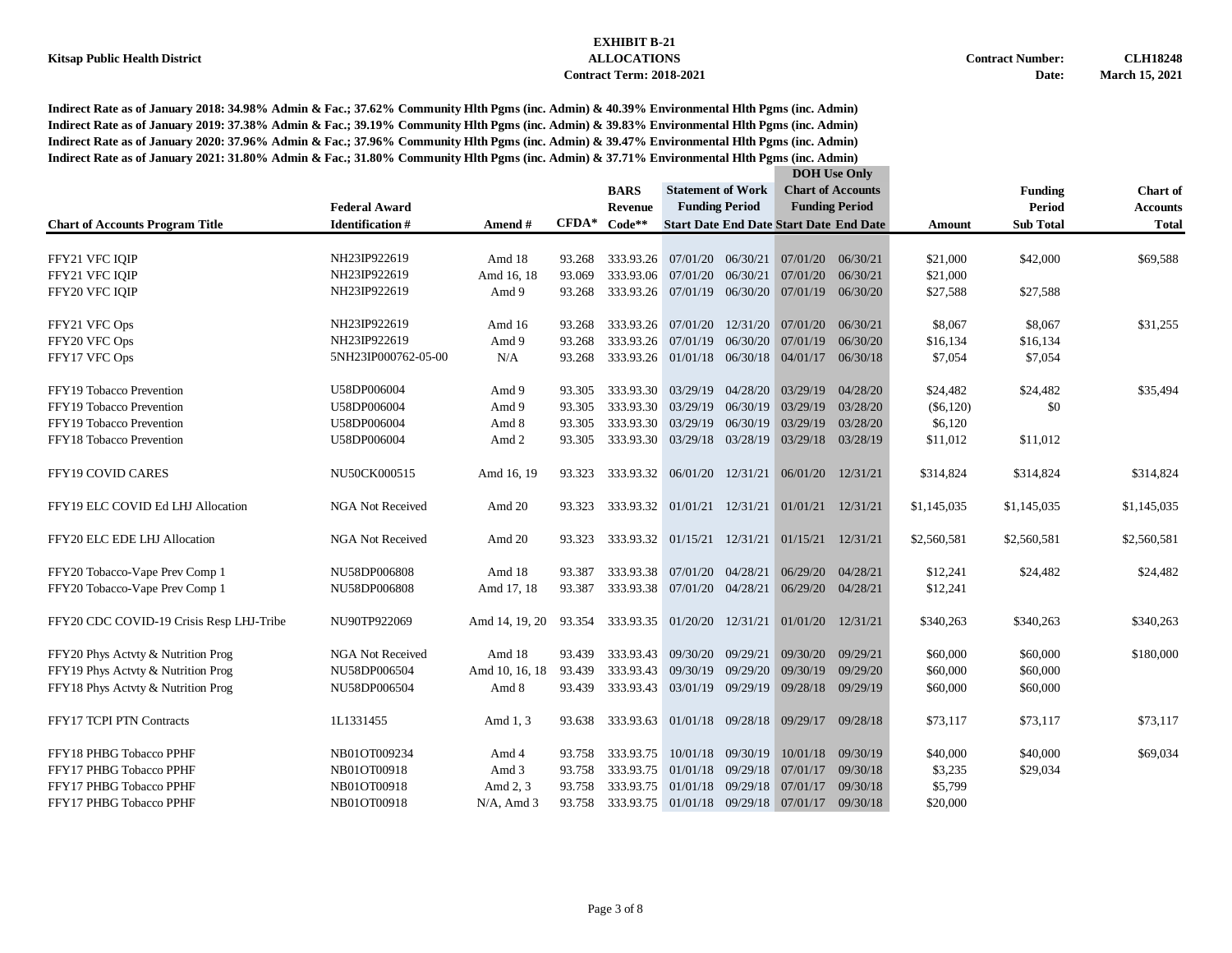|                                          |                         |                |         |                                               |                                      |                   | <b>DOH</b> Use Only                            |                          |             |                  |                 |
|------------------------------------------|-------------------------|----------------|---------|-----------------------------------------------|--------------------------------------|-------------------|------------------------------------------------|--------------------------|-------------|------------------|-----------------|
|                                          |                         |                |         | <b>BARS</b>                                   | <b>Statement of Work</b>             |                   |                                                | <b>Chart of Accounts</b> |             | <b>Funding</b>   | <b>Chart of</b> |
|                                          | <b>Federal Award</b>    |                |         | <b>Revenue</b>                                | <b>Funding Period</b>                |                   | <b>Funding Period</b>                          |                          |             | Period           | <b>Accounts</b> |
| <b>Chart of Accounts Program Title</b>   | <b>Identification#</b>  | Amend#         | $CFDA*$ | $Code**$                                      |                                      |                   | <b>Start Date End Date Start Date End Date</b> |                          | Amount      | <b>Sub Total</b> | <b>Total</b>    |
|                                          |                         |                |         |                                               |                                      |                   |                                                |                          |             |                  |                 |
| FFY21 VFC IQIP                           | NH23IP922619            | Amd 18         | 93.268  | 333.93.26                                     | 07/01/20                             | 06/30/21          | 07/01/20                                       | 06/30/21                 | \$21,000    | \$42,000         | \$69,588        |
| FFY21 VFC IOIP                           | NH23IP922619            | Amd 16, 18     | 93.069  | 333.93.06                                     | 07/01/20                             | 06/30/21          | 07/01/20                                       | 06/30/21                 | \$21,000    |                  |                 |
| FFY20 VFC IOIP                           | NH23IP922619            | Amd 9          | 93.268  |                                               | 333.93.26 07/01/19 06/30/20          |                   | 07/01/19                                       | 06/30/20                 | \$27,588    | \$27,588         |                 |
| FFY21 VFC Ops                            | NH23IP922619            | Amd 16         | 93.268  |                                               | 333.93.26 07/01/20                   |                   | 12/31/20 07/01/20                              | 06/30/21                 | \$8,067     | \$8,067          | \$31,255        |
| FFY20 VFC Ops                            | NH23IP922619            | Amd 9          | 93.268  | 333.93.26                                     | 07/01/19                             | 06/30/20          | 07/01/19                                       | 06/30/20                 | \$16,134    | \$16,134         |                 |
| FFY17 VFC Ops                            | 5NH23IP000762-05-00     | N/A            | 93.268  |                                               |                                      |                   | 333.93.26 01/01/18 06/30/18 04/01/17           | 06/30/18                 | \$7,054     | \$7,054          |                 |
|                                          |                         |                |         |                                               |                                      |                   |                                                |                          |             |                  |                 |
| FFY19 Tobacco Prevention                 | U58DP006004             | Amd 9          | 93.305  |                                               | 333.93.30 03/29/19 04/28/20          |                   | 03/29/19                                       | 04/28/20                 | \$24,482    | \$24,482         | \$35,494        |
| FFY19 Tobacco Prevention                 | U58DP006004             | Amd 9          | 93.305  | 333.93.30                                     | 03/29/19                             | 06/30/19          | 03/29/19                                       | 03/28/20                 | $(\$6,120)$ | \$0              |                 |
| FFY19 Tobacco Prevention                 | U58DP006004             | Amd 8          | 93.305  | 333.93.30                                     | 03/29/19                             | 06/30/19          | 03/29/19                                       | 03/28/20                 | \$6,120     |                  |                 |
| FFY18 Tobacco Prevention                 | U58DP006004             | Amd 2          | 93.305  | 333.93.30                                     | 03/29/18 03/28/19                    |                   | 03/29/18                                       | 03/28/19                 | \$11,012    | \$11,012         |                 |
| <b>FFY19 COVID CARES</b>                 | NU50CK000515            | Amd 16, 19     | 93.323  |                                               |                                      |                   | 333.93.32 06/01/20 12/31/21 06/01/20 12/31/21  |                          | \$314,824   | \$314,824        | \$314,824       |
| FFY19 ELC COVID Ed LHJ Allocation        | <b>NGA Not Received</b> | Amd 20         | 93.323  | 333.93.32 01/01/21 12/31/21 01/01/21 12/31/21 |                                      |                   |                                                |                          | \$1,145,035 | \$1,145,035      | \$1,145,035     |
| FFY20 ELC EDE LHJ Allocation             | <b>NGA Not Received</b> | Amd 20         | 93.323  | 333.93.32 01/15/21 12/31/21 01/15/21 12/31/21 |                                      |                   |                                                |                          | \$2,560,581 | \$2,560,581      | \$2,560,581     |
| FFY20 Tobacco-Vape Prev Comp 1           | NU58DP006808            | Amd 18         | 93.387  |                                               | 333.93.38 07/01/20 04/28/21          |                   | 06/29/20                                       | 04/28/21                 | \$12,241    | \$24,482         | \$24,482        |
| FFY20 Tobacco-Vape Prev Comp 1           | NU58DP006808            | Amd 17, 18     | 93.387  |                                               | 333.93.38 07/01/20 04/28/21          |                   | 06/29/20 04/28/21                              |                          | \$12,241    |                  |                 |
| FFY20 CDC COVID-19 Crisis Resp LHJ-Tribe | NU90TP922069            | Amd 14, 19, 20 | 93.354  |                                               | 333.93.35 01/20/20                   |                   | 12/31/21 01/01/20 12/31/21                     |                          | \$340,263   | \$340,263        | \$340,263       |
| FFY20 Phys Actvty & Nutrition Prog       | <b>NGA Not Received</b> | Amd 18         | 93.439  | 333.93.43                                     | 09/30/20                             | 09/29/21          | 09/30/20                                       | 09/29/21                 | \$60,000    | \$60,000         | \$180,000       |
| FFY19 Phys Actvty & Nutrition Prog       | NU58DP006504            | Amd 10, 16, 18 | 93.439  | 333.93.43                                     | 09/30/19                             | 09/29/20          | 09/30/19                                       | 09/29/20                 | \$60,000    | \$60,000         |                 |
| FFY18 Phys Actvty & Nutrition Prog       | NU58DP006504            | Amd 8          | 93.439  | 333.93.43 03/01/19 09/29/19                   |                                      |                   | 09/28/18 09/29/19                              |                          | \$60,000    | \$60,000         |                 |
| FFY17 TCPI PTN Contracts                 | 1L1331455               | Amd 1, 3       | 93.638  | 333.93.63                                     |                                      |                   | 01/01/18 09/28/18 09/29/17                     | 09/28/18                 | \$73,117    | \$73,117         | \$73,117        |
| FFY18 PHBG Tobacco PPHF                  | NB01OT009234            | Amd 4          | 93.758  | 333.93.75                                     |                                      | 10/01/18 09/30/19 | 10/01/18                                       | 09/30/19                 | \$40,000    | \$40,000         | \$69,034        |
| FFY17 PHBG Tobacco PPHF                  | NB01OT00918             | Amd 3          | 93.758  | 333.93.75                                     |                                      | 01/01/18 09/29/18 | 07/01/17                                       | 09/30/18                 | \$3,235     | \$29,034         |                 |
| FFY17 PHBG Tobacco PPHF                  | NB01OT00918             | Amd 2, 3       | 93.758  | 333.93.75                                     | 01/01/18                             | 09/29/18          | 07/01/17                                       | 09/30/18                 | \$5,799     |                  |                 |
| FFY17 PHBG Tobacco PPHF                  | NB01OT00918             | $N/A$ , Amd 3  | 93.758  |                                               | 333.93.75 01/01/18 09/29/18 07/01/17 |                   |                                                | 09/30/18                 | \$20,000    |                  |                 |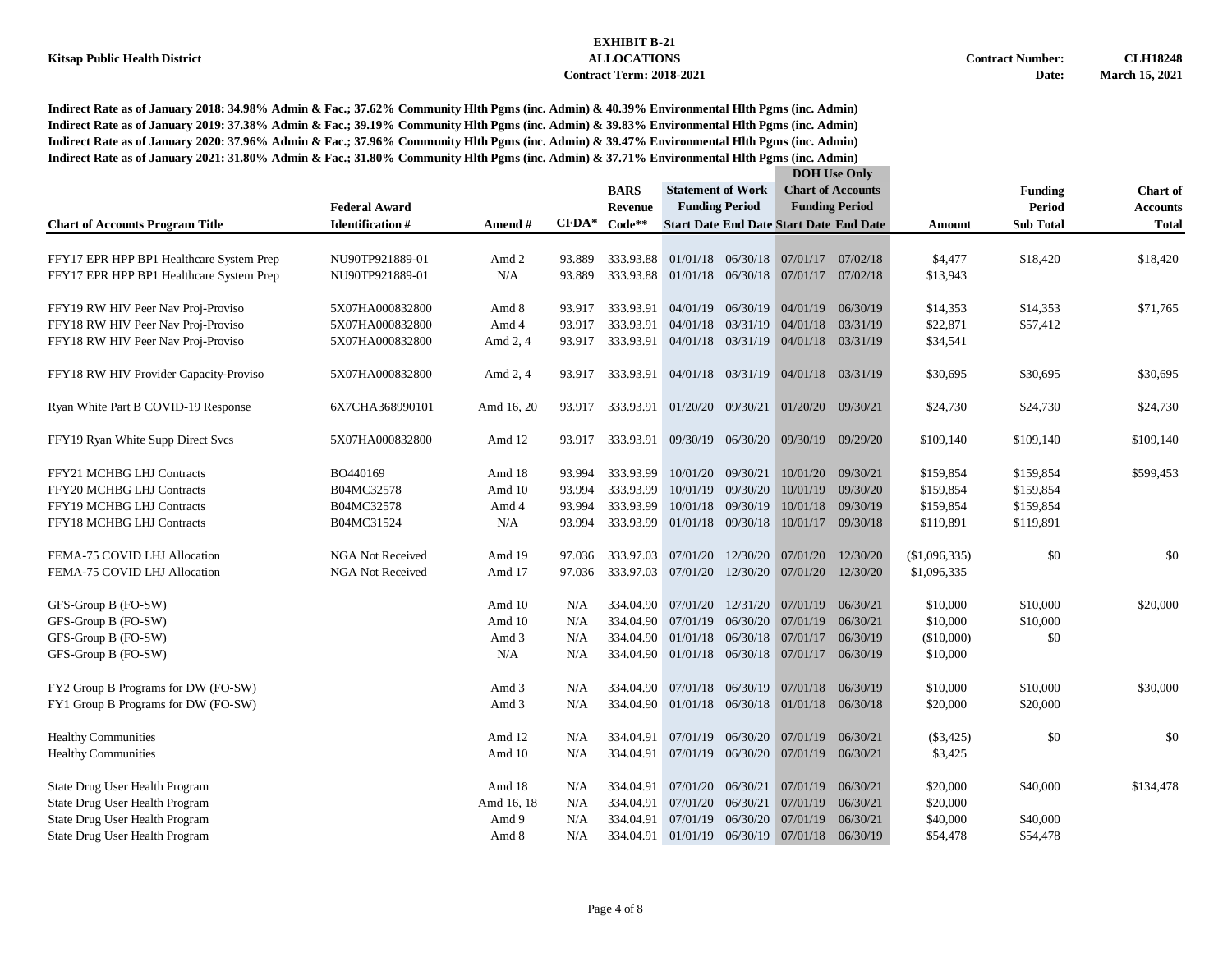#### **Kitsap Public Health District ALLOCATIONS Contract Number: CLH18248 Contract Term: 2018-2021 Date: March 15, 2021**

| <b>Chart of Accounts</b><br><b>BARS</b><br><b>Statement of Work</b><br><b>Funding</b><br><b>Chart</b> of<br><b>Funding Period</b><br><b>Federal Award</b><br><b>Funding Period</b><br>Period<br>Revenue<br><b>Accounts</b><br>$CFDA*$<br><b>Identification#</b><br>$Code**$<br><b>Start Date End Date Start Date End Date</b><br><b>Sub Total</b><br><b>Chart of Accounts Program Title</b><br>Amend #<br><b>Total</b><br>Amount<br>01/01/18 06/30/18 07/01/17 07/02/18<br>\$4,477<br>\$18,420<br>FFY17 EPR HPP BP1 Healthcare System Prep<br>NU90TP921889-01<br>Amd 2<br>93.889<br>333.93.88<br>\$18,420<br>N/A<br>93.889<br>333.93.88<br>01/01/18 06/30/18<br>07/01/17 07/02/18<br>\$13,943<br>FFY17 EPR HPP BP1 Healthcare System Prep<br>NU90TP921889-01<br>04/01/19 06/30/19 04/01/19 06/30/19<br>\$71,765<br>FFY19 RW HIV Peer Nav Proj-Proviso<br>5X07HA000832800<br>Amd 8<br>93.917<br>333.93.91<br>\$14,353<br>\$14,353<br>5X07HA000832800<br>333.93.91<br>04/01/18<br>03/31/19<br>04/01/18 03/31/19<br>\$22,871<br>\$57,412<br>FFY18 RW HIV Peer Nav Proj-Proviso<br>Amd 4<br>93.917<br>FFY18 RW HIV Peer Nav Proj-Proviso<br>333.93.91 04/01/18 03/31/19<br>04/01/18 03/31/19<br>\$34,541<br>5X07HA000832800<br>Amd 2, 4<br>93.917<br>5X07HA000832800<br>333.93.91 04/01/18 03/31/19<br>\$30,695<br>\$30,695<br>FFY18 RW HIV Provider Capacity-Proviso<br>Amd 2, 4<br>04/01/18 03/31/19<br>\$30,695<br>93.917<br>Ryan White Part B COVID-19 Response<br>6X7CHA368990101<br>Amd 16, 20<br>93.917<br>333.93.91 01/20/20 09/30/21<br>01/20/20 09/30/21<br>\$24,730<br>\$24,730<br>\$24,730<br>FFY19 Ryan White Supp Direct Svcs<br>5X07HA000832800<br>Amd 12<br>333.93.91 09/30/19 06/30/20<br>09/30/19 09/29/20<br>\$109,140<br>\$109,140<br>\$109,140<br>93.917<br>FFY21 MCHBG LHJ Contracts<br>BO440169<br>333.93.99<br>10/01/20<br>09/30/21<br>10/01/20 09/30/21<br>\$599,453<br>Amd 18<br>93.994<br>\$159,854<br>\$159,854<br>09/30/20<br>10/01/19<br>FFY20 MCHBG LHJ Contracts<br>B04MC32578<br>Amd 10<br>93.994<br>333.93.99<br>10/01/19<br>09/30/20<br>\$159,854<br>\$159,854<br>10/01/18 09/30/19<br>10/01/18 09/30/19<br>FFY19 MCHBG LHJ Contracts<br>B04MC32578<br>Amd 4<br>93.994<br>333.93.99<br>\$159,854<br>\$159,854<br>333.93.99 01/01/18 09/30/18<br>FFY18 MCHBG LHJ Contracts<br>B04MC31524<br>N/A<br>93.994<br>10/01/17 09/30/18<br>\$119,891<br>\$119,891<br>FEMA-75 COVID LHJ Allocation<br><b>NGA Not Received</b><br>Amd 19<br>07/01/20<br>12/30/20 07/01/20<br>12/30/20<br>\$0<br>\$0<br>97.036<br>333.97.03<br>(\$1,096,335)<br>07/01/20<br>12/30/20<br>07/01/20<br>FEMA-75 COVID LHJ Allocation<br><b>NGA Not Received</b><br>Amd 17<br>97.036<br>333.97.03<br>12/30/20<br>\$1,096,335<br>Amd 10<br>334.04.90<br>07/01/20<br>12/31/20<br>07/01/19<br>06/30/21<br>\$10,000<br>\$10,000<br>\$20,000<br>GFS-Group B (FO-SW)<br>N/A<br>07/01/19<br>06/30/21<br>GFS-Group B (FO-SW)<br>Amd 10<br>N/A<br>334.04.90 07/01/19 06/30/20<br>\$10,000<br>\$10,000<br>$01/01/18$ 06/30/18<br>07/01/17 06/30/19<br>GFS-Group B (FO-SW)<br>Amd 3<br>N/A<br>334.04.90<br>(\$10,000)<br>\$0<br>334.04.90 01/01/18 06/30/18<br>07/01/17 06/30/19<br>GFS-Group B (FO-SW)<br>N/A<br>\$10,000<br>N/A<br>07/01/18 06/30/19<br>07/01/18 06/30/19<br>\$10,000<br>\$10,000<br>\$30,000<br>FY2 Group B Programs for DW (FO-SW)<br>Amd 3<br>N/A<br>334.04.90<br>FY1 Group B Programs for DW (FO-SW)<br>334.04.90 01/01/18 06/30/18 01/01/18 06/30/18<br>\$20,000<br>\$20,000<br>Amd 3<br>N/A<br>\$0<br><b>Healthy Communities</b><br>Amd 12<br>334.04.91<br>07/01/19 06/30/20 07/01/19<br>06/30/21<br>(\$3,425)<br>\$0<br>N/A<br><b>Healthy Communities</b><br>Amd 10<br>334.04.91 07/01/19 06/30/20 07/01/19 06/30/21<br>\$3,425<br>N/A<br>Amd 18<br>07/01/20 06/30/21<br>07/01/19 06/30/21<br>\$20,000<br>\$40,000<br>\$134,478<br>State Drug User Health Program<br>N/A<br>334.04.91<br>Amd 16, 18<br>06/30/21<br>07/01/19<br>06/30/21<br>\$20,000<br>State Drug User Health Program<br>N/A<br>334.04.91<br>07/01/20<br>State Drug User Health Program<br>Amd 9<br>N/A<br>334.04.91<br>07/01/19<br>06/30/20 07/01/19<br>06/30/21<br>\$40,000<br>\$40,000<br>01/01/19 06/30/19 |                                |       |     |           |  |  | <b>DOH</b> Use Only |          |          |          |  |
|-------------------------------------------------------------------------------------------------------------------------------------------------------------------------------------------------------------------------------------------------------------------------------------------------------------------------------------------------------------------------------------------------------------------------------------------------------------------------------------------------------------------------------------------------------------------------------------------------------------------------------------------------------------------------------------------------------------------------------------------------------------------------------------------------------------------------------------------------------------------------------------------------------------------------------------------------------------------------------------------------------------------------------------------------------------------------------------------------------------------------------------------------------------------------------------------------------------------------------------------------------------------------------------------------------------------------------------------------------------------------------------------------------------------------------------------------------------------------------------------------------------------------------------------------------------------------------------------------------------------------------------------------------------------------------------------------------------------------------------------------------------------------------------------------------------------------------------------------------------------------------------------------------------------------------------------------------------------------------------------------------------------------------------------------------------------------------------------------------------------------------------------------------------------------------------------------------------------------------------------------------------------------------------------------------------------------------------------------------------------------------------------------------------------------------------------------------------------------------------------------------------------------------------------------------------------------------------------------------------------------------------------------------------------------------------------------------------------------------------------------------------------------------------------------------------------------------------------------------------------------------------------------------------------------------------------------------------------------------------------------------------------------------------------------------------------------------------------------------------------------------------------------------------------------------------------------------------------------------------------------------------------------------------------------------------------------------------------------------------------------------------------------------------------------------------------------------------------------------------------------------------------------------------------------------------------------------------------------------------------------------------------------------------------------------------------------------------------------------------------------------------------------------------------------------------------------------------------------------------------------------------------------------------------------------------------------------------------------------------------------------------------------------------------------------------------------------------------------------------------------------------------------------------------------------------------|--------------------------------|-------|-----|-----------|--|--|---------------------|----------|----------|----------|--|
|                                                                                                                                                                                                                                                                                                                                                                                                                                                                                                                                                                                                                                                                                                                                                                                                                                                                                                                                                                                                                                                                                                                                                                                                                                                                                                                                                                                                                                                                                                                                                                                                                                                                                                                                                                                                                                                                                                                                                                                                                                                                                                                                                                                                                                                                                                                                                                                                                                                                                                                                                                                                                                                                                                                                                                                                                                                                                                                                                                                                                                                                                                                                                                                                                                                                                                                                                                                                                                                                                                                                                                                                                                                                                                                                                                                                                                                                                                                                                                                                                                                                                                                                                                                           |                                |       |     |           |  |  |                     |          |          |          |  |
|                                                                                                                                                                                                                                                                                                                                                                                                                                                                                                                                                                                                                                                                                                                                                                                                                                                                                                                                                                                                                                                                                                                                                                                                                                                                                                                                                                                                                                                                                                                                                                                                                                                                                                                                                                                                                                                                                                                                                                                                                                                                                                                                                                                                                                                                                                                                                                                                                                                                                                                                                                                                                                                                                                                                                                                                                                                                                                                                                                                                                                                                                                                                                                                                                                                                                                                                                                                                                                                                                                                                                                                                                                                                                                                                                                                                                                                                                                                                                                                                                                                                                                                                                                                           |                                |       |     |           |  |  |                     |          |          |          |  |
|                                                                                                                                                                                                                                                                                                                                                                                                                                                                                                                                                                                                                                                                                                                                                                                                                                                                                                                                                                                                                                                                                                                                                                                                                                                                                                                                                                                                                                                                                                                                                                                                                                                                                                                                                                                                                                                                                                                                                                                                                                                                                                                                                                                                                                                                                                                                                                                                                                                                                                                                                                                                                                                                                                                                                                                                                                                                                                                                                                                                                                                                                                                                                                                                                                                                                                                                                                                                                                                                                                                                                                                                                                                                                                                                                                                                                                                                                                                                                                                                                                                                                                                                                                                           |                                |       |     |           |  |  |                     |          |          |          |  |
|                                                                                                                                                                                                                                                                                                                                                                                                                                                                                                                                                                                                                                                                                                                                                                                                                                                                                                                                                                                                                                                                                                                                                                                                                                                                                                                                                                                                                                                                                                                                                                                                                                                                                                                                                                                                                                                                                                                                                                                                                                                                                                                                                                                                                                                                                                                                                                                                                                                                                                                                                                                                                                                                                                                                                                                                                                                                                                                                                                                                                                                                                                                                                                                                                                                                                                                                                                                                                                                                                                                                                                                                                                                                                                                                                                                                                                                                                                                                                                                                                                                                                                                                                                                           |                                |       |     |           |  |  |                     |          |          |          |  |
|                                                                                                                                                                                                                                                                                                                                                                                                                                                                                                                                                                                                                                                                                                                                                                                                                                                                                                                                                                                                                                                                                                                                                                                                                                                                                                                                                                                                                                                                                                                                                                                                                                                                                                                                                                                                                                                                                                                                                                                                                                                                                                                                                                                                                                                                                                                                                                                                                                                                                                                                                                                                                                                                                                                                                                                                                                                                                                                                                                                                                                                                                                                                                                                                                                                                                                                                                                                                                                                                                                                                                                                                                                                                                                                                                                                                                                                                                                                                                                                                                                                                                                                                                                                           |                                |       |     |           |  |  |                     |          |          |          |  |
|                                                                                                                                                                                                                                                                                                                                                                                                                                                                                                                                                                                                                                                                                                                                                                                                                                                                                                                                                                                                                                                                                                                                                                                                                                                                                                                                                                                                                                                                                                                                                                                                                                                                                                                                                                                                                                                                                                                                                                                                                                                                                                                                                                                                                                                                                                                                                                                                                                                                                                                                                                                                                                                                                                                                                                                                                                                                                                                                                                                                                                                                                                                                                                                                                                                                                                                                                                                                                                                                                                                                                                                                                                                                                                                                                                                                                                                                                                                                                                                                                                                                                                                                                                                           |                                |       |     |           |  |  |                     |          |          |          |  |
|                                                                                                                                                                                                                                                                                                                                                                                                                                                                                                                                                                                                                                                                                                                                                                                                                                                                                                                                                                                                                                                                                                                                                                                                                                                                                                                                                                                                                                                                                                                                                                                                                                                                                                                                                                                                                                                                                                                                                                                                                                                                                                                                                                                                                                                                                                                                                                                                                                                                                                                                                                                                                                                                                                                                                                                                                                                                                                                                                                                                                                                                                                                                                                                                                                                                                                                                                                                                                                                                                                                                                                                                                                                                                                                                                                                                                                                                                                                                                                                                                                                                                                                                                                                           |                                |       |     |           |  |  |                     |          |          |          |  |
|                                                                                                                                                                                                                                                                                                                                                                                                                                                                                                                                                                                                                                                                                                                                                                                                                                                                                                                                                                                                                                                                                                                                                                                                                                                                                                                                                                                                                                                                                                                                                                                                                                                                                                                                                                                                                                                                                                                                                                                                                                                                                                                                                                                                                                                                                                                                                                                                                                                                                                                                                                                                                                                                                                                                                                                                                                                                                                                                                                                                                                                                                                                                                                                                                                                                                                                                                                                                                                                                                                                                                                                                                                                                                                                                                                                                                                                                                                                                                                                                                                                                                                                                                                                           |                                |       |     |           |  |  |                     |          |          |          |  |
|                                                                                                                                                                                                                                                                                                                                                                                                                                                                                                                                                                                                                                                                                                                                                                                                                                                                                                                                                                                                                                                                                                                                                                                                                                                                                                                                                                                                                                                                                                                                                                                                                                                                                                                                                                                                                                                                                                                                                                                                                                                                                                                                                                                                                                                                                                                                                                                                                                                                                                                                                                                                                                                                                                                                                                                                                                                                                                                                                                                                                                                                                                                                                                                                                                                                                                                                                                                                                                                                                                                                                                                                                                                                                                                                                                                                                                                                                                                                                                                                                                                                                                                                                                                           |                                |       |     |           |  |  |                     |          |          |          |  |
|                                                                                                                                                                                                                                                                                                                                                                                                                                                                                                                                                                                                                                                                                                                                                                                                                                                                                                                                                                                                                                                                                                                                                                                                                                                                                                                                                                                                                                                                                                                                                                                                                                                                                                                                                                                                                                                                                                                                                                                                                                                                                                                                                                                                                                                                                                                                                                                                                                                                                                                                                                                                                                                                                                                                                                                                                                                                                                                                                                                                                                                                                                                                                                                                                                                                                                                                                                                                                                                                                                                                                                                                                                                                                                                                                                                                                                                                                                                                                                                                                                                                                                                                                                                           |                                |       |     |           |  |  |                     |          |          |          |  |
|                                                                                                                                                                                                                                                                                                                                                                                                                                                                                                                                                                                                                                                                                                                                                                                                                                                                                                                                                                                                                                                                                                                                                                                                                                                                                                                                                                                                                                                                                                                                                                                                                                                                                                                                                                                                                                                                                                                                                                                                                                                                                                                                                                                                                                                                                                                                                                                                                                                                                                                                                                                                                                                                                                                                                                                                                                                                                                                                                                                                                                                                                                                                                                                                                                                                                                                                                                                                                                                                                                                                                                                                                                                                                                                                                                                                                                                                                                                                                                                                                                                                                                                                                                                           |                                |       |     |           |  |  |                     |          |          |          |  |
|                                                                                                                                                                                                                                                                                                                                                                                                                                                                                                                                                                                                                                                                                                                                                                                                                                                                                                                                                                                                                                                                                                                                                                                                                                                                                                                                                                                                                                                                                                                                                                                                                                                                                                                                                                                                                                                                                                                                                                                                                                                                                                                                                                                                                                                                                                                                                                                                                                                                                                                                                                                                                                                                                                                                                                                                                                                                                                                                                                                                                                                                                                                                                                                                                                                                                                                                                                                                                                                                                                                                                                                                                                                                                                                                                                                                                                                                                                                                                                                                                                                                                                                                                                                           |                                |       |     |           |  |  |                     |          |          |          |  |
|                                                                                                                                                                                                                                                                                                                                                                                                                                                                                                                                                                                                                                                                                                                                                                                                                                                                                                                                                                                                                                                                                                                                                                                                                                                                                                                                                                                                                                                                                                                                                                                                                                                                                                                                                                                                                                                                                                                                                                                                                                                                                                                                                                                                                                                                                                                                                                                                                                                                                                                                                                                                                                                                                                                                                                                                                                                                                                                                                                                                                                                                                                                                                                                                                                                                                                                                                                                                                                                                                                                                                                                                                                                                                                                                                                                                                                                                                                                                                                                                                                                                                                                                                                                           |                                |       |     |           |  |  |                     |          |          |          |  |
|                                                                                                                                                                                                                                                                                                                                                                                                                                                                                                                                                                                                                                                                                                                                                                                                                                                                                                                                                                                                                                                                                                                                                                                                                                                                                                                                                                                                                                                                                                                                                                                                                                                                                                                                                                                                                                                                                                                                                                                                                                                                                                                                                                                                                                                                                                                                                                                                                                                                                                                                                                                                                                                                                                                                                                                                                                                                                                                                                                                                                                                                                                                                                                                                                                                                                                                                                                                                                                                                                                                                                                                                                                                                                                                                                                                                                                                                                                                                                                                                                                                                                                                                                                                           |                                |       |     |           |  |  |                     |          |          |          |  |
|                                                                                                                                                                                                                                                                                                                                                                                                                                                                                                                                                                                                                                                                                                                                                                                                                                                                                                                                                                                                                                                                                                                                                                                                                                                                                                                                                                                                                                                                                                                                                                                                                                                                                                                                                                                                                                                                                                                                                                                                                                                                                                                                                                                                                                                                                                                                                                                                                                                                                                                                                                                                                                                                                                                                                                                                                                                                                                                                                                                                                                                                                                                                                                                                                                                                                                                                                                                                                                                                                                                                                                                                                                                                                                                                                                                                                                                                                                                                                                                                                                                                                                                                                                                           |                                |       |     |           |  |  |                     |          |          |          |  |
|                                                                                                                                                                                                                                                                                                                                                                                                                                                                                                                                                                                                                                                                                                                                                                                                                                                                                                                                                                                                                                                                                                                                                                                                                                                                                                                                                                                                                                                                                                                                                                                                                                                                                                                                                                                                                                                                                                                                                                                                                                                                                                                                                                                                                                                                                                                                                                                                                                                                                                                                                                                                                                                                                                                                                                                                                                                                                                                                                                                                                                                                                                                                                                                                                                                                                                                                                                                                                                                                                                                                                                                                                                                                                                                                                                                                                                                                                                                                                                                                                                                                                                                                                                                           |                                |       |     |           |  |  |                     |          |          |          |  |
|                                                                                                                                                                                                                                                                                                                                                                                                                                                                                                                                                                                                                                                                                                                                                                                                                                                                                                                                                                                                                                                                                                                                                                                                                                                                                                                                                                                                                                                                                                                                                                                                                                                                                                                                                                                                                                                                                                                                                                                                                                                                                                                                                                                                                                                                                                                                                                                                                                                                                                                                                                                                                                                                                                                                                                                                                                                                                                                                                                                                                                                                                                                                                                                                                                                                                                                                                                                                                                                                                                                                                                                                                                                                                                                                                                                                                                                                                                                                                                                                                                                                                                                                                                                           |                                |       |     |           |  |  |                     |          |          |          |  |
|                                                                                                                                                                                                                                                                                                                                                                                                                                                                                                                                                                                                                                                                                                                                                                                                                                                                                                                                                                                                                                                                                                                                                                                                                                                                                                                                                                                                                                                                                                                                                                                                                                                                                                                                                                                                                                                                                                                                                                                                                                                                                                                                                                                                                                                                                                                                                                                                                                                                                                                                                                                                                                                                                                                                                                                                                                                                                                                                                                                                                                                                                                                                                                                                                                                                                                                                                                                                                                                                                                                                                                                                                                                                                                                                                                                                                                                                                                                                                                                                                                                                                                                                                                                           |                                |       |     |           |  |  |                     |          |          |          |  |
|                                                                                                                                                                                                                                                                                                                                                                                                                                                                                                                                                                                                                                                                                                                                                                                                                                                                                                                                                                                                                                                                                                                                                                                                                                                                                                                                                                                                                                                                                                                                                                                                                                                                                                                                                                                                                                                                                                                                                                                                                                                                                                                                                                                                                                                                                                                                                                                                                                                                                                                                                                                                                                                                                                                                                                                                                                                                                                                                                                                                                                                                                                                                                                                                                                                                                                                                                                                                                                                                                                                                                                                                                                                                                                                                                                                                                                                                                                                                                                                                                                                                                                                                                                                           |                                |       |     |           |  |  |                     |          |          |          |  |
|                                                                                                                                                                                                                                                                                                                                                                                                                                                                                                                                                                                                                                                                                                                                                                                                                                                                                                                                                                                                                                                                                                                                                                                                                                                                                                                                                                                                                                                                                                                                                                                                                                                                                                                                                                                                                                                                                                                                                                                                                                                                                                                                                                                                                                                                                                                                                                                                                                                                                                                                                                                                                                                                                                                                                                                                                                                                                                                                                                                                                                                                                                                                                                                                                                                                                                                                                                                                                                                                                                                                                                                                                                                                                                                                                                                                                                                                                                                                                                                                                                                                                                                                                                                           |                                |       |     |           |  |  |                     |          |          |          |  |
|                                                                                                                                                                                                                                                                                                                                                                                                                                                                                                                                                                                                                                                                                                                                                                                                                                                                                                                                                                                                                                                                                                                                                                                                                                                                                                                                                                                                                                                                                                                                                                                                                                                                                                                                                                                                                                                                                                                                                                                                                                                                                                                                                                                                                                                                                                                                                                                                                                                                                                                                                                                                                                                                                                                                                                                                                                                                                                                                                                                                                                                                                                                                                                                                                                                                                                                                                                                                                                                                                                                                                                                                                                                                                                                                                                                                                                                                                                                                                                                                                                                                                                                                                                                           |                                |       |     |           |  |  |                     |          |          |          |  |
|                                                                                                                                                                                                                                                                                                                                                                                                                                                                                                                                                                                                                                                                                                                                                                                                                                                                                                                                                                                                                                                                                                                                                                                                                                                                                                                                                                                                                                                                                                                                                                                                                                                                                                                                                                                                                                                                                                                                                                                                                                                                                                                                                                                                                                                                                                                                                                                                                                                                                                                                                                                                                                                                                                                                                                                                                                                                                                                                                                                                                                                                                                                                                                                                                                                                                                                                                                                                                                                                                                                                                                                                                                                                                                                                                                                                                                                                                                                                                                                                                                                                                                                                                                                           |                                |       |     |           |  |  |                     |          |          |          |  |
|                                                                                                                                                                                                                                                                                                                                                                                                                                                                                                                                                                                                                                                                                                                                                                                                                                                                                                                                                                                                                                                                                                                                                                                                                                                                                                                                                                                                                                                                                                                                                                                                                                                                                                                                                                                                                                                                                                                                                                                                                                                                                                                                                                                                                                                                                                                                                                                                                                                                                                                                                                                                                                                                                                                                                                                                                                                                                                                                                                                                                                                                                                                                                                                                                                                                                                                                                                                                                                                                                                                                                                                                                                                                                                                                                                                                                                                                                                                                                                                                                                                                                                                                                                                           |                                |       |     |           |  |  |                     |          |          |          |  |
|                                                                                                                                                                                                                                                                                                                                                                                                                                                                                                                                                                                                                                                                                                                                                                                                                                                                                                                                                                                                                                                                                                                                                                                                                                                                                                                                                                                                                                                                                                                                                                                                                                                                                                                                                                                                                                                                                                                                                                                                                                                                                                                                                                                                                                                                                                                                                                                                                                                                                                                                                                                                                                                                                                                                                                                                                                                                                                                                                                                                                                                                                                                                                                                                                                                                                                                                                                                                                                                                                                                                                                                                                                                                                                                                                                                                                                                                                                                                                                                                                                                                                                                                                                                           |                                |       |     |           |  |  |                     |          |          |          |  |
|                                                                                                                                                                                                                                                                                                                                                                                                                                                                                                                                                                                                                                                                                                                                                                                                                                                                                                                                                                                                                                                                                                                                                                                                                                                                                                                                                                                                                                                                                                                                                                                                                                                                                                                                                                                                                                                                                                                                                                                                                                                                                                                                                                                                                                                                                                                                                                                                                                                                                                                                                                                                                                                                                                                                                                                                                                                                                                                                                                                                                                                                                                                                                                                                                                                                                                                                                                                                                                                                                                                                                                                                                                                                                                                                                                                                                                                                                                                                                                                                                                                                                                                                                                                           |                                |       |     |           |  |  |                     |          |          |          |  |
|                                                                                                                                                                                                                                                                                                                                                                                                                                                                                                                                                                                                                                                                                                                                                                                                                                                                                                                                                                                                                                                                                                                                                                                                                                                                                                                                                                                                                                                                                                                                                                                                                                                                                                                                                                                                                                                                                                                                                                                                                                                                                                                                                                                                                                                                                                                                                                                                                                                                                                                                                                                                                                                                                                                                                                                                                                                                                                                                                                                                                                                                                                                                                                                                                                                                                                                                                                                                                                                                                                                                                                                                                                                                                                                                                                                                                                                                                                                                                                                                                                                                                                                                                                                           |                                |       |     |           |  |  |                     |          |          |          |  |
|                                                                                                                                                                                                                                                                                                                                                                                                                                                                                                                                                                                                                                                                                                                                                                                                                                                                                                                                                                                                                                                                                                                                                                                                                                                                                                                                                                                                                                                                                                                                                                                                                                                                                                                                                                                                                                                                                                                                                                                                                                                                                                                                                                                                                                                                                                                                                                                                                                                                                                                                                                                                                                                                                                                                                                                                                                                                                                                                                                                                                                                                                                                                                                                                                                                                                                                                                                                                                                                                                                                                                                                                                                                                                                                                                                                                                                                                                                                                                                                                                                                                                                                                                                                           |                                |       |     |           |  |  |                     |          |          |          |  |
|                                                                                                                                                                                                                                                                                                                                                                                                                                                                                                                                                                                                                                                                                                                                                                                                                                                                                                                                                                                                                                                                                                                                                                                                                                                                                                                                                                                                                                                                                                                                                                                                                                                                                                                                                                                                                                                                                                                                                                                                                                                                                                                                                                                                                                                                                                                                                                                                                                                                                                                                                                                                                                                                                                                                                                                                                                                                                                                                                                                                                                                                                                                                                                                                                                                                                                                                                                                                                                                                                                                                                                                                                                                                                                                                                                                                                                                                                                                                                                                                                                                                                                                                                                                           |                                |       |     |           |  |  |                     |          |          |          |  |
|                                                                                                                                                                                                                                                                                                                                                                                                                                                                                                                                                                                                                                                                                                                                                                                                                                                                                                                                                                                                                                                                                                                                                                                                                                                                                                                                                                                                                                                                                                                                                                                                                                                                                                                                                                                                                                                                                                                                                                                                                                                                                                                                                                                                                                                                                                                                                                                                                                                                                                                                                                                                                                                                                                                                                                                                                                                                                                                                                                                                                                                                                                                                                                                                                                                                                                                                                                                                                                                                                                                                                                                                                                                                                                                                                                                                                                                                                                                                                                                                                                                                                                                                                                                           |                                |       |     |           |  |  |                     |          |          |          |  |
|                                                                                                                                                                                                                                                                                                                                                                                                                                                                                                                                                                                                                                                                                                                                                                                                                                                                                                                                                                                                                                                                                                                                                                                                                                                                                                                                                                                                                                                                                                                                                                                                                                                                                                                                                                                                                                                                                                                                                                                                                                                                                                                                                                                                                                                                                                                                                                                                                                                                                                                                                                                                                                                                                                                                                                                                                                                                                                                                                                                                                                                                                                                                                                                                                                                                                                                                                                                                                                                                                                                                                                                                                                                                                                                                                                                                                                                                                                                                                                                                                                                                                                                                                                                           |                                |       |     |           |  |  |                     |          |          |          |  |
|                                                                                                                                                                                                                                                                                                                                                                                                                                                                                                                                                                                                                                                                                                                                                                                                                                                                                                                                                                                                                                                                                                                                                                                                                                                                                                                                                                                                                                                                                                                                                                                                                                                                                                                                                                                                                                                                                                                                                                                                                                                                                                                                                                                                                                                                                                                                                                                                                                                                                                                                                                                                                                                                                                                                                                                                                                                                                                                                                                                                                                                                                                                                                                                                                                                                                                                                                                                                                                                                                                                                                                                                                                                                                                                                                                                                                                                                                                                                                                                                                                                                                                                                                                                           |                                |       |     |           |  |  |                     |          |          |          |  |
|                                                                                                                                                                                                                                                                                                                                                                                                                                                                                                                                                                                                                                                                                                                                                                                                                                                                                                                                                                                                                                                                                                                                                                                                                                                                                                                                                                                                                                                                                                                                                                                                                                                                                                                                                                                                                                                                                                                                                                                                                                                                                                                                                                                                                                                                                                                                                                                                                                                                                                                                                                                                                                                                                                                                                                                                                                                                                                                                                                                                                                                                                                                                                                                                                                                                                                                                                                                                                                                                                                                                                                                                                                                                                                                                                                                                                                                                                                                                                                                                                                                                                                                                                                                           |                                |       |     |           |  |  |                     |          |          |          |  |
|                                                                                                                                                                                                                                                                                                                                                                                                                                                                                                                                                                                                                                                                                                                                                                                                                                                                                                                                                                                                                                                                                                                                                                                                                                                                                                                                                                                                                                                                                                                                                                                                                                                                                                                                                                                                                                                                                                                                                                                                                                                                                                                                                                                                                                                                                                                                                                                                                                                                                                                                                                                                                                                                                                                                                                                                                                                                                                                                                                                                                                                                                                                                                                                                                                                                                                                                                                                                                                                                                                                                                                                                                                                                                                                                                                                                                                                                                                                                                                                                                                                                                                                                                                                           |                                |       |     |           |  |  |                     |          |          |          |  |
|                                                                                                                                                                                                                                                                                                                                                                                                                                                                                                                                                                                                                                                                                                                                                                                                                                                                                                                                                                                                                                                                                                                                                                                                                                                                                                                                                                                                                                                                                                                                                                                                                                                                                                                                                                                                                                                                                                                                                                                                                                                                                                                                                                                                                                                                                                                                                                                                                                                                                                                                                                                                                                                                                                                                                                                                                                                                                                                                                                                                                                                                                                                                                                                                                                                                                                                                                                                                                                                                                                                                                                                                                                                                                                                                                                                                                                                                                                                                                                                                                                                                                                                                                                                           |                                |       |     |           |  |  |                     |          |          |          |  |
|                                                                                                                                                                                                                                                                                                                                                                                                                                                                                                                                                                                                                                                                                                                                                                                                                                                                                                                                                                                                                                                                                                                                                                                                                                                                                                                                                                                                                                                                                                                                                                                                                                                                                                                                                                                                                                                                                                                                                                                                                                                                                                                                                                                                                                                                                                                                                                                                                                                                                                                                                                                                                                                                                                                                                                                                                                                                                                                                                                                                                                                                                                                                                                                                                                                                                                                                                                                                                                                                                                                                                                                                                                                                                                                                                                                                                                                                                                                                                                                                                                                                                                                                                                                           | State Drug User Health Program | Amd 8 | N/A | 334.04.91 |  |  | 07/01/18            | 06/30/19 | \$54,478 | \$54,478 |  |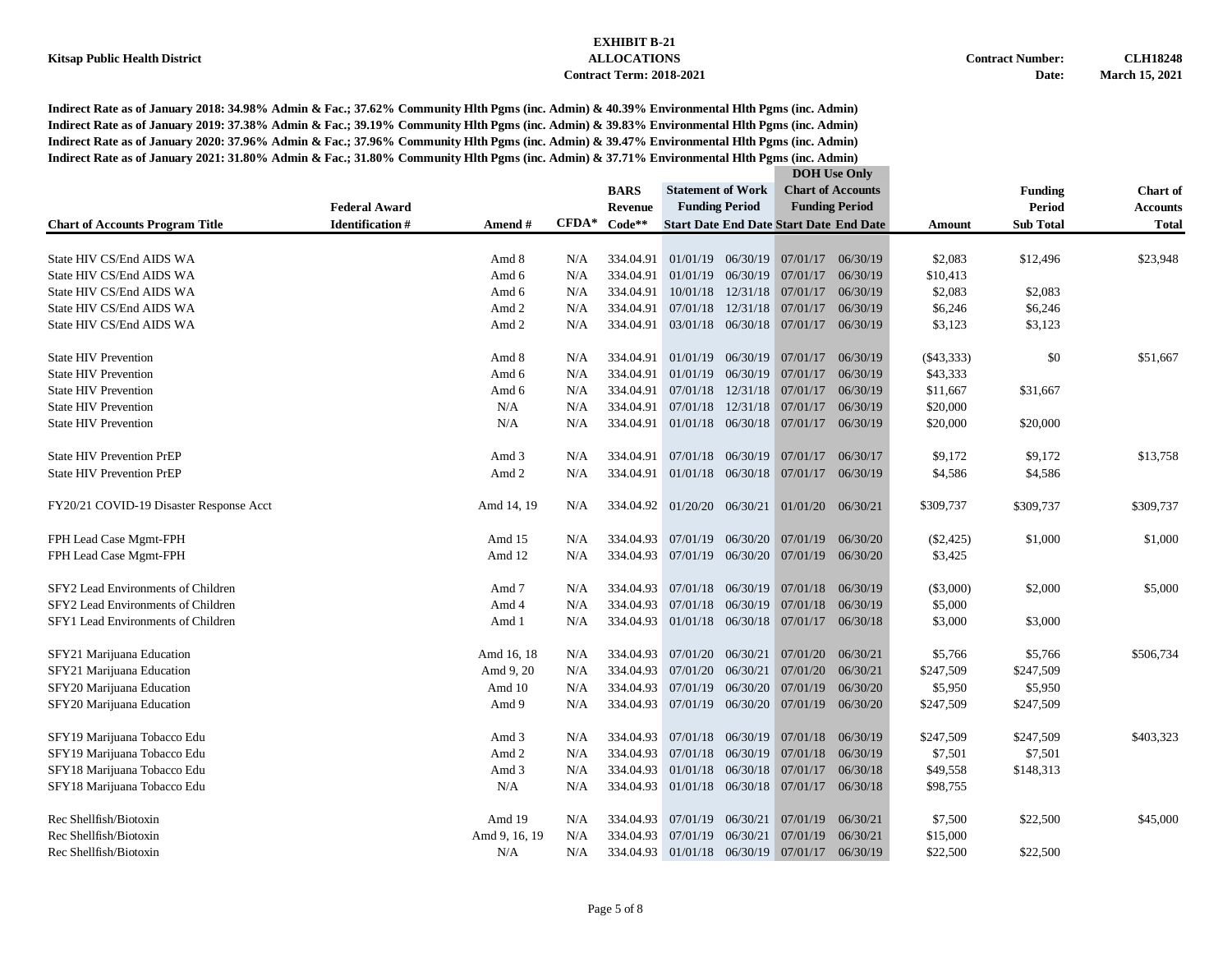|                                         |                        |               |         | <b>BARS</b>                 | <b>Statement of Work</b> |                       |                                                | <b>Chart of Accounts</b> |              | <b>Funding</b>   | <b>Chart of</b> |
|-----------------------------------------|------------------------|---------------|---------|-----------------------------|--------------------------|-----------------------|------------------------------------------------|--------------------------|--------------|------------------|-----------------|
|                                         | <b>Federal Award</b>   |               |         | <b>Revenue</b>              | <b>Funding Period</b>    |                       |                                                | <b>Funding Period</b>    |              | <b>Period</b>    | <b>Accounts</b> |
| <b>Chart of Accounts Program Title</b>  | <b>Identification#</b> | Amend#        | $CFDA*$ | Code**                      |                          |                       | <b>Start Date End Date Start Date End Date</b> |                          | Amount       | <b>Sub Total</b> | <b>Total</b>    |
|                                         |                        |               |         |                             |                          |                       |                                                |                          |              |                  |                 |
| State HIV CS/End AIDS WA                |                        | Amd 8         | N/A     | 334.04.91                   |                          |                       | 01/01/19 06/30/19 07/01/17 06/30/19            |                          | \$2,083      | \$12,496         | \$23,948        |
| State HIV CS/End AIDS WA                |                        | Amd 6         | N/A     | 334.04.91                   | 01/01/19                 | 06/30/19              | 07/01/17                                       | 06/30/19                 | \$10,413     |                  |                 |
| State HIV CS/End AIDS WA                |                        | Amd 6         | N/A     | 334.04.91                   | 10/01/18                 |                       | 12/31/18 07/01/17 06/30/19                     |                          | \$2,083      | \$2,083          |                 |
| State HIV CS/End AIDS WA                |                        | Amd 2         | N/A     | 334.04.91                   | 07/01/18                 | 12/31/18              | 07/01/17                                       | 06/30/19                 | \$6,246      | \$6,246          |                 |
| State HIV CS/End AIDS WA                |                        | Amd 2         | N/A     | 334.04.91                   |                          |                       | 03/01/18 06/30/18 07/01/17 06/30/19            |                          | \$3,123      | \$3,123          |                 |
| <b>State HIV Prevention</b>             |                        | Amd 8         | N/A     | 334.04.91                   |                          | 01/01/19 06/30/19     | 07/01/17                                       | 06/30/19                 | $(\$43,333)$ | \$0              | \$51,667        |
| <b>State HIV Prevention</b>             |                        | Amd 6         | N/A     | 334.04.91                   |                          | $01/01/19$ $06/30/19$ | 07/01/17                                       | 06/30/19                 | \$43,333     |                  |                 |
| <b>State HIV Prevention</b>             |                        | Amd 6         | N/A     | 334.04.91                   | 07/01/18                 | 12/31/18              | 07/01/17                                       | 06/30/19                 | \$11,667     | \$31,667         |                 |
| <b>State HIV Prevention</b>             |                        | N/A           | N/A     | 334.04.91                   | 07/01/18                 | 12/31/18              | 07/01/17                                       | 06/30/19                 | \$20,000     |                  |                 |
| <b>State HIV Prevention</b>             |                        | N/A           | N/A     | 334.04.91                   |                          |                       | 01/01/18 06/30/18 07/01/17                     | 06/30/19                 | \$20,000     | \$20,000         |                 |
|                                         |                        |               |         |                             |                          |                       |                                                |                          |              |                  |                 |
| <b>State HIV Prevention PrEP</b>        |                        | Amd 3         | N/A     | 334.04.91                   |                          | 07/01/18 06/30/19     | 07/01/17                                       | 06/30/17                 | \$9,172      | \$9,172          | \$13,758        |
| <b>State HIV Prevention PrEP</b>        |                        | Amd 2         | N/A     | 334.04.91                   |                          |                       | 01/01/18 06/30/18 07/01/17                     | 06/30/19                 | \$4,586      | \$4,586          |                 |
| FY20/21 COVID-19 Disaster Response Acct |                        | Amd 14, 19    | N/A     | 334.04.92 01/20/20 06/30/21 |                          |                       | $01/01/20$ $06/30/21$                          |                          | \$309,737    | \$309,737        | \$309,737       |
|                                         |                        |               |         |                             |                          |                       |                                                |                          |              |                  |                 |
| FPH Lead Case Mgmt-FPH                  |                        | Amd 15        | N/A     | 334.04.93                   |                          | 07/01/19 06/30/20     | 07/01/19                                       | 06/30/20                 | $(\$2,425)$  | \$1,000          | \$1,000         |
| FPH Lead Case Mgmt-FPH                  |                        | Amd 12        | N/A     | 334.04.93                   |                          | 07/01/19 06/30/20     | 07/01/19                                       | 06/30/20                 | \$3,425      |                  |                 |
| SFY2 Lead Environments of Children      |                        | Amd 7         | N/A     | 334.04.93                   |                          |                       | $07/01/18$ $06/30/19$ $07/01/18$               | 06/30/19                 | $(\$3,000)$  | \$2,000          | \$5,000         |
| SFY2 Lead Environments of Children      |                        | Amd 4         | N/A     | 334.04.93                   |                          | 07/01/18 06/30/19     | 07/01/18                                       | 06/30/19                 | \$5,000      |                  |                 |
| SFY1 Lead Environments of Children      |                        | Amd 1         | N/A     | 334.04.93                   |                          |                       | 01/01/18 06/30/18 07/01/17                     | 06/30/18                 | \$3,000      | \$3,000          |                 |
| SFY21 Marijuana Education               |                        | Amd 16, 18    | N/A     | 334.04.93                   |                          | 07/01/20 06/30/21     | 07/01/20                                       | 06/30/21                 | \$5,766      | \$5,766          | \$506,734       |
| SFY21 Marijuana Education               |                        | Amd 9, 20     | N/A     | 334.04.93                   |                          | 07/01/20 06/30/21     | 07/01/20                                       | 06/30/21                 | \$247,509    | \$247,509        |                 |
| SFY20 Marijuana Education               |                        | Amd 10        | N/A     | 334.04.93                   |                          | 07/01/19 06/30/20     | 07/01/19                                       | 06/30/20                 | \$5,950      | \$5,950          |                 |
| SFY20 Marijuana Education               |                        | Amd 9         | N/A     | 334.04.93                   |                          | 07/01/19 06/30/20     | 07/01/19                                       | 06/30/20                 | \$247,509    | \$247,509        |                 |
| SFY19 Marijuana Tobacco Edu             |                        | Amd 3         | N/A     | 334.04.93                   |                          | 07/01/18 06/30/19     | 07/01/18                                       | 06/30/19                 | \$247,509    | \$247,509        | \$403,323       |
| SFY19 Marijuana Tobacco Edu             |                        | Amd 2         | N/A     | 334.04.93                   |                          | 07/01/18 06/30/19     | 07/01/18                                       | 06/30/19                 | \$7,501      | \$7,501          |                 |
| SFY18 Marijuana Tobacco Edu             |                        | Amd 3         | N/A     | 334.04.93                   | 01/01/18                 | 06/30/18              | 07/01/17                                       | 06/30/18                 | \$49,558     | \$148,313        |                 |
| SFY18 Marijuana Tobacco Edu             |                        | N/A           | N/A     |                             |                          |                       | 334.04.93 01/01/18 06/30/18 07/01/17 06/30/18  |                          | \$98,755     |                  |                 |
|                                         |                        |               |         |                             |                          |                       |                                                |                          |              |                  |                 |
| Rec Shellfish/Biotoxin                  |                        | Amd 19        | N/A     | 334.04.93                   | 07/01/19                 | 06/30/21              | 07/01/19                                       | 06/30/21                 | \$7,500      | \$22,500         | \$45,000        |
| Rec Shellfish/Biotoxin                  |                        | Amd 9, 16, 19 | N/A     | 334.04.93                   | 07/01/19                 | 06/30/21              | 07/01/19                                       | 06/30/21                 | \$15,000     |                  |                 |
| Rec Shellfish/Biotoxin                  |                        | N/A           | N/A     |                             |                          |                       | 334.04.93 01/01/18 06/30/19 07/01/17 06/30/19  |                          | \$22,500     | \$22,500         |                 |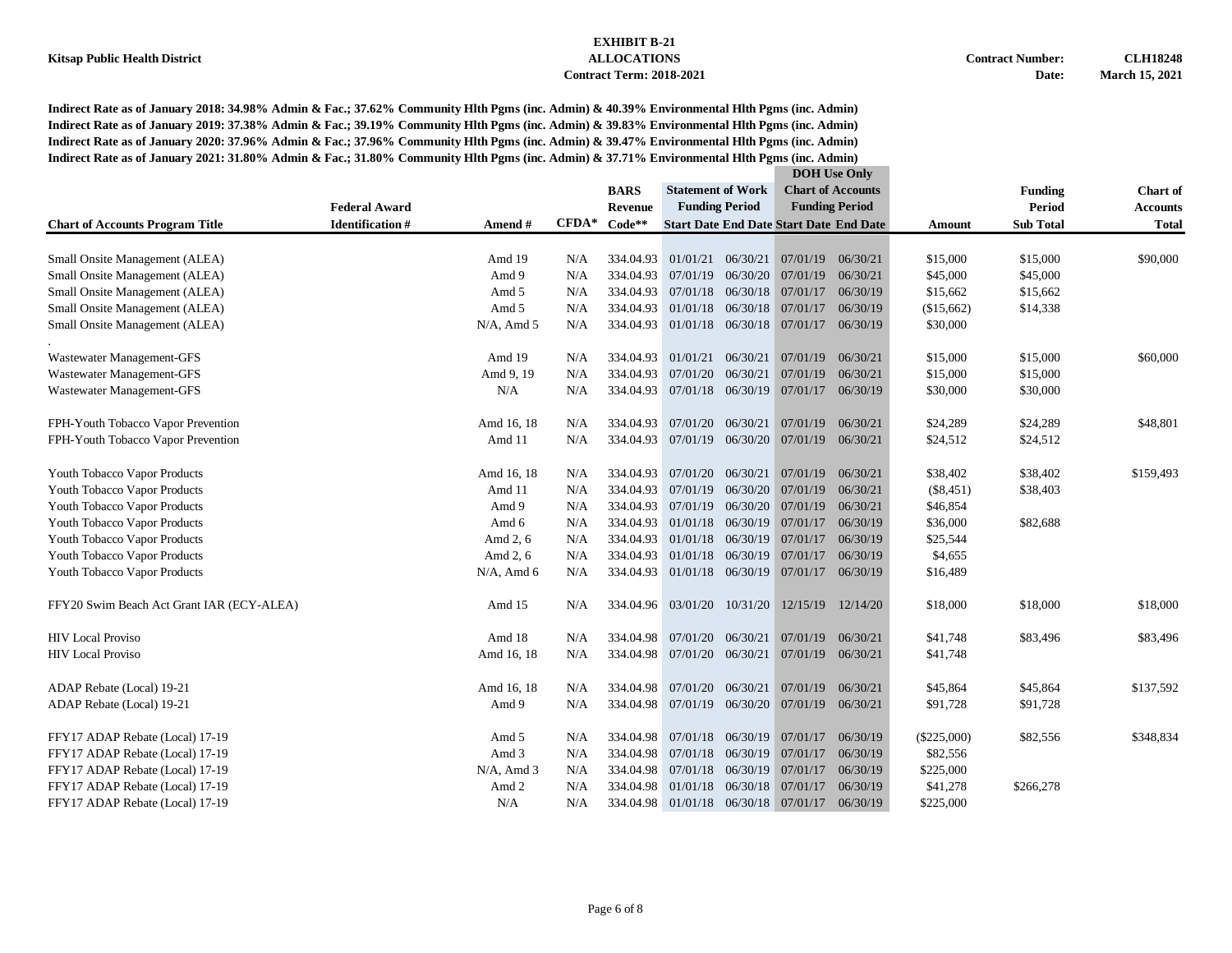|                                                                  |               |         |                |                             |          |                                                | <b>DOH</b> Use Only      |               |                  |                 |
|------------------------------------------------------------------|---------------|---------|----------------|-----------------------------|----------|------------------------------------------------|--------------------------|---------------|------------------|-----------------|
|                                                                  |               |         | <b>BARS</b>    | <b>Statement of Work</b>    |          |                                                | <b>Chart of Accounts</b> |               | <b>Funding</b>   | <b>Chart of</b> |
| <b>Federal Award</b>                                             |               |         | <b>Revenue</b> | <b>Funding Period</b>       |          |                                                | <b>Funding Period</b>    |               | Period           | <b>Accounts</b> |
| <b>Chart of Accounts Program Title</b><br><b>Identification#</b> | Amend #       | $CFDA*$ | $Code**$       |                             |          | <b>Start Date End Date Start Date End Date</b> |                          | Amount        | <b>Sub Total</b> | <b>Total</b>    |
|                                                                  |               |         |                |                             |          |                                                |                          |               |                  |                 |
| Small Onsite Management (ALEA)                                   | Amd 19        | N/A     | 334.04.93      | 01/01/21                    | 06/30/21 | 07/01/19                                       | 06/30/21                 | \$15,000      | \$15,000         | \$90,000        |
| Small Onsite Management (ALEA)                                   | Amd 9         | N/A     | 334.04.93      | 07/01/19                    | 06/30/20 | 07/01/19                                       | 06/30/21                 | \$45,000      | \$45,000         |                 |
| Small Onsite Management (ALEA)                                   | Amd 5         | N/A     | 334.04.93      | 07/01/18                    | 06/30/18 | 07/01/17                                       | 06/30/19                 | \$15,662      | \$15,662         |                 |
| Small Onsite Management (ALEA)                                   | Amd 5         | N/A     | 334.04.93      | 01/01/18                    | 06/30/18 | 07/01/17                                       | 06/30/19                 | (\$15,662)    | \$14,338         |                 |
| Small Onsite Management (ALEA)                                   | $N/A$ , Amd 5 | N/A     | 334.04.93      | 01/01/18 06/30/18           |          | 07/01/17                                       | 06/30/19                 | \$30,000      |                  |                 |
| Wastewater Management-GFS                                        | Amd 19        | N/A     | 334.04.93      | 01/01/21                    | 06/30/21 | 07/01/19                                       | 06/30/21                 | \$15,000      | \$15,000         | \$60,000        |
| Wastewater Management-GFS                                        | Amd 9, 19     | N/A     | 334.04.93      | 07/01/20                    | 06/30/21 | 07/01/19                                       | 06/30/21                 | \$15,000      | \$15,000         |                 |
| Wastewater Management-GFS                                        | N/A           | N/A     | 334.04.93      | 07/01/18 06/30/19           |          | 07/01/17                                       | 06/30/19                 | \$30,000      | \$30,000         |                 |
| FPH-Youth Tobacco Vapor Prevention                               | Amd 16, 18    | N/A     | 334.04.93      | 07/01/20                    | 06/30/21 | 07/01/19                                       | 06/30/21                 | \$24,289      | \$24,289         | \$48,801        |
| FPH-Youth Tobacco Vapor Prevention                               | Amd 11        | N/A     | 334.04.93      | 07/01/19 06/30/20           |          | 07/01/19                                       | 06/30/21                 | \$24,512      | \$24,512         |                 |
| Youth Tobacco Vapor Products                                     | Amd 16, 18    | N/A     | 334.04.93      | 07/01/20                    | 06/30/21 | 07/01/19                                       | 06/30/21                 | \$38,402      | \$38,402         | \$159,493       |
| Youth Tobacco Vapor Products                                     | Amd 11        | N/A     | 334.04.93      | 07/01/19 06/30/20           |          | 07/01/19                                       | 06/30/21                 | $(\$8,451)$   | \$38,403         |                 |
| Youth Tobacco Vapor Products                                     | Amd 9         | N/A     | 334.04.93      | 07/01/19                    | 06/30/20 | 07/01/19                                       | 06/30/21                 | \$46,854      |                  |                 |
| Youth Tobacco Vapor Products                                     | Amd 6         | N/A     | 334.04.93      | 01/01/18 06/30/19           |          | 07/01/17                                       | 06/30/19                 | \$36,000      | \$82,688         |                 |
| Youth Tobacco Vapor Products                                     | Amd 2, 6      | N/A     | 334.04.93      | 01/01/18                    | 06/30/19 | 07/01/17                                       | 06/30/19                 | \$25,544      |                  |                 |
| Youth Tobacco Vapor Products                                     | Amd 2, 6      | N/A     | 334.04.93      | 01/01/18                    | 06/30/19 | 07/01/17                                       | 06/30/19                 | \$4,655       |                  |                 |
| Youth Tobacco Vapor Products                                     | $N/A$ , Amd 6 | N/A     | 334.04.93      | 01/01/18 06/30/19           |          | 07/01/17                                       | 06/30/19                 | \$16,489      |                  |                 |
| FFY20 Swim Beach Act Grant IAR (ECY-ALEA)                        | Amd 15        | N/A     |                | 334.04.96 03/01/20          | 10/31/20 | 12/15/19                                       | 12/14/20                 | \$18,000      | \$18,000         | \$18,000        |
| <b>HIV Local Proviso</b>                                         | Amd 18        | N/A     | 334.04.98      | 07/01/20                    | 06/30/21 | 07/01/19                                       | 06/30/21                 | \$41,748      | \$83,496         | \$83,496        |
| <b>HIV</b> Local Proviso                                         | Amd 16, 18    | N/A     | 334.04.98      | 07/01/20 06/30/21           |          | 07/01/19                                       | 06/30/21                 | \$41,748      |                  |                 |
| ADAP Rebate (Local) 19-21                                        | Amd 16, 18    | N/A     | 334.04.98      | 07/01/20                    | 06/30/21 | 07/01/19                                       | 06/30/21                 | \$45,864      | \$45,864         | \$137,592       |
| ADAP Rebate (Local) 19-21                                        | Amd 9         | N/A     |                | 334.04.98 07/01/19 06/30/20 |          | 07/01/19                                       | 06/30/21                 | \$91,728      | \$91,728         |                 |
| FFY17 ADAP Rebate (Local) 17-19                                  | Amd 5         | N/A     | 334.04.98      | 07/01/18                    | 06/30/19 | 07/01/17                                       | 06/30/19                 | $(\$225,000)$ | \$82,556         | \$348,834       |
| FFY17 ADAP Rebate (Local) 17-19                                  | Amd 3         | N/A     | 334.04.98      | 07/01/18                    | 06/30/19 | 07/01/17                                       | 06/30/19                 | \$82,556      |                  |                 |
| FFY17 ADAP Rebate (Local) 17-19                                  | $N/A$ , Amd 3 | N/A     | 334.04.98      | 07/01/18                    | 06/30/19 | 07/01/17                                       | 06/30/19                 | \$225,000     |                  |                 |
| FFY17 ADAP Rebate (Local) 17-19                                  | Amd 2         | N/A     | 334.04.98      | 01/01/18                    | 06/30/18 | 07/01/17                                       | 06/30/19                 | \$41,278      | \$266,278        |                 |
| FFY17 ADAP Rebate (Local) 17-19                                  | N/A           | N/A     | 334.04.98      |                             |          | 01/01/18 06/30/18 07/01/17                     | 06/30/19                 | \$225,000     |                  |                 |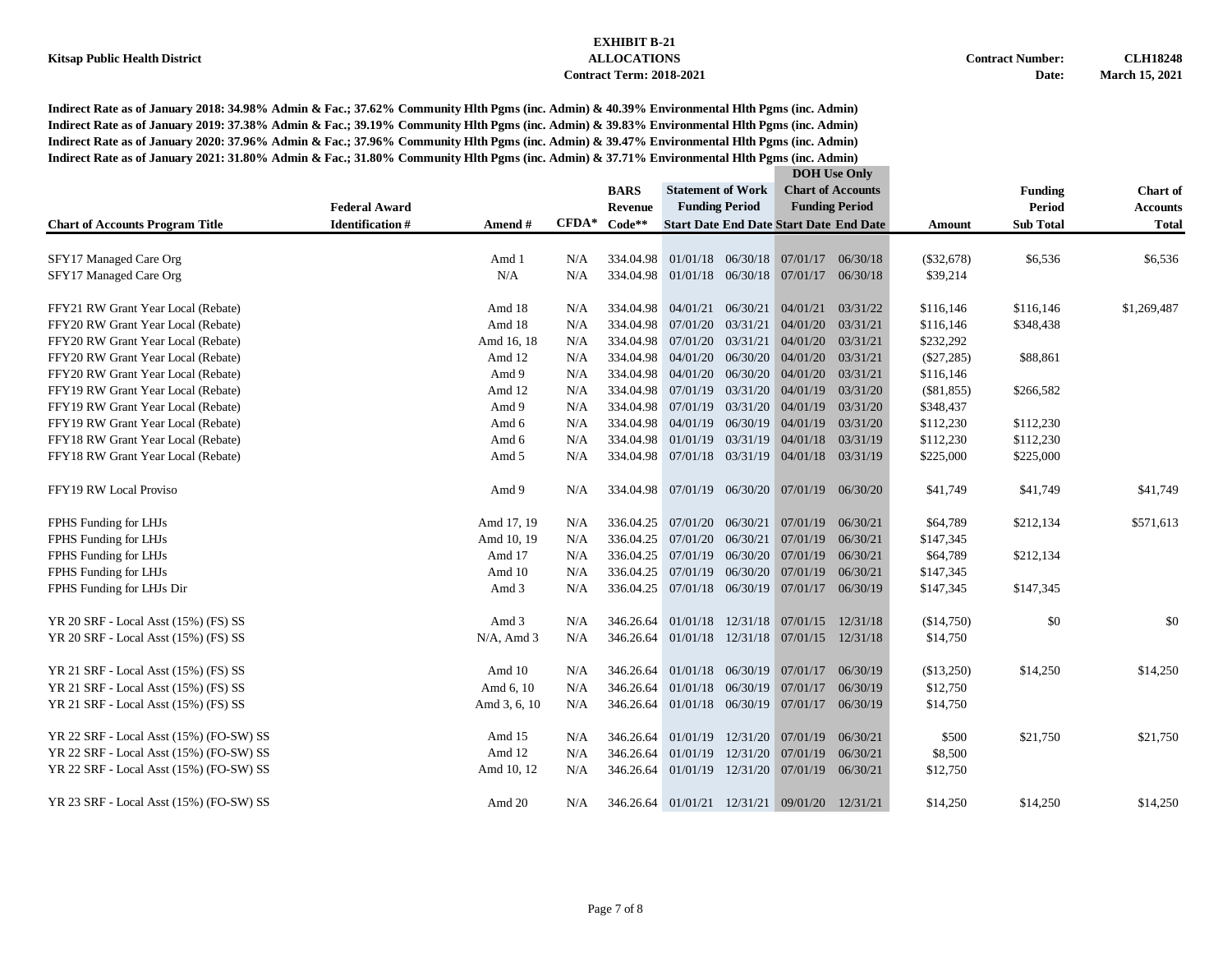|                                         |                        |               |                   |                |                          |                       | <b>DOH</b> Use Only                            |                          |              |                  |                 |
|-----------------------------------------|------------------------|---------------|-------------------|----------------|--------------------------|-----------------------|------------------------------------------------|--------------------------|--------------|------------------|-----------------|
|                                         |                        |               |                   | <b>BARS</b>    | <b>Statement of Work</b> |                       |                                                | <b>Chart of Accounts</b> |              | <b>Funding</b>   | <b>Chart</b> of |
|                                         | <b>Federal Award</b>   |               |                   | <b>Revenue</b> | <b>Funding Period</b>    |                       |                                                | <b>Funding Period</b>    |              | <b>Period</b>    | <b>Accounts</b> |
| <b>Chart of Accounts Program Title</b>  | <b>Identification#</b> | Amend #       | $\mathbf{CFDA}^*$ | $Code**$       |                          |                       | <b>Start Date End Date Start Date End Date</b> |                          | Amount       | <b>Sub Total</b> | <b>Total</b>    |
|                                         |                        |               |                   |                |                          |                       |                                                |                          |              |                  |                 |
| SFY17 Managed Care Org                  |                        | Amd 1         | N/A               | 334.04.98      |                          |                       | $01/01/18$ $06/30/18$ $07/01/17$               | 06/30/18                 | $(\$32,678)$ | \$6,536          | \$6,536         |
| SFY17 Managed Care Org                  |                        | N/A           | N/A               | 334.04.98      |                          |                       | 01/01/18 06/30/18 07/01/17                     | 06/30/18                 | \$39,214     |                  |                 |
| FFY21 RW Grant Year Local (Rebate)      |                        | Amd 18        | N/A               | 334.04.98      | 04/01/21 06/30/21        |                       | 04/01/21                                       | 03/31/22                 | \$116,146    | \$116,146        | \$1,269,487     |
| FFY20 RW Grant Year Local (Rebate)      |                        | Amd 18        | N/A               | 334.04.98      | 07/01/20                 | 03/31/21              | 04/01/20                                       | 03/31/21                 | \$116,146    | \$348,438        |                 |
| FFY20 RW Grant Year Local (Rebate)      |                        | Amd 16, 18    | N/A               | 334.04.98      | 07/01/20                 | 03/31/21              | 04/01/20                                       | 03/31/21                 | \$232,292    |                  |                 |
| FFY20 RW Grant Year Local (Rebate)      |                        | Amd 12        | N/A               | 334.04.98      | 04/01/20                 | 06/30/20              | 04/01/20                                       | 03/31/21                 | $(\$27,285)$ | \$88,861         |                 |
| FFY20 RW Grant Year Local (Rebate)      |                        | Amd 9         | N/A               | 334.04.98      | 04/01/20                 | 06/30/20              | 04/01/20                                       | 03/31/21                 | \$116,146    |                  |                 |
| FFY19 RW Grant Year Local (Rebate)      |                        | Amd 12        | N/A               | 334.04.98      | 07/01/19                 | 03/31/20              | 04/01/19                                       | 03/31/20                 | (\$81,855)   | \$266,582        |                 |
| FFY19 RW Grant Year Local (Rebate)      |                        | Amd 9         | N/A               | 334.04.98      | 07/01/19                 | 03/31/20              | 04/01/19                                       | 03/31/20                 | \$348,437    |                  |                 |
| FFY19 RW Grant Year Local (Rebate)      |                        | Amd 6         | N/A               | 334.04.98      | 04/01/19                 |                       | 06/30/19 04/01/19                              | 03/31/20                 | \$112,230    | \$112,230        |                 |
| FFY18 RW Grant Year Local (Rebate)      |                        | Amd 6         | N/A               | 334.04.98      | 01/01/19                 | 03/31/19              | 04/01/18                                       | 03/31/19                 | \$112,230    | \$112,230        |                 |
| FFY18 RW Grant Year Local (Rebate)      |                        | Amd 5         | N/A               | 334.04.98      |                          |                       | $07/01/18$ $03/31/19$ $04/01/18$               | 03/31/19                 | \$225,000    | \$225,000        |                 |
| FFY19 RW Local Proviso                  |                        | Amd 9         | N/A               |                |                          |                       | 334.04.98 07/01/19 06/30/20 07/01/19 06/30/20  |                          | \$41,749     | \$41,749         | \$41,749        |
| FPHS Funding for LHJs                   |                        | Amd 17, 19    | N/A               | 336.04.25      |                          | $07/01/20$ $06/30/21$ | 07/01/19                                       | 06/30/21                 | \$64,789     | \$212,134        | \$571,613       |
| FPHS Funding for LHJs                   |                        | Amd 10, 19    | N/A               | 336.04.25      |                          | 07/01/20 06/30/21     | 07/01/19                                       | 06/30/21                 | \$147,345    |                  |                 |
| FPHS Funding for LHJs                   |                        | Amd 17        | N/A               | 336.04.25      |                          |                       | $07/01/19$ $06/30/20$ $07/01/19$               | 06/30/21                 | \$64,789     | \$212,134        |                 |
| FPHS Funding for LHJs                   |                        | Amd 10        | N/A               | 336.04.25      | 07/01/19                 | 06/30/20              | 07/01/19                                       | 06/30/21                 | \$147,345    |                  |                 |
| FPHS Funding for LHJs Dir               |                        | Amd 3         | N/A               | 336.04.25      |                          |                       | $07/01/18$ $06/30/19$ $07/01/17$               | 06/30/19                 | \$147,345    | \$147,345        |                 |
| YR 20 SRF - Local Asst (15%) (FS) SS    |                        | Amd 3         | N/A               | 346.26.64      | 01/01/18                 |                       | 12/31/18 07/01/15                              | 12/31/18                 | (\$14,750)   | \$0              | \$0             |
| YR 20 SRF - Local Asst (15%) (FS) SS    |                        | $N/A$ , Amd 3 | N/A               | 346.26.64      |                          |                       | 01/01/18 12/31/18 07/01/15 12/31/18            |                          | \$14,750     |                  |                 |
| YR 21 SRF - Local Asst (15%) (FS) SS    |                        | Amd 10        | N/A               | 346.26.64      |                          |                       | 01/01/18 06/30/19 07/01/17                     | 06/30/19                 | (\$13,250)   | \$14,250         | \$14,250        |
| YR 21 SRF - Local Asst (15%) (FS) SS    |                        | Amd 6, 10     | N/A               | 346.26.64      | 01/01/18                 | 06/30/19              | 07/01/17                                       | 06/30/19                 | \$12,750     |                  |                 |
| YR 21 SRF - Local Asst (15%) (FS) SS    |                        | Amd 3, 6, 10  | N/A               | 346.26.64      |                          | $01/01/18$ 06/30/19   | 07/01/17                                       | 06/30/19                 | \$14,750     |                  |                 |
| YR 22 SRF - Local Asst (15%) (FO-SW) SS |                        | Amd 15        | N/A               | 346.26.64      | 01/01/19                 | 12/31/20              | 07/01/19                                       | 06/30/21                 | \$500        | \$21,750         | \$21,750        |
| YR 22 SRF - Local Asst (15%) (FO-SW) SS |                        | Amd 12        | N/A               | 346.26.64      | 01/01/19                 | 12/31/20              | 07/01/19                                       | 06/30/21                 | \$8,500      |                  |                 |
| YR 22 SRF - Local Asst (15%) (FO-SW) SS |                        | Amd 10, 12    | N/A               | 346.26.64      | 01/01/19                 | 12/31/20              | 07/01/19                                       | 06/30/21                 | \$12,750     |                  |                 |
| YR 23 SRF - Local Asst (15%) (FO-SW) SS |                        | Amd 20        | N/A               |                |                          |                       | 346.26.64 01/01/21 12/31/21 09/01/20 12/31/21  |                          | \$14,250     | \$14,250         | \$14,250        |
|                                         |                        |               |                   |                |                          |                       |                                                |                          |              |                  |                 |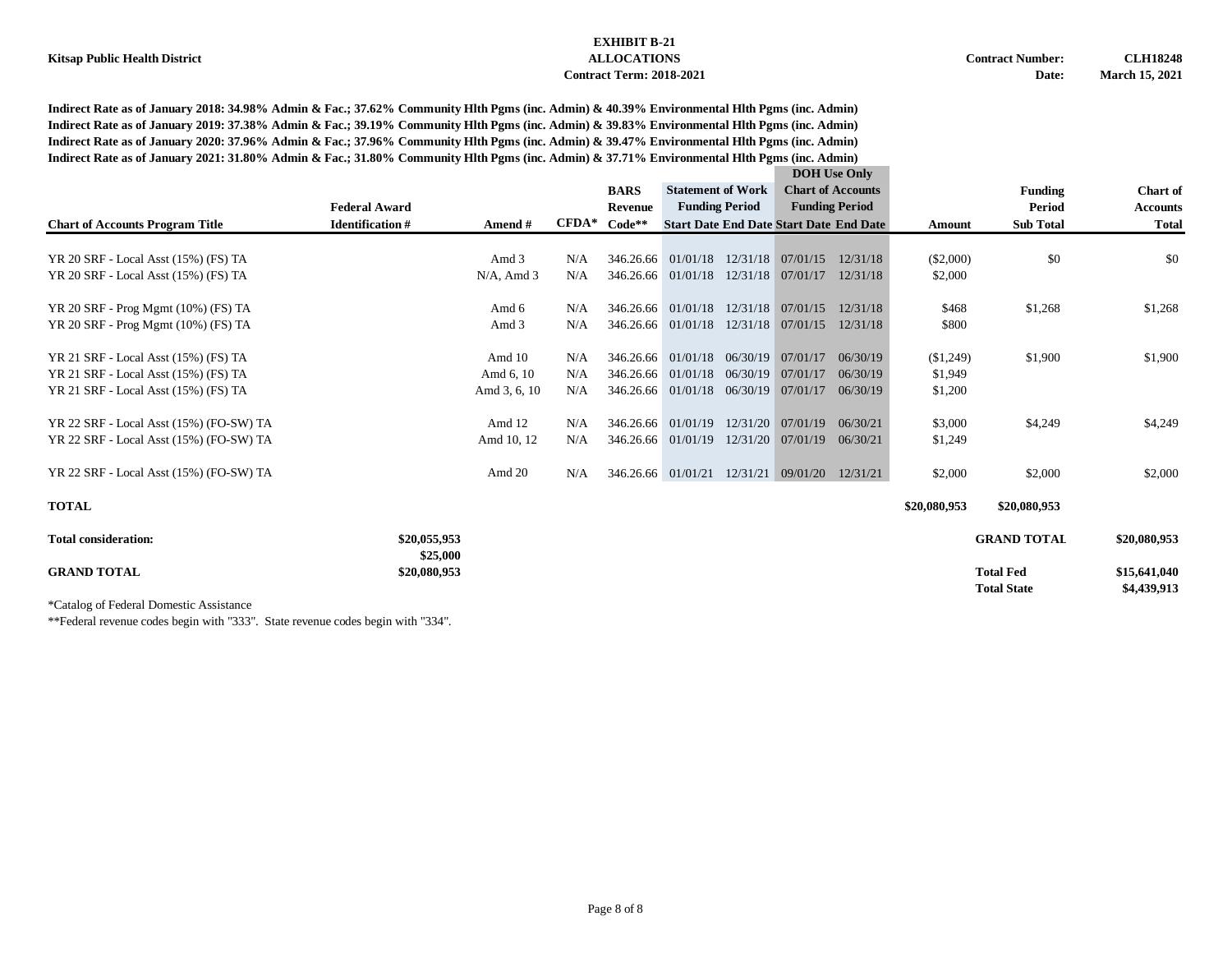**Indirect Rate as of January 2018: 34.98% Admin & Fac.; 37.62% Community Hlth Pgms (inc. Admin) & 40.39% Environmental Hlth Pgms (inc. Admin) Indirect Rate as of January 2019: 37.38% Admin & Fac.; 39.19% Community Hlth Pgms (inc. Admin) & 39.83% Environmental Hlth Pgms (inc. Admin) Indirect Rate as of January 2020: 37.96% Admin & Fac.; 37.96% Community Hlth Pgms (inc. Admin) & 39.47% Environmental Hlth Pgms (inc. Admin) Indirect Rate as of January 2021: 31.80% Admin & Fac.; 31.80% Community Hlth Pgms (inc. Admin) & 37.71% Environmental Hlth Pgms (inc. Admin)**

|                                         |                          |               |         |             |                                               |                       |                                                | <b>DOH</b> Use Only      |              |                    |                 |
|-----------------------------------------|--------------------------|---------------|---------|-------------|-----------------------------------------------|-----------------------|------------------------------------------------|--------------------------|--------------|--------------------|-----------------|
|                                         |                          |               |         | <b>BARS</b> | <b>Statement of Work</b>                      |                       |                                                | <b>Chart of Accounts</b> |              | <b>Funding</b>     | <b>Chart</b> of |
|                                         | <b>Federal Award</b>     |               |         | Revenue     |                                               | <b>Funding Period</b> |                                                | <b>Funding Period</b>    |              | Period             | <b>Accounts</b> |
| <b>Chart of Accounts Program Title</b>  | <b>Identification#</b>   | Amend #       | $CFDA*$ | $Code**$    |                                               |                       | <b>Start Date End Date Start Date End Date</b> |                          | Amount       | <b>Sub Total</b>   | <b>Total</b>    |
| YR 20 SRF - Local Asst (15%) (FS) TA    |                          | Amd 3         | N/A     |             | 346.26.66 01/01/18                            |                       | 12/31/18 07/01/15                              | 12/31/18                 | $(\$2,000)$  | \$0                | \$0             |
| YR 20 SRF - Local Asst (15%) (FS) TA    |                          | $N/A$ , Amd 3 | N/A     |             | 346.26.66 01/01/18                            |                       | 12/31/18 07/01/17                              | 12/31/18                 | \$2,000      |                    |                 |
|                                         |                          |               |         |             |                                               |                       |                                                |                          |              |                    |                 |
| YR 20 SRF - Prog Mgmt (10%) (FS) TA     |                          | Amd 6         | N/A     |             | 346.26.66 01/01/18                            | 12/31/18              | 07/01/15                                       | 12/31/18                 | \$468        | \$1,268            | \$1,268         |
| YR 20 SRF - Prog Mgmt (10%) (FS) TA     |                          | Amd 3         | N/A     |             | 346.26.66 01/01/18                            |                       | 12/31/18 07/01/15                              | 12/31/18                 | \$800        |                    |                 |
|                                         |                          |               |         |             |                                               |                       |                                                |                          |              |                    |                 |
| YR 21 SRF - Local Asst (15%) (FS) TA    |                          | Amd 10        | N/A     |             | 346.26.66 01/01/18                            |                       | 06/30/19 07/01/17                              | 06/30/19                 | (\$1,249)    | \$1,900            | \$1,900         |
| YR 21 SRF - Local Asst (15%) (FS) TA    |                          | Amd 6, 10     | N/A     |             | 346.26.66 01/01/18                            | 06/30/19              | 07/01/17                                       | 06/30/19                 | \$1,949      |                    |                 |
| YR 21 SRF - Local Asst (15%) (FS) TA    |                          | Amd 3, 6, 10  | N/A     |             | 346.26.66 01/01/18 06/30/19 07/01/17 06/30/19 |                       |                                                |                          | \$1,200      |                    |                 |
| YR 22 SRF - Local Asst (15%) (FO-SW) TA |                          | Amd 12        | N/A     |             | 346.26.66 01/01/19                            |                       | $12/31/20$ 07/01/19                            | 06/30/21                 | \$3,000      | \$4,249            | \$4,249         |
|                                         |                          |               |         |             |                                               |                       |                                                |                          |              |                    |                 |
| YR 22 SRF - Local Asst (15%) (FO-SW) TA |                          | Amd 10, 12    | N/A     |             | 346.26.66 01/01/19                            |                       | 12/31/20 07/01/19 06/30/21                     |                          | \$1,249      |                    |                 |
| YR 22 SRF - Local Asst (15%) (FO-SW) TA |                          | Amd 20        | N/A     |             | 346.26.66 01/01/21                            |                       | 12/31/21 09/01/20                              | 12/31/21                 | \$2,000      | \$2,000            | \$2,000         |
| <b>TOTAL</b>                            |                          |               |         |             |                                               |                       |                                                |                          | \$20,080,953 | \$20,080,953       |                 |
|                                         |                          |               |         |             |                                               |                       |                                                |                          |              |                    |                 |
| <b>Total consideration:</b>             | \$20,055,953             |               |         |             |                                               |                       |                                                |                          |              | <b>GRAND TOTAL</b> | \$20,080,953    |
| <b>GRAND TOTAL</b>                      | \$25,000<br>\$20,080,953 |               |         |             |                                               |                       |                                                |                          |              | <b>Total Fed</b>   | \$15,641,040    |
|                                         |                          |               |         |             |                                               |                       |                                                |                          |              | <b>Total State</b> | \$4,439,913     |

\*Catalog of Federal Domestic Assistance

\*\*Federal revenue codes begin with "333". State revenue codes begin with "334".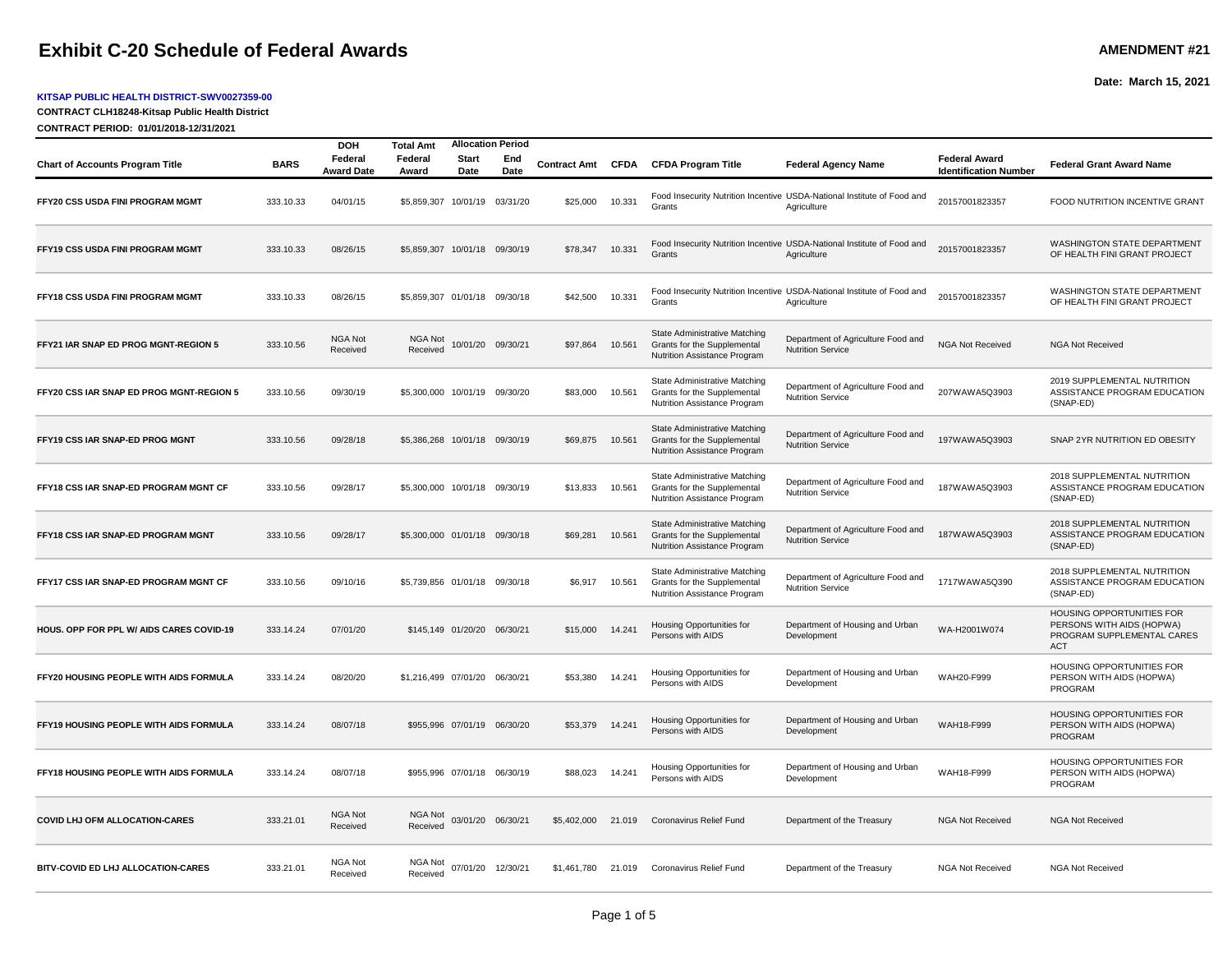## **Exhibit C-20 Schedule of Federal Awards AMEND AMENT #21**

#### **KITSAP PUBLIC HEALTH DISTRICT-SWV0027359-00**

**CONTRACT CLH18248-Kitsap Public Health District**

**CONTRACT PERIOD: 01/01/2018-12/31/2021**

|                                          |             | <b>DOH</b>                 | <b>Total Amt</b>              | <b>Allocation Period</b>    |                   |                     |             |                                                                                              |                                                                                        |                                                      |                                                                                                    |
|------------------------------------------|-------------|----------------------------|-------------------------------|-----------------------------|-------------------|---------------------|-------------|----------------------------------------------------------------------------------------------|----------------------------------------------------------------------------------------|------------------------------------------------------|----------------------------------------------------------------------------------------------------|
| <b>Chart of Accounts Program Title</b>   | <b>BARS</b> | Federal<br>Award Date      | Federal<br>Award              | <b>Start</b><br>Date        | End<br>Date       | <b>Contract Amt</b> | <b>CFDA</b> | <b>CFDA Program Title</b>                                                                    | <b>Federal Agency Name</b>                                                             | <b>Federal Award</b><br><b>Identification Number</b> | <b>Federal Grant Award Name</b>                                                                    |
| FFY20 CSS USDA FINI PROGRAM MGMT         | 333.10.33   | 04/01/15                   | \$5,859,307                   |                             | 10/01/19 03/31/20 | \$25,000            | 10.331      | Grants                                                                                       | Food Insecurity Nutrition Incentive USDA-National Institute of Food and<br>Agriculture | 20157001823357                                       | FOOD NUTRITION INCENTIVE GRANT                                                                     |
| FFY19 CSS USDA FINI PROGRAM MGMT         | 333.10.33   | 08/26/15                   | \$5,859,307 10/01/18 09/30/19 |                             |                   | \$78,347            | 10.331      | Grants                                                                                       | Food Insecurity Nutrition Incentive USDA-National Institute of Food and<br>Agriculture | 20157001823357                                       | WASHINGTON STATE DEPARTMENT<br>OF HEALTH FINI GRANT PROJECT                                        |
| FFY18 CSS USDA FINI PROGRAM MGMT         | 333.10.33   | 08/26/15                   | \$5,859,307 01/01/18 09/30/18 |                             |                   | \$42,500            | 10.331      | Grants                                                                                       | Food Insecurity Nutrition Incentive USDA-National Institute of Food and<br>Agriculture | 20157001823357                                       | WASHINGTON STATE DEPARTMENT<br>OF HEALTH FINI GRANT PROJECT                                        |
| FFY21 IAR SNAP ED PROG MGNT-REGION 5     | 333.10.56   | <b>NGA Not</b><br>Received | <b>NGA Not</b><br>Received    | 10/01/20                    | 09/30/21          | \$97,864            | 10.561      | State Administrative Matching<br>Grants for the Supplemental<br>Nutrition Assistance Program | Department of Agriculture Food and<br><b>Nutrition Service</b>                         | NGA Not Received                                     | <b>NGA Not Received</b>                                                                            |
| FFY20 CSS IAR SNAP ED PROG MGNT-REGION 5 | 333.10.56   | 09/30/19                   | \$5,300,000 10/01/19 09/30/20 |                             |                   | \$83,000            | 10.561      | State Administrative Matching<br>Grants for the Supplemental<br>Nutrition Assistance Program | Department of Agriculture Food and<br><b>Nutrition Service</b>                         | 207WAWA5Q3903                                        | 2019 SUPPLEMENTAL NUTRITION<br>ASSISTANCE PROGRAM EDUCATION<br>(SNAP-ED)                           |
| FFY19 CSS IAR SNAP-ED PROG MGNT          | 333.10.56   | 09/28/18                   | \$5,386,268 10/01/18 09/30/19 |                             |                   | \$69,875            | 10.561      | State Administrative Matching<br>Grants for the Supplemental<br>Nutrition Assistance Program | Department of Agriculture Food and<br><b>Nutrition Service</b>                         | 197WAWA5Q3903                                        | SNAP 2YR NUTRITION ED OBESITY                                                                      |
| FFY18 CSS IAR SNAP-ED PROGRAM MGNT CF    | 333.10.56   | 09/28/17                   | \$5,300,000 10/01/18 09/30/19 |                             |                   | \$13,833            | 10.561      | State Administrative Matching<br>Grants for the Supplemental<br>Nutrition Assistance Program | Department of Agriculture Food and<br><b>Nutrition Service</b>                         | 187WAWA5Q3903                                        | 2018 SUPPLEMENTAL NUTRITION<br>ASSISTANCE PROGRAM EDUCATION<br>(SNAP-ED)                           |
| FFY18 CSS IAR SNAP-ED PROGRAM MGNT       | 333.10.56   | 09/28/17                   | \$5,300,000 01/01/18 09/30/18 |                             |                   | \$69,281            | 10.561      | State Administrative Matching<br>Grants for the Supplemental<br>Nutrition Assistance Program | Department of Agriculture Food and<br><b>Nutrition Service</b>                         | 187WAWA5Q3903                                        | 2018 SUPPLEMENTAL NUTRITION<br>ASSISTANCE PROGRAM EDUCATION<br>(SNAP-ED)                           |
| FFY17 CSS IAR SNAP-ED PROGRAM MGNT CF    | 333.10.56   | 09/10/16                   | \$5.739.856 01/01/18 09/30/18 |                             |                   | \$6.917             | 10.561      | State Administrative Matching<br>Grants for the Supplemental<br>Nutrition Assistance Program | Department of Agriculture Food and<br><b>Nutrition Service</b>                         | 1717WAWA5Q390                                        | 2018 SUPPLEMENTAL NUTRITION<br>ASSISTANCE PROGRAM EDUCATION<br>(SNAP-ED)                           |
| HOUS, OPP FOR PPL W/ AIDS CARES COVID-19 | 333.14.24   | 07/01/20                   |                               | \$145,149 01/20/20 06/30/21 |                   | \$15,000            | 14.241      | Housing Opportunities for<br>Persons with AIDS                                               | Department of Housing and Urban<br>Development                                         | WA-H2001W074                                         | HOUSING OPPORTUNITIES FOR<br>PERSONS WITH AIDS (HOPWA)<br>PROGRAM SUPPLEMENTAL CARES<br><b>ACT</b> |
| FFY20 HOUSING PEOPLE WITH AIDS FORMULA   | 333.14.24   | 08/20/20                   | \$1,216,499 07/01/20 06/30/21 |                             |                   | \$53,380            | 14.241      | Housing Opportunities for<br>Persons with AIDS                                               | Department of Housing and Urban<br>Development                                         | WAH20-F999                                           | <b>HOUSING OPPORTUNITIES FOR</b><br>PERSON WITH AIDS (HOPWA)<br>PROGRAM                            |
| FFY19 HOUSING PEOPLE WITH AIDS FORMULA   | 333.14.24   | 08/07/18                   |                               | \$955,996 07/01/19 06/30/20 |                   | \$53,379            | 14.241      | Housing Opportunities for<br>Persons with AIDS                                               | Department of Housing and Urban<br>Development                                         | WAH18-F999                                           | HOUSING OPPORTUNITIES FOR<br>PERSON WITH AIDS (HOPWA)<br>PROGRAM                                   |
| FFY18 HOUSING PEOPLE WITH AIDS FORMULA   | 333.14.24   | 08/07/18                   |                               | \$955,996 07/01/18 06/30/19 |                   | \$88,023            | 14.241      | Housing Opportunities for<br>Persons with AIDS                                               | Department of Housing and Urban<br>Development                                         | WAH18-F999                                           | HOUSING OPPORTUNITIES FOR<br>PERSON WITH AIDS (HOPWA)<br>PROGRAM                                   |
| <b>COVID LHJ OFM ALLOCATION-CARES</b>    | 333.21.01   | <b>NGA Not</b><br>Received | NGA Not<br>Received           |                             | 03/01/20 06/30/21 | \$5,402,000         | 21.019      | Coronavirus Relief Fund                                                                      | Department of the Treasury                                                             | <b>NGA Not Received</b>                              | <b>NGA Not Received</b>                                                                            |
| BITV-COVID ED LHJ ALLOCATION-CARES       | 333.21.01   | NGA Not<br>Received        | NGA Not<br>Received           |                             | 07/01/20 12/30/21 | \$1.461.780 21.019  |             | Coronavirus Relief Fund                                                                      | Department of the Treasury                                                             | <b>NGA Not Received</b>                              | <b>NGA Not Received</b>                                                                            |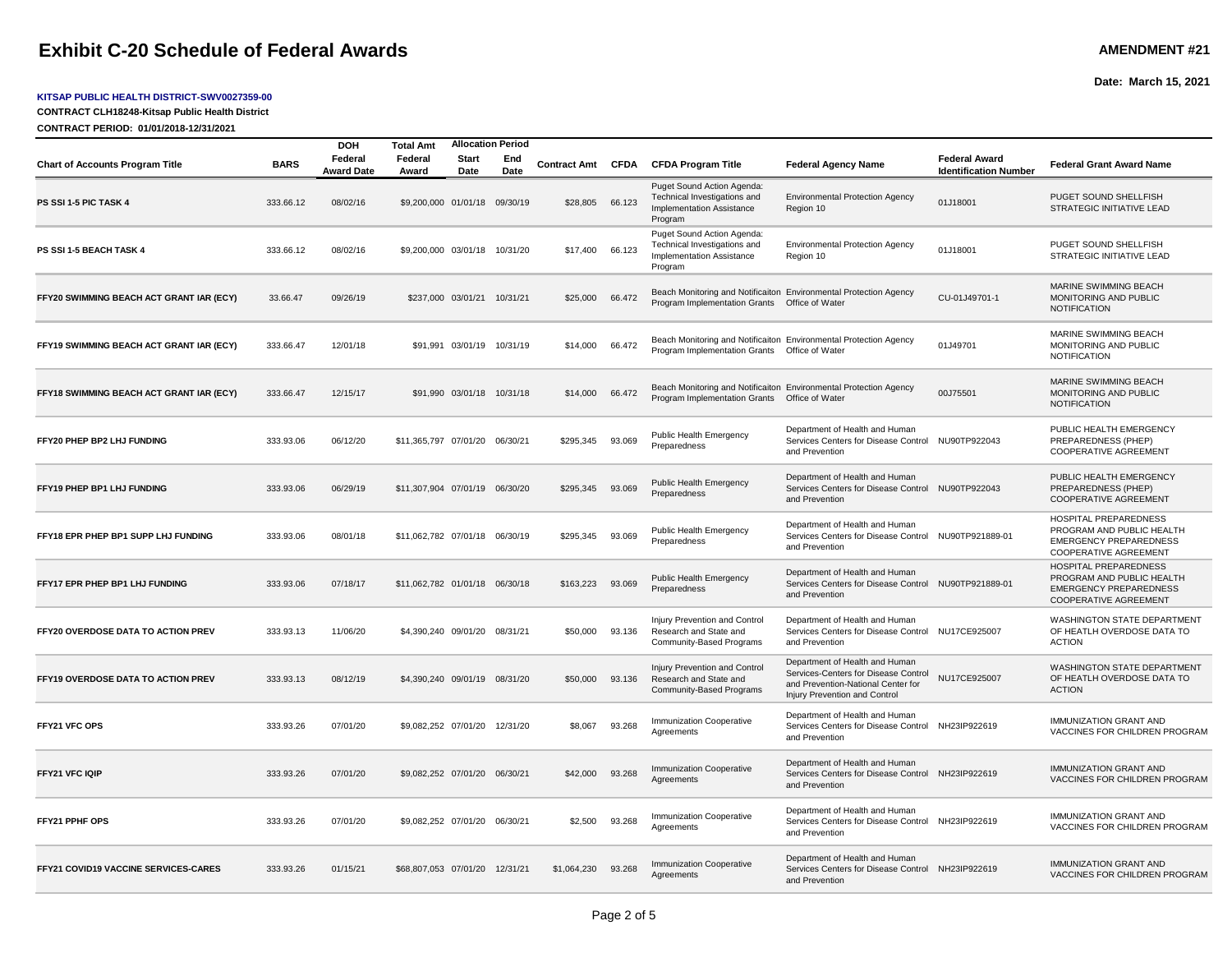## **Exhibit C-20 Schedule of Federal Awards AMENDMENT #21**

**Chart of Accounts Program Title BARS Federal** 

**PS SSI 1-5 PIC TASK 4** 333.66.12 08/02/16

**PS SSI 1-5 BEACH TASK 4** 333.66.12 08/02/16

**FFY20 SWIMMING BEACH ACT GRANT IAR (ECY)** 33.66.47 09/26/19

**FFY19 SWIMMING BEACH ACT GRANT IAR (ECY)** 333.66.47 12/01/18

**DOH Total Amt**

**Award Date**

#### **KITSAP PUBLIC HEALTH DISTRICT-SWV0027359-00**

**CONTRACT CLH18248-Kitsap Public Health District**

**CONTRACT PERIOD: 01/01/2018-12/31/2021**

|                               |                            |             |                     |             |                                                                                                    |                                                                                      |                                                      | Date: March 15, 2021                                                         |
|-------------------------------|----------------------------|-------------|---------------------|-------------|----------------------------------------------------------------------------------------------------|--------------------------------------------------------------------------------------|------------------------------------------------------|------------------------------------------------------------------------------|
|                               |                            |             |                     |             |                                                                                                    |                                                                                      |                                                      |                                                                              |
| Total Amt                     | <b>Allocation Period</b>   |             |                     |             |                                                                                                    |                                                                                      |                                                      |                                                                              |
| Federal<br>Award              | <b>Start</b><br>Date       | End<br>Date | <b>Contract Amt</b> | <b>CFDA</b> | <b>CFDA Program Title</b>                                                                          | <b>Federal Agency Name</b>                                                           | <b>Federal Award</b><br><b>Identification Number</b> | <b>Federal Grant Award Name</b>                                              |
| \$9,200,000 01/01/18 09/30/19 |                            |             | \$28,805            | 66.123      | Puget Sound Action Agenda:<br>Technical Investigations and<br>Implementation Assistance<br>Program | <b>Environmental Protection Agency</b><br>Region 10                                  | 01J18001                                             | PUGET SOUND SHELLFISH<br><b>STRATEGIC INITIATIVE LEAD</b>                    |
| \$9,200,000 03/01/18          |                            | 10/31/20    | \$17,400            | 66.123      | Puget Sound Action Agenda:<br>Technical Investigations and<br>Implementation Assistance<br>Program | <b>Environmental Protection Agency</b><br>Region 10                                  | 01J18001                                             | PUGET SOUND SHELLFISH<br>STRATEGIC INITIATIVE LEAD                           |
| \$237,000 03/01/21            |                            | 10/31/21    | \$25,000            | 66.472      | Program Implementation Grants                                                                      | Beach Monitoring and Notificaiton Environmental Protection Agency<br>Office of Water | CU-01J49701-1                                        | MARINE SWIMMING BEACH<br><b>MONITORING AND PUBLIC</b><br><b>NOTIFICATION</b> |
|                               | \$91,991 03/01/19 10/31/19 |             | \$14,000            | 66.472      | Program Implementation Grants  Office of Water                                                     | Beach Monitoring and Notificaiton Environmental Protection Agency                    | 01J49701                                             | MARINE SWIMMING BEACH<br><b>MONITORING AND PUBLIC</b><br><b>NOTIFICATION</b> |
|                               | \$91,990 03/01/18          | 10/31/18    | \$14,000            | 66.472      | Program Implementation Grants  Office of Water                                                     | Beach Monitoring and Notificaiton Environmental Protection Agency                    | 00J75501                                             | MARINE SWIMMING BEACH<br><b>MONITORING AND PUBLIC</b><br><b>NOTIFICATION</b> |

| FFY18 SWIMMING BEACH ACT GRANT IAR (ECY)    | 333.66.47 | 12/15/17 | \$91.990 03/01/18 10/31/18     |          | \$14,000    | 66.472 | Program Implementation Grants  Office of Water                                      | Beach Monitoring and Notificaiton Environmental Protection Agency                                                                             | 00J75501        | MARINE SWIMMING BEACH<br>MONITORING AND PUBLIC<br><b>NOTIFICATION</b>                                                      |
|---------------------------------------------|-----------|----------|--------------------------------|----------|-------------|--------|-------------------------------------------------------------------------------------|-----------------------------------------------------------------------------------------------------------------------------------------------|-----------------|----------------------------------------------------------------------------------------------------------------------------|
| FFY20 PHEP BP2 LHJ FUNDING                  | 333.93.06 | 06/12/20 | \$11,365,797 07/01/20          | 06/30/21 | \$295,345   | 93.069 | Public Health Emergency<br>Preparedness                                             | Department of Health and Human<br>Services Centers for Disease Control<br>and Prevention                                                      | NU90TP922043    | PUBLIC HEALTH EMERGENCY<br>PREPAREDNESS (PHEP)<br><b>COOPERATIVE AGREEMENT</b>                                             |
| FFY19 PHEP BP1 LHJ FUNDING                  | 333.93.06 | 06/29/19 | \$11.307.904 07/01/19 06/30/20 |          | \$295.345   | 93.069 | Public Health Emergency<br>Preparedness                                             | Department of Health and Human<br>Services Centers for Disease Control NU90TP922043<br>and Prevention                                         |                 | PUBLIC HEALTH EMERGENCY<br>PREPAREDNESS (PHEP)<br><b>COOPERATIVE AGREEMENT</b>                                             |
| FFY18 EPR PHEP BP1 SUPP LHJ FUNDING         | 333.93.06 | 08/01/18 | \$11.062.782 07/01/18          | 06/30/19 | \$295,345   | 93.069 | Public Health Emergency<br>Preparedness                                             | Department of Health and Human<br>Services Centers for Disease Control<br>and Prevention                                                      | NU90TP921889-01 | <b>HOSPITAL PREPAREDNESS</b><br>PROGRAM AND PUBLIC HEALTH<br><b>EMERGENCY PREPAREDNESS</b><br><b>COOPERATIVE AGREEMENT</b> |
| FFY17 EPR PHEP BP1 LHJ FUNDING              | 333.93.06 | 07/18/17 | \$11.062.782 01/01/18 06/30/18 |          | \$163,223   | 93.069 | Public Health Emergency<br>Preparedness                                             | Department of Health and Human<br>Services Centers for Disease Control NU90TP921889-01<br>and Prevention                                      |                 | <b>HOSPITAL PREPAREDNESS</b><br>PROGRAM AND PUBLIC HEALTH<br><b>EMERGENCY PREPAREDNESS</b><br><b>COOPERATIVE AGREEMENT</b> |
| <b>FFY20 OVERDOSE DATA TO ACTION PREV</b>   | 333.93.13 | 11/06/20 | \$4.390.240 09/01/20 08/31/21  |          | \$50,000    | 93.136 | Injury Prevention and Control<br>Research and State and<br>Community-Based Programs | Department of Health and Human<br>Services Centers for Disease Control NU17CE925007<br>and Prevention                                         |                 | <b>WASHINGTON STATE DEPARTMENT</b><br>OF HEATLH OVERDOSE DATA TO<br><b>ACTION</b>                                          |
| <b>FFY19 OVERDOSE DATA TO ACTION PREV</b>   | 333.93.13 | 08/12/19 | \$4,390,240 09/01/19           | 08/31/20 | \$50,000    | 93.136 | Injury Prevention and Control<br>Research and State and<br>Community-Based Programs | Department of Health and Human<br>Services-Centers for Disease Control<br>and Prevention-National Center for<br>Injury Prevention and Control | NU17CE925007    | <b>WASHINGTON STATE DEPARTMENT</b><br>OF HEATLH OVERDOSE DATA TO<br><b>ACTION</b>                                          |
| <b>FFY21 VFC OPS</b>                        | 333.93.26 | 07/01/20 | \$9.082.252 07/01/20 12/31/20  |          | \$8,067     | 93.268 | Immunization Cooperative<br>Aareements                                              | Department of Health and Human<br>Services Centers for Disease Control NH23IP922619<br>and Prevention                                         |                 | <b>IMMUNIZATION GRANT AND</b><br>VACCINES FOR CHILDREN PROGRAM                                                             |
| <b>FFY21 VFC IQIP</b>                       | 333.93.26 | 07/01/20 | \$9.082.252 07/01/20 06/30/21  |          | \$42,000    | 93.268 | <b>Immunization Cooperative</b><br>Agreements                                       | Department of Health and Human<br>Services Centers for Disease Control<br>and Prevention                                                      | NH23IP922619    | <b>IMMUNIZATION GRANT AND</b><br>VACCINES FOR CHILDREN PROGRAM                                                             |
| <b>FFY21 PPHF OPS</b>                       | 333.93.26 | 07/01/20 | \$9.082.252 07/01/20 06/30/21  |          | \$2,500     | 93.268 | Immunization Cooperative<br>Agreements                                              | Department of Health and Human<br>Services Centers for Disease Control NH23IP922619<br>and Prevention                                         |                 | <b>IMMUNIZATION GRANT AND</b><br>VACCINES FOR CHILDREN PROGRAM                                                             |
| <b>FFY21 COVID19 VACCINE SERVICES-CARES</b> | 333.93.26 | 01/15/21 | \$68,807,053 07/01/20          | 12/31/21 | \$1,064,230 | 93.268 | <b>Immunization Cooperative</b><br>Agreements                                       | Department of Health and Human<br>Services Centers for Disease Control<br>and Prevention                                                      | NH23IP922619    | <b>IMMUNIZATION GRANT AND</b><br>VACCINES FOR CHILDREN PROGRAM                                                             |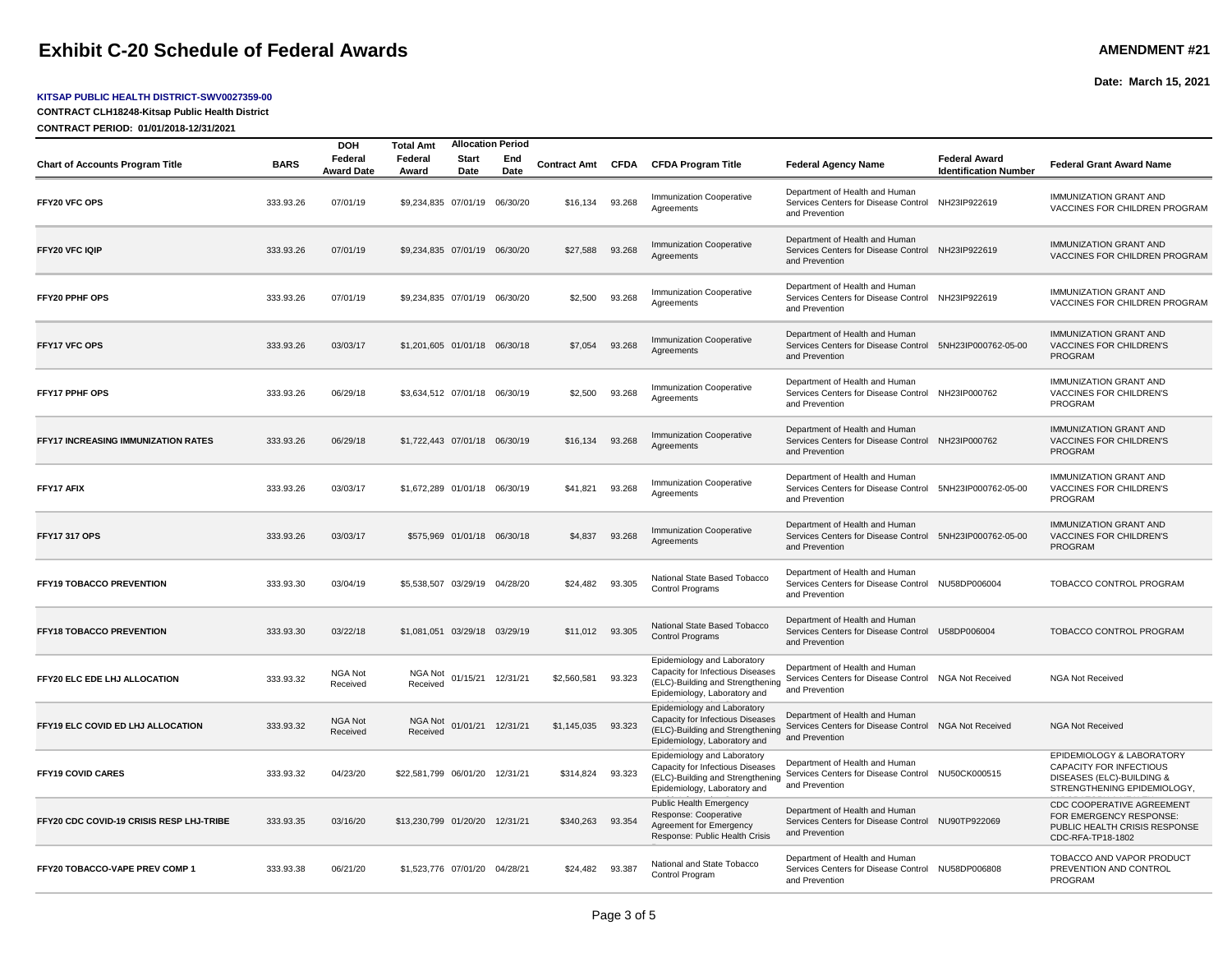## **Exhibit C-20 Schedule of Federal Awards AMEND AMENT #21**

#### **KITSAP PUBLIC HEALTH DISTRICT-SWV0027359-00**

**CONTRACT CLH18248-Kitsap Public Health District**

**CONTRACT PERIOD: 01/01/2018-12/31/2021**

|                                            | <b>Allocation Period</b><br><b>DOH</b><br><b>Total Amt</b> |                              |                                |                             |                   |                   |        |                                                                                                                                     |                                                                                                              |                                                      |                                                                                                                   |
|--------------------------------------------|------------------------------------------------------------|------------------------------|--------------------------------|-----------------------------|-------------------|-------------------|--------|-------------------------------------------------------------------------------------------------------------------------------------|--------------------------------------------------------------------------------------------------------------|------------------------------------------------------|-------------------------------------------------------------------------------------------------------------------|
| <b>Chart of Accounts Program Title</b>     | <b>BARS</b>                                                | Federal<br><b>Award Date</b> | Federal<br>Award               | Start<br>Date               | End<br>Date       | Contract Amt CFDA |        | <b>CFDA Program Title</b>                                                                                                           | <b>Federal Agency Name</b>                                                                                   | <b>Federal Award</b><br><b>Identification Number</b> | <b>Federal Grant Award Name</b>                                                                                   |
| FFY20 VFC OPS                              | 333.93.26                                                  | 07/01/19                     | \$9,234,835 07/01/19 06/30/20  |                             |                   | \$16,134          | 93.268 | <b>Immunization Cooperative</b><br>Agreements                                                                                       | Department of Health and Human<br>Services Centers for Disease Control NH23IP922619<br>and Prevention        |                                                      | <b>IMMUNIZATION GRANT AND</b><br>VACCINES FOR CHILDREN PROGRAM                                                    |
| FFY20 VFC IQIP                             | 333.93.26                                                  | 07/01/19                     | \$9,234,835 07/01/19 06/30/20  |                             |                   | \$27,588          | 93.268 | <b>Immunization Cooperative</b><br>Agreements                                                                                       | Department of Health and Human<br>Services Centers for Disease Control NH23IP922619<br>and Prevention        |                                                      | <b>IMMUNIZATION GRANT AND</b><br>VACCINES FOR CHILDREN PROGRAM                                                    |
| FFY20 PPHF OPS                             | 333.93.26                                                  | 07/01/19                     | \$9.234.835 07/01/19 06/30/20  |                             |                   | \$2.500           | 93.268 | <b>Immunization Cooperative</b><br>Agreements                                                                                       | Department of Health and Human<br>Services Centers for Disease Control NH23IP922619<br>and Prevention        |                                                      | <b>IMMUNIZATION GRANT AND</b><br>VACCINES FOR CHILDREN PROGRAM                                                    |
| FFY17 VFC OPS                              | 333.93.26                                                  | 03/03/17                     | \$1,201,605 01/01/18 06/30/18  |                             |                   | \$7,054           | 93.268 | <b>Immunization Cooperative</b><br>Agreements                                                                                       | Department of Health and Human<br>Services Centers for Disease Control 5NH23IP000762-05-00<br>and Prevention |                                                      | <b>IMMUNIZATION GRANT AND</b><br>VACCINES FOR CHILDREN'S<br><b>PROGRAM</b>                                        |
| <b>FFY17 PPHF OPS</b>                      | 333.93.26                                                  | 06/29/18                     | \$3,634,512 07/01/18 06/30/19  |                             |                   | \$2,500           | 93.268 | Immunization Cooperative<br>Agreements                                                                                              | Department of Health and Human<br>Services Centers for Disease Control NH23IP000762<br>and Prevention        |                                                      | <b>IMMUNIZATION GRANT AND</b><br>VACCINES FOR CHILDREN'S<br>PROGRAM                                               |
| <b>FFY17 INCREASING IMMUNIZATION RATES</b> | 333.93.26                                                  | 06/29/18                     | \$1,722,443 07/01/18 06/30/19  |                             |                   | \$16,134          | 93.268 | <b>Immunization Cooperative</b><br>Agreements                                                                                       | Department of Health and Human<br>Services Centers for Disease Control NH23IP000762<br>and Prevention        |                                                      | <b>IMMUNIZATION GRANT AND</b><br>VACCINES FOR CHILDREN'S<br><b>PROGRAM</b>                                        |
| FFY17 AFIX                                 | 333.93.26                                                  | 03/03/17                     | \$1,672,289 01/01/18 06/30/19  |                             |                   | \$41,821          | 93.268 | Immunization Cooperative<br>Agreements                                                                                              | Department of Health and Human<br>Services Centers for Disease Control 5NH23IP000762-05-00<br>and Prevention |                                                      | IMMUNIZATION GRANT AND<br>VACCINES FOR CHILDREN'S<br><b>PROGRAM</b>                                               |
| <b>FFY17 317 OPS</b>                       | 333.93.26                                                  | 03/03/17                     |                                | \$575,969 01/01/18 06/30/18 |                   | \$4,837           | 93.268 | <b>Immunization Cooperative</b><br>Agreements                                                                                       | Department of Health and Human<br>Services Centers for Disease Control 5NH23IP000762-05-00<br>and Prevention |                                                      | <b>IMMUNIZATION GRANT AND</b><br>VACCINES FOR CHILDREN'S<br><b>PROGRAM</b>                                        |
| FFY19 TOBACCO PREVENTION                   | 333.93.30                                                  | 03/04/19                     | \$5,538,507 03/29/19 04/28/20  |                             |                   | \$24,482          | 93.305 | National State Based Tobacco<br><b>Control Programs</b>                                                                             | Department of Health and Human<br>Services Centers for Disease Control NU58DP006004<br>and Prevention        |                                                      | TOBACCO CONTROL PROGRAM                                                                                           |
| FFY18 TOBACCO PREVENTION                   | 333.93.30                                                  | 03/22/18                     | \$1,081,051 03/29/18 03/29/19  |                             |                   | \$11,012 93.305   |        | National State Based Tobacco<br><b>Control Programs</b>                                                                             | Department of Health and Human<br>Services Centers for Disease Control U58DP006004<br>and Prevention         |                                                      | TOBACCO CONTROL PROGRAM                                                                                           |
| FFY20 ELC EDE LHJ ALLOCATION               | 333.93.32                                                  | NGA Not<br>Received          | NGA Not<br>Received            | 01/15/21                    | 12/31/21          | \$2,560,581       | 93.323 | Epidemiology and Laboratory<br>Capacity for Infectious Diseases<br>(ELC)-Building and Strengthening<br>Epidemiology, Laboratory and | Department of Health and Human<br>Services Centers for Disease Control NGA Not Received<br>and Prevention    |                                                      | <b>NGA Not Received</b>                                                                                           |
| FFY19 ELC COVID ED LHJ ALLOCATION          | 333.93.32                                                  | NGA Not<br>Received          | NGA Not<br>Received            |                             | 01/01/21 12/31/21 | \$1,145,035       | 93.323 | Epidemiology and Laboratory<br>Capacity for Infectious Diseases<br>(ELC)-Building and Strengthening<br>Epidemiology, Laboratory and | Department of Health and Human<br>Services Centers for Disease Control NGA Not Received<br>and Prevention    |                                                      | <b>NGA Not Received</b>                                                                                           |
| <b>FFY19 COVID CARES</b>                   | 333.93.32                                                  | 04/23/20                     | \$22,581,799 06/01/20 12/31/21 |                             |                   | \$314,824         | 93.323 | Epidemiology and Laboratory<br>Capacity for Infectious Diseases<br>(ELC)-Building and Strengthening<br>Epidemiology, Laboratory and | Department of Health and Human<br>Services Centers for Disease Control NU50CK000515<br>and Prevention        |                                                      | EPIDEMIOLOGY & LABORATORY<br>CAPACITY FOR INFECTIOUS<br>DISEASES (ELC)-BUILDING &<br>STRENGTHENING EPIDEMIOLOGY,  |
| FFY20 CDC COVID-19 CRISIS RESP LHJ-TRIBE   | 333.93.35                                                  | 03/16/20                     | \$13,230,799 01/20/20 12/31/21 |                             |                   | \$340,263         | 93.354 | Public Health Emergency<br>Response: Cooperative<br>Agreement for Emergency<br>Response: Public Health Crisis                       | Department of Health and Human<br>Services Centers for Disease Control NU90TP922069<br>and Prevention        |                                                      | <b>CDC COOPERATIVE AGREEMENT</b><br>FOR EMERGENCY RESPONSE:<br>PUBLIC HEALTH CRISIS RESPONSE<br>CDC-RFA-TP18-1802 |
| FFY20 TOBACCO-VAPE PREV COMP 1             | 333.93.38                                                  | 06/21/20                     | \$1.523.776 07/01/20 04/28/21  |                             |                   | \$24,482 93.387   |        | National and State Tobacco<br>Control Program                                                                                       | Department of Health and Human<br>Services Centers for Disease Control NU58DP006808<br>and Prevention        |                                                      | TOBACCO AND VAPOR PRODUCT<br>PREVENTION AND CONTROL<br>PROGRAM                                                    |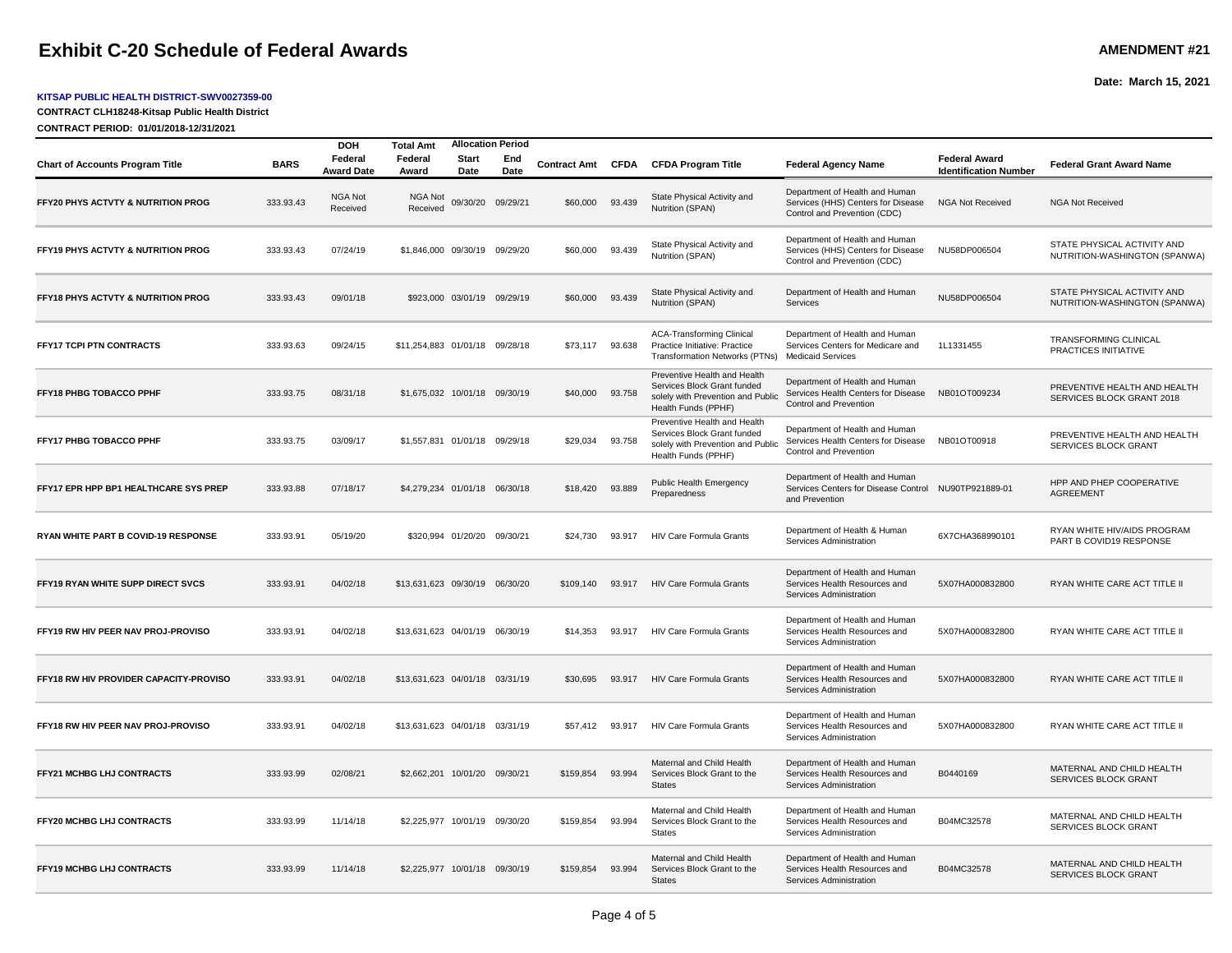## **Exhibit C-20 Schedule of Federal Awards AMEND AMENT #21**

#### **KITSAP PUBLIC HEALTH DISTRICT-SWV0027359-00**

**CONTRACT CLH18248-Kitsap Public Health District**

**CONTRACT PERIOD: 01/01/2018-12/31/2021**

| <b>Chart of Accounts Program Title</b>        | <b>BARS</b> | <b>DOH</b><br>Federal<br><b>Award Date</b> | <b>Total Amt</b><br>Federal<br>Award | <b>Start</b><br>Date        | <b>Allocation Period</b><br>End<br>Date |           |        | Contract Amt CFDA CFDA Program Title                                                                                    | <b>Federal Agency Name</b>                                                                               | <b>Federal Award</b><br><b>Identification Number</b> | <b>Federal Grant Award Name</b>                              |
|-----------------------------------------------|-------------|--------------------------------------------|--------------------------------------|-----------------------------|-----------------------------------------|-----------|--------|-------------------------------------------------------------------------------------------------------------------------|----------------------------------------------------------------------------------------------------------|------------------------------------------------------|--------------------------------------------------------------|
| FFY20 PHYS ACTVTY & NUTRITION PROG            | 333.93.43   | <b>NGA Not</b><br>Received                 | NGA Not<br>Received                  | 09/30/20                    | 09/29/21                                | \$60,000  | 93.439 | State Physical Activity and<br>Nutrition (SPAN)                                                                         | Department of Health and Human<br>Services (HHS) Centers for Disease<br>Control and Prevention (CDC)     | <b>NGA Not Received</b>                              | <b>NGA Not Received</b>                                      |
| <b>FFY19 PHYS ACTVTY &amp; NUTRITION PROG</b> | 333.93.43   | 07/24/19                                   | \$1,846,000 09/30/19 09/29/20        |                             |                                         | \$60,000  | 93.439 | State Physical Activity and<br>Nutrition (SPAN)                                                                         | Department of Health and Human<br>Services (HHS) Centers for Disease<br>Control and Prevention (CDC)     | NU58DP006504                                         | STATE PHYSICAL ACTIVITY AND<br>NUTRITION-WASHINGTON (SPANWA) |
| FFY18 PHYS ACTVTY & NUTRITION PROG            | 333.93.43   | 09/01/18                                   |                                      |                             | \$923,000 03/01/19 09/29/19             | \$60,000  | 93.439 | State Physical Activity and<br>Nutrition (SPAN)                                                                         | Department of Health and Human<br>Services                                                               | NU58DP006504                                         | STATE PHYSICAL ACTIVITY AND<br>NUTRITION-WASHINGTON (SPANWA) |
| FFY17 TCPI PTN CONTRACTS                      | 333.93.63   | 09/24/15                                   | \$11,254,883 01/01/18 09/28/18       |                             |                                         | \$73,117  | 93.638 | <b>ACA-Transforming Clinical</b><br>Practice Initiative: Practice<br>Transformation Networks (PTNs)                     | Department of Health and Human<br>Services Centers for Medicare and<br><b>Medicaid Services</b>          | 1L1331455                                            | TRANSFORMING CLINICAL<br>PRACTICES INITIATIVE                |
| FFY18 PHBG TOBACCO PPHF                       | 333.93.75   | 08/31/18                                   | \$1,675,032 10/01/18 09/30/19        |                             |                                         | \$40,000  | 93.758 | Preventive Health and Health<br>Services Block Grant funded<br>solely with Prevention and Public<br>Health Funds (PPHF) | Department of Health and Human<br>Services Health Centers for Disease<br>Control and Prevention          | NB01OT009234                                         | PREVENTIVE HEALTH AND HEALTH<br>SERVICES BLOCK GRANT 2018    |
| <b>FFY17 PHBG TOBACCO PPHF</b>                | 333.93.75   | 03/09/17                                   | \$1,557,831 01/01/18 09/29/18        |                             |                                         | \$29,034  | 93.758 | Preventive Health and Health<br>Services Block Grant funded<br>solely with Prevention and Public<br>Health Funds (PPHF) | Department of Health and Human<br>Services Health Centers for Disease<br>Control and Prevention          | NB01OT00918                                          | PREVENTIVE HEALTH AND HEALTH<br>SERVICES BLOCK GRANT         |
| FFY17 EPR HPP BP1 HEALTHCARE SYS PREP         | 333.93.88   | 07/18/17                                   | \$4,279,234 01/01/18 06/30/18        |                             |                                         | \$18,420  | 93.889 | <b>Public Health Emergency</b><br>Preparedness                                                                          | Department of Health and Human<br>Services Centers for Disease Control NU90TP921889-01<br>and Prevention |                                                      | HPP AND PHEP COOPERATIVE<br><b>AGREEMENT</b>                 |
| RYAN WHITE PART B COVID-19 RESPONSE           | 333.93.91   | 05/19/20                                   |                                      | \$320,994 01/20/20 09/30/21 |                                         | \$24,730  | 93.917 | <b>HIV Care Formula Grants</b>                                                                                          | Department of Health & Human<br>Services Administration                                                  | 6X7CHA368990101                                      | RYAN WHITE HIV/AIDS PROGRAM<br>PART B COVID19 RESPONSE       |
| FFY19 RYAN WHITE SUPP DIRECT SVCS             | 333.93.91   | 04/02/18                                   | \$13,631,623 09/30/19 06/30/20       |                             |                                         | \$109,140 | 93.917 | <b>HIV Care Formula Grants</b>                                                                                          | Department of Health and Human<br>Services Health Resources and<br>Services Administration               | 5X07HA000832800                                      | RYAN WHITE CARE ACT TITLE II                                 |
| FFY19 RW HIV PEER NAV PROJ-PROVISO            | 333.93.91   | 04/02/18                                   | \$13,631,623 04/01/19 06/30/19       |                             |                                         | \$14,353  | 93.917 | <b>HIV Care Formula Grants</b>                                                                                          | Department of Health and Human<br>Services Health Resources and<br>Services Administration               | 5X07HA000832800                                      | RYAN WHITE CARE ACT TITLE II                                 |
| FFY18 RW HIV PROVIDER CAPACITY-PROVISO        | 333.93.91   | 04/02/18                                   | \$13,631,623 04/01/18 03/31/19       |                             |                                         | \$30,695  | 93.917 | <b>HIV Care Formula Grants</b>                                                                                          | Department of Health and Human<br>Services Health Resources and<br>Services Administration               | 5X07HA000832800                                      | RYAN WHITE CARE ACT TITLE II                                 |
| FFY18 RW HIV PEER NAV PROJ-PROVISO            | 333.93.91   | 04/02/18                                   | \$13,631,623 04/01/18 03/31/19       |                             |                                         | \$57.412  | 93.917 | <b>HIV Care Formula Grants</b>                                                                                          | Department of Health and Human<br>Services Health Resources and<br>Services Administration               | 5X07HA000832800                                      | RYAN WHITE CARE ACT TITLE II                                 |
| <b>FFY21 MCHBG LHJ CONTRACTS</b>              | 333.93.99   | 02/08/21                                   | \$2,662,201 10/01/20 09/30/21        |                             |                                         | \$159,854 | 93.994 | Maternal and Child Health<br>Services Block Grant to the<br><b>States</b>                                               | Department of Health and Human<br>Services Health Resources and<br>Services Administration               | B0440169                                             | MATERNAL AND CHILD HEALTH<br>SERVICES BLOCK GRANT            |
| FFY20 MCHBG LHJ CONTRACTS                     | 333.93.99   | 11/14/18                                   | \$2,225,977 10/01/19 09/30/20        |                             |                                         | \$159,854 | 93.994 | Maternal and Child Health<br>Services Block Grant to the<br><b>States</b>                                               | Department of Health and Human<br>Services Health Resources and<br>Services Administration               | B04MC32578                                           | MATERNAL AND CHILD HEALTH<br>SERVICES BLOCK GRANT            |
| FFY19 MCHBG LHJ CONTRACTS                     | 333.93.99   | 11/14/18                                   | \$2,225,977 10/01/18 09/30/19        |                             |                                         | \$159,854 | 93.994 | Maternal and Child Health<br>Services Block Grant to the<br><b>States</b>                                               | Department of Health and Human<br>Services Health Resources and<br>Services Administration               | B04MC32578                                           | MATERNAL AND CHILD HEALTH<br>SERVICES BLOCK GRANT            |